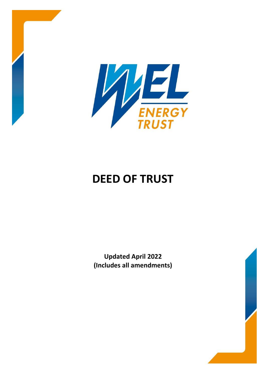

# **DEED OF TRUST**

**Updated April 2022 (Includes all amendments)**

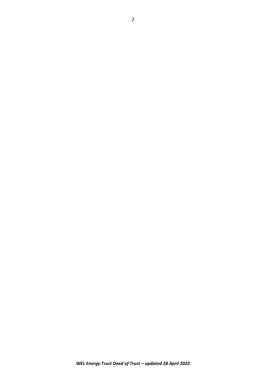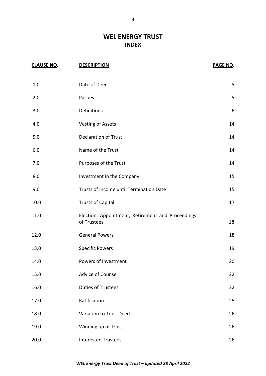# **WEL ENERGY TRUST INDEX**

| <b>CLAUSE NO.</b> | <b>DESCRIPTION</b>                                               | <b>PAGE NO.</b> |
|-------------------|------------------------------------------------------------------|-----------------|
| 1.0               | Date of Deed                                                     | 5               |
| 2.0               | Parties                                                          | 5               |
| 3.0               | Definitions                                                      | $6\phantom{1}6$ |
| 4.0               | <b>Vesting of Assets</b>                                         | 14              |
| 5.0               | <b>Declaration of Trust</b>                                      | 14              |
| 6.0               | Name of the Trust                                                | 14              |
| 7.0               | Purposes of the Trust                                            | 14              |
| 8.0               | Investment in the Company                                        | 15              |
| 9.0               | Trusts of Income until Termination Date                          | 15              |
| 10.0              | <b>Trusts of Capital</b>                                         | 17              |
| 11.0              | Election, Appointment, Retirement and Proceedings<br>of Trustees | 18              |
| 12.0              | <b>General Powers</b>                                            | 18              |
| 13.0              | <b>Specific Powers</b>                                           | 19              |
| 14.0              | Powers of Investment                                             | 20              |
| 15.0              | Advice of Counsel                                                | 22              |
| 16.0              | <b>Duties of Trustees</b>                                        | 22              |
| 17.0              | Ratification                                                     | 25              |
| 18.0              | Variation to Trust Deed                                          | 26              |
| 19.0              | Winding up of Trust                                              | 26              |
| 20.0              | <b>Interested Trustees</b>                                       | 26              |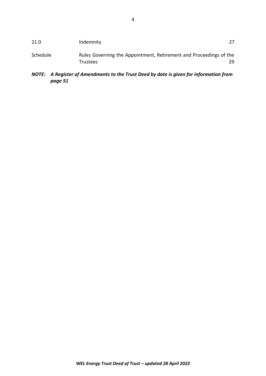| 21.0     | Indemnity                                                                             |     |
|----------|---------------------------------------------------------------------------------------|-----|
| Schedule | Rules Governing the Appointment, Retirement and Proceedings of the<br><b>Trustees</b> | 29. |

*NOTE: A Register of Amendments to the Trust Deed by date is given for information from page 51*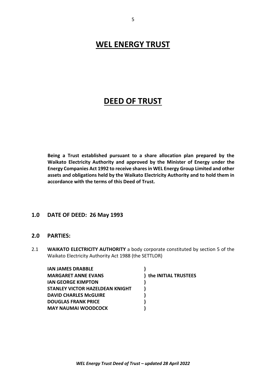# **WEL ENERGY TRUST**

# **DEED OF TRUST**

**Being a Trust established pursuant to a share allocation plan prepared by the Waikato Electricity Authority and approved by the Minister of Energy under the Energy Companies Act 1992 to receive shares in WEL Energy Group Limited and other assets and obligations held by the Waikato Electricity Authority and to hold them in accordance with the terms of this Deed of Trust.**

# **1.0 DATE OF DEED: 26 May 1993**

# **2.0 PARTIES:**

2.1 **WAIKATO ELECTRICITY AUTHORITY** a body corporate constituted by section 5 of the Waikato Electricity Authority Act 1988 (the SETTLOR)

| <b>IAN JAMES DRABBLE</b>               |                        |
|----------------------------------------|------------------------|
| <b>MARGARET ANNE EVANS</b>             | ) the INITIAL TRUSTEES |
| <b>IAN GEORGE KIMPTON</b>              |                        |
| <b>STANLEY VICTOR HAZELDEAN KNIGHT</b> |                        |
| <b>DAVID CHARLES McGUIRE</b>           |                        |
| <b>DOUGLAS FRANK PRICE</b>             |                        |
| <b>MAY NAUMAI WOODCOCK</b>             |                        |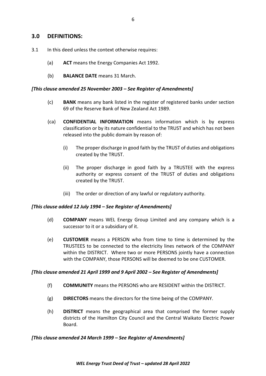# **3.0 DEFINITIONS:**

- 3.1 In this deed unless the context otherwise requires:
	- (a) **ACT** means the Energy Companies Act 1992.
	- (b) **BALANCE DATE** means 31 March.

#### *[This clause amended 25 November 2003 – See Register of Amendments]*

- (c) **BANK** means any bank listed in the register of registered banks under section 69 of the Reserve Bank of New Zealand Act 1989.
- (ca) **CONFIDENTIAL INFORMATION** means information which is by express classification or by its nature confidential to the TRUST and which has not been released into the public domain by reason of:
	- (i) The proper discharge in good faith by the TRUST of duties and obligations created by the TRUST.
	- (ii) The proper discharge in good faith by a TRUSTEE with the express authority or express consent of the TRUST of duties and obligations created by the TRUST.
	- (iii) The order or direction of any lawful or regulatory authority.

#### *[This clause added 12 July 1994 – See Register of Amendments]*

- (d) **COMPANY** means WEL Energy Group Limited and any company which is a successor to it or a subsidiary of it.
- (e) **CUSTOMER** means a PERSON who from time to time is determined by the TRUSTEES to be connected to the electricity lines network of the COMPANY within the DISTRICT. Where two or more PERSONS jointly have a connection with the COMPANY, those PERSONS will be deemed to be one CUSTOMER.

#### *[This clause amended 21 April 1999 and 9 April 2002 – See Register of Amendments]*

- (f) **COMMUNITY** means the PERSONS who are RESIDENT within the DISTRICT.
- (g) **DIRECTORS** means the directors for the time being of the COMPANY.
- (h) **DISTRICT** means the geographical area that comprised the former supply districts of the Hamilton City Council and the Central Waikato Electric Power Board.

#### *[This clause amended 24 March 1999 – See Register of Amendments]*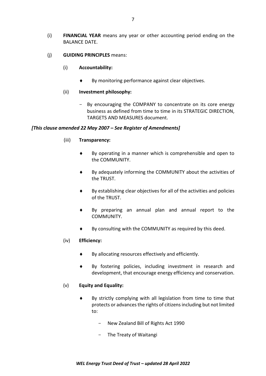- (j) **GUIDING PRINCIPLES** means:
	- (i) **Accountability:**
		- By monitoring performance against clear objectives.
	- (ii) **Investment philosophy:**
		- By encouraging the COMPANY to concentrate on its core energy business as defined from time to time in its STRATEGIC DIRECTION, TARGETS AND MEASURES document.

# *[This clause amended 22 May 2007 – See Register of Amendments]*

# (iii) **Transparency:**

- By operating in a manner which is comprehensible and open to the COMMUNITY.
- By adequately informing the COMMUNITY about the activities of the TRUST.
- By establishing clear objectives for all of the activities and policies of the TRUST.
- By preparing an annual plan and annual report to the COMMUNITY.
- By consulting with the COMMUNITY as required by this deed.

# (iv) **Efficiency:**

- By allocating resources effectively and efficiently.
- By fostering policies, including investment in research and development, that encourage energy efficiency and conservation.

# (v) **Equity and Equality:**

- By strictly complying with all legislation from time to time that protects or advances the rights of citizens including but not limited to:
	- New Zealand Bill of Rights Act 1990
	- The Treaty of Waitangi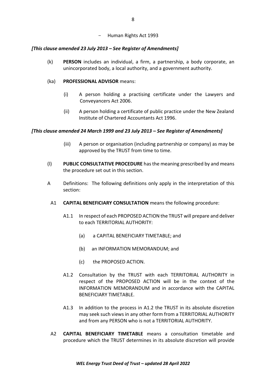- Human Rights Act 1993

# *[This clause amended 23 July 2013 – See Register of Amendments]*

- (k) **PERSON** includes an individual, a firm, a partnership, a body corporate, an unincorporated body, a local authority, and a government authority.
- (ka) **PROFESSIONAL ADVISOR** means:
	- (i) A person holding a practising certificate under the Lawyers and Conveyancers Act 2006.
	- (ii) A person holding a certificate of public practice under the New Zealand Institute of Chartered Accountants Act 1996.

# *[This clause amended 24 March 1999 and 23 July 2013 – See Register of Amendments]*

- (iii) A person or organisation (including partnership or company) as may be approved by the TRUST from time to time.
- (l) **PUBLIC CONSULTATIVE PROCEDURE** has the meaning prescribed by and means the procedure set out in this section.
- A Definitions: The following definitions only apply in the interpretation of this section:
	- A1 **CAPITAL BENEFICIARY CONSULTATION** means the following procedure:
		- A1.1 In respect of each PROPOSED ACTION the TRUST will prepare and deliver to each TERRITORIAL AUTHORITY:
			- (a) a CAPITAL BENEFICIARY TIMETABLE; and
			- (b) an INFORMATION MEMORANDUM; and
			- (c) the PROPOSED ACTION.
		- A1.2 Consultation by the TRUST with each TERRITORIAL AUTHORITY in respect of the PROPOSED ACTION will be in the context of the INFORMATION MEMORANDUM and in accordance with the CAPITAL BENEFICIARY TIMETABLE.
		- A1.3 In addition to the process in A1.2 the TRUST in its absolute discretion may seek such views in any other form from a TERRITORIAL AUTHORITY and from any PERSON who is not a TERRITORIAL AUTHORITY.
	- A2 **CAPITAL BENEFICIARY TIMETABLE** means a consultation timetable and procedure which the TRUST determines in its absolute discretion will provide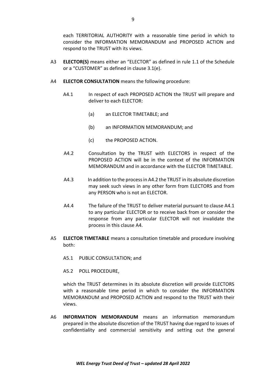each TERRITORIAL AUTHORITY with a reasonable time period in which to consider the INFORMATION MEMORANDUM and PROPOSED ACTION and respond to the TRUST with its views.

- A3 **ELECTOR(S)** means either an "ELECTOR" as defined in rule 1.1 of the Schedule or a "CUSTOMER" as defined in clause 3.1(e).
- A4 **ELECTOR CONSULTATION** means the following procedure:
	- A4.1 In respect of each PROPOSED ACTION the TRUST will prepare and deliver to each ELECTOR:
		- (a) an ELECTOR TIMETABLE; and
		- (b) an INFORMATION MEMORANDUM; and
		- (c) the PROPOSED ACTION.
	- A4.2 Consultation by the TRUST with ELECTORS in respect of the PROPOSED ACTION will be in the context of the INFORMATION MEMORANDUM and in accordance with the ELECTOR TIMETABLE.
	- A4.3 In addition to the process in A4.2 the TRUST in its absolute discretion may seek such views in any other form from ELECTORS and from any PERSON who is not an ELECTOR.
	- A4.4 The failure of the TRUST to deliver material pursuant to clause A4.1 to any particular ELECTOR or to receive back from or consider the response from any particular ELECTOR will not invalidate the process in this clause A4.
- A5 **ELECTOR TIMETABLE** means a consultation timetable and procedure involving both:
	- A5.1 PUBLIC CONSULTATION; and
	- A5.2 POLL PROCEDURE,

which the TRUST determines in its absolute discretion will provide ELECTORS with a reasonable time period in which to consider the INFORMATION MEMORANDUM and PROPOSED ACTION and respond to the TRUST with their views.

A6 **INFORMATION MEMORANDUM** means an information memorandum prepared in the absolute discretion of the TRUST having due regard to issues of confidentiality and commercial sensitivity and setting out the general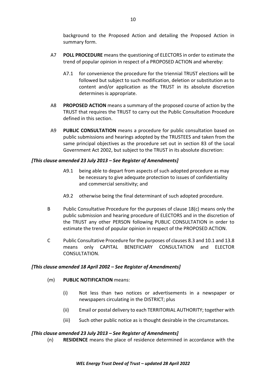background to the Proposed Action and detailing the Proposed Action in summary form.

- A7 **POLL PROCEDURE** means the questioning of ELECTORS in order to estimate the trend of popular opinion in respect of a PROPOSED ACTION and whereby:
	- A7.1 for convenience the procedure for the triennial TRUST elections will be followed but subject to such modification, deletion or substitution as to content and/or application as the TRUST in its absolute discretion determines is appropriate.
- A8 **PROPOSED ACTION** means a summary of the proposed course of action by the TRUST that requires the TRUST to carry out the Public Consultation Procedure defined in this section.
- A9 **PUBLIC CONSULTATION** means a procedure for public consultation based on public submissions and hearings adopted by the TRUSTEES and taken from the same principal objectives as the procedure set out in section 83 of the Local Government Act 2002, but subject to the TRUST in its absolute discretion:

# *[This clause amended 23 July 2013 – See Register of Amendments]*

- A9.1 being able to depart from aspects of such adopted procedure as may be necessary to give adequate protection to issues of confidentiality and commercial sensitivity; and
- A9.2 otherwise being the final determinant of such adopted procedure.
- B Public Consultative Procedure for the purposes of clause 18(c) means only the public submission and hearing procedure of ELECTORS and in the discretion of the TRUST any other PERSON following PUBLIC CONSULTATION in order to estimate the trend of popular opinion in respect of the PROPOSED ACTION.
- C Public Consultative Procedure for the purposes of clauses 8.3 and 10.1 and 13.8 means only CAPITAL BENEFICIARY CONSULTATION and ELECTOR CONSULTATION.

# *[This clause amended 18 April 2002 – See Register of Amendments]*

- (m) **PUBLIC NOTIFICATION** means:
	- (i) Not less than two notices or advertisements in a newspaper or newspapers circulating in the DISTRICT; plus
	- (ii) Email or postal delivery to each TERRITORIAL AUTHORITY; together with
	- (iii) Such other public notice as is thought desirable in the circumstances.

# *[This clause amended 23 July 2013 – See Register of Amendments]*

(n) **RESIDENCE** means the place of residence determined in accordance with the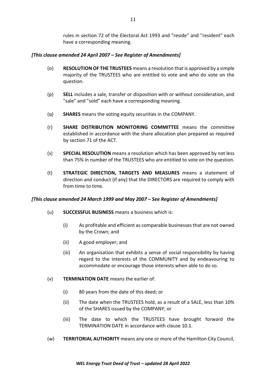rules in section 72 of the Electoral Act 1993 and "reside" and "resident" each have a corresponding meaning.

# *[This clause amended 24 April 2007 – See Register of Amendments]*

- (o) **RESOLUTION OF THE TRUSTEES** means a resolution that is approved by a simple majority of the TRUSTEES who are entitled to vote and who do vote on the question.
- (p) **SELL** includes a sale, transfer or disposition with or without consideration, and "sale" and "sold" each have a corresponding meaning.
- (q) **SHARES** means the voting equity securities in the COMPANY.
- (r) **SHARE DISTRIBUTION MONITORING COMMITTEE** means the committee established in accordance with the share allocation plan prepared as required by section 71 of the ACT.
- (s) **SPECIAL RESOLUTION** means a resolution which has been approved by not less than 75% in number of the TRUSTEES who are entitled to vote on the question.
- (t) **STRATEGIC DIRECTION, TARGETS AND MEASURES** means a statement of direction and conduct (if any) that the DIRECTORS are required to comply with from time to time.

# *[This clause amended 24 March 1999 and May 2007 – See Register of Amendments]*

- (u) **SUCCESSFUL BUSINESS** means a business which is:
	- (i) As profitable and efficient as comparable businesses that are not owned by the Crown; and
	- (ii) A good employer; and
	- (iii) An organisation that exhibits a sense of social responsibility by having regard to the interests of the COMMUNITY and by endeavouring to accommodate or encourage those interests when able to do so.
- (v) **TERMINATION DATE** means the earlier of:
	- (i) 80 years from the date of this deed; or
	- (ii) The date when the TRUSTEES hold, as a result of a SALE, less than 10% of the SHARES issued by the COMPANY; or
	- (iii) The date to which the TRUSTEES have brought forward the TERMINATION DATE in accordance with clause 10.1.
- (w) **TERRITORIAL AUTHORITY** means any one or more of the Hamilton City Council,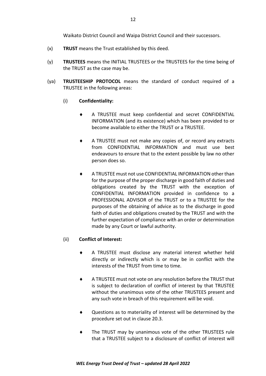- (x) **TRUST** means the Trust established by this deed.
- (y) **TRUSTEES** means the INITIAL TRUSTEES or the TRUSTEES for the time being of the TRUST as the case may be.
- (ya) **TRUSTEESHIP PROTOCOL** means the standard of conduct required of a TRUSTEE in the following areas:
	- (i) **Confidentiality:**
		- A TRUSTEE must keep confidential and secret CONFIDENTIAL INFORMATION (and its existence) which has been provided to or become available to either the TRUST or a TRUSTEE.
		- A TRUSTEE must not make any copies of, or record any extracts from CONFIDENTIAL INFORMATION and must use best endeavours to ensure that to the extent possible by law no other person does so.
		- A TRUSTEE must not use CONFIDENTIAL INFORMATION other than for the purpose of the proper discharge in good faith of duties and obligations created by the TRUST with the exception of CONFIDENTIAL INFORMATION provided in confidence to a PROFESSIONAL ADVISOR of the TRUST or to a TRUSTEE for the purposes of the obtaining of advice as to the discharge in good faith of duties and obligations created by the TRUST and with the further expectation of compliance with an order or determination made by any Court or lawful authority.

#### (ii) **Conflict of Interest:**

- A TRUSTEE must disclose any material interest whether held directly or indirectly which is or may be in conflict with the interests of the TRUST from time to time.
- A TRUSTEE must not vote on any resolution before the TRUST that is subject to declaration of conflict of interest by that TRUSTEE without the unanimous vote of the other TRUSTEES present and any such vote in breach of this requirement will be void.
- Questions as to materiality of interest will be determined by the procedure set out in clause 20.3.
- The TRUST may by unanimous vote of the other TRUSTEES rule that a TRUSTEE subject to a disclosure of conflict of interest will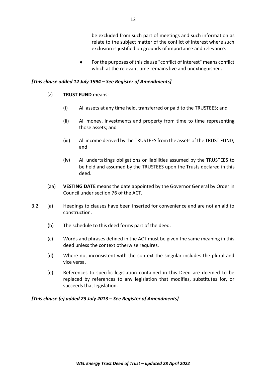be excluded from such part of meetings and such information as relate to the subject matter of the conflict of interest where such exclusion is justified on grounds of importance and relevance.

 For the purposes of this clause "conflict of interest" means conflict which at the relevant time remains live and unextinguished.

#### *[This clause added 12 July 1994 – See Register of Amendments]*

- (z) **TRUST FUND** means:
	- (i) All assets at any time held, transferred or paid to the TRUSTEES; and
	- (ii) All money, investments and property from time to time representing those assets; and
	- (iii) All income derived by the TRUSTEES from the assets of the TRUST FUND; and
	- (iv) All undertakings obligations or liabilities assumed by the TRUSTEES to be held and assumed by the TRUSTEES upon the Trusts declared in this deed.
- (aa) **VESTING DATE** means the date appointed by the Governor General by Order in Council under section 76 of the ACT.
- 3.2 (a) Headings to clauses have been inserted for convenience and are not an aid to construction.
	- (b) The schedule to this deed forms part of the deed.
	- (c) Words and phrases defined in the ACT must be given the same meaning in this deed unless the context otherwise requires.
	- (d) Where not inconsistent with the context the singular includes the plural and vice versa.
	- (e) References to specific legislation contained in this Deed are deemed to be replaced by references to any legislation that modifies, substitutes for, or succeeds that legislation.

#### *[This clause (e) added 23 July 2013 – See Register of Amendments]*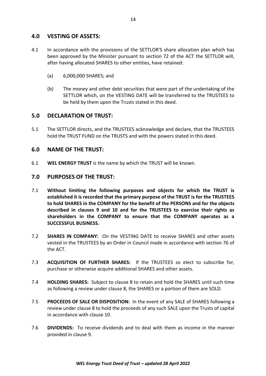# **4.0 VESTING OF ASSETS:**

- 4.1 In accordance with the provisions of the SETTLOR'S share allocation plan which has been approved by the Minister pursuant to section 72 of the ACT the SETTLOR will, after having allocated SHARES to other entities, have retained:
	- (a) 6,000,000 SHARES; and
	- (b) The money and other debt securities that were part of the undertaking of the SETTLOR which, on the VESTING DATE will be transferred to the TRUSTEES to be held by them upon the Trusts stated in this deed.

# **5.0 DECLARATION OF TRUST:**

5.1 The SETTLOR directs, and the TRUSTEES acknowledge and declare, that the TRUSTEES hold the TRUST FUND on the TRUSTS and with the powers stated in this deed.

# **6.0 NAME OF THE TRUST:**

6.1 **WEL ENERGY TRUST** is the name by which the TRUST will be known.

# **7.0 PURPOSES OF THE TRUST:**

- 7.1 **Without limiting the following purposes and objects for which the TRUST is established it is recorded that the primary purpose of the TRUST is for the TRUSTEES to hold SHARES in the COMPANY for the benefit of the PERSONS and for the objects described in clauses 9 and 10 and for the TRUSTEES to exercise their rights as shareholders in the COMPANY to ensure that the COMPANY operates as a SUCCESSFUL BUSINESS.**
- 7.2 **SHARES IN COMPANY:** On the VESTING DATE to receive SHARES and other assets vested in the TRUSTEES by an Order in Council made in accordance with section 76 of the ACT.
- 7.3 **ACQUISITION OF FURTHER SHARES:** If the TRUSTEES so elect to subscribe for, purchase or otherwise acquire additional SHARES and other assets.
- 7.4 **HOLDING SHARES:** Subject to clause 8 to retain and hold the SHARES until such time as following a review under clause 8, the SHARES or a portion of them are SOLD.
- 7.5 **PROCEEDS OF SALE OR DISPOSITION:** In the event of any SALE of SHARES following a review under clause 8 to hold the proceeds of any such SALE upon the Trusts of capital in accordance with clause 10.
- 7.6 **DIVIDENDS:** To receive dividends and to deal with them as income in the manner provided in clause 9.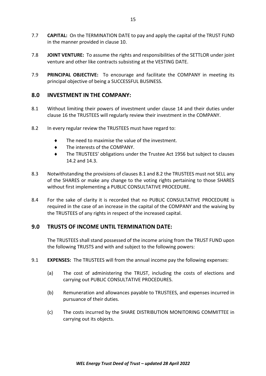- 7.7 **CAPITAL:** On the TERMINATION DATE to pay and apply the capital of the TRUST FUND in the manner provided in clause 10.
- 7.8 **JOINT VENTURE:** To assume the rights and responsibilities of the SETTLOR under joint venture and other like contracts subsisting at the VESTING DATE.
- 7.9 **PRINCIPAL OBJECTIVE:** To encourage and facilitate the COMPANY in meeting its principal objective of being a SUCCESSFUL BUSINESS.

# **8.0 INVESTMENT IN THE COMPANY:**

- 8.1 Without limiting their powers of investment under clause 14 and their duties under clause 16 the TRUSTEES will regularly review their investment in the COMPANY.
- 8.2 In every regular review the TRUSTEES must have regard to:
	- $\bullet$  The need to maximise the value of the investment.
		- $\bullet$  The interests of the COMPANY.
		- The TRUSTEES' obligations under the Trustee Act 1956 but subject to clauses 14.2 and 14.3.
- 8.3 Notwithstanding the provisions of clauses 8.1 and 8.2 the TRUSTEES must not SELL any of the SHARES or make any change to the voting rights pertaining to those SHARES without first implementing a PUBLIC CONSULTATIVE PROCEDURE.
- 8.4 For the sake of clarity it is recorded that no PUBLIC CONSULTATIVE PROCEDURE is required in the case of an increase in the capital of the COMPANY and the waiving by the TRUSTEES of any rights in respect of the increased capital.

# **9.0 TRUSTS OF INCOME UNTIL TERMINATION DATE:**

The TRUSTEES shall stand possessed of the income arising from the TRUST FUND upon the following TRUSTS and with and subject to the following powers:

- 9.1 **EXPENSES:** The TRUSTEES will from the annual income pay the following expenses:
	- (a) The cost of administering the TRUST, including the costs of elections and carrying out PUBLIC CONSULTATIVE PROCEDURES.
	- (b) Remuneration and allowances payable to TRUSTEES, and expenses incurred in pursuance of their duties.
	- (c) The costs incurred by the SHARE DISTRIBUTION MONITORING COMMITTEE in carrying out its objects.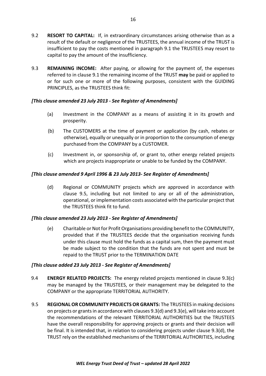- 9.2 **RESORT TO CAPITAL:** If, in extraordinary circumstances arising otherwise than as a result of the default or negligence of the TRUSTEES, the annual income of the TRUST is insufficient to pay the costs mentioned in paragraph 9.1 the TRUSTEES may resort to capital to pay the amount of the insufficiency.
- 9.3 **REMAINING INCOME:** After paying, or allowing for the payment of, the expenses referred to in clause 9.1 the remaining income of the TRUST **may** be paid or applied to or for such one or more of the following purposes, consistent with the GUIDING PRINCIPLES, as the TRUSTEES think fit:

# *[This clause amended 23 July 2013 - See Register of Amendments]*

- (a) Investment in the COMPANY as a means of assisting it in its growth and prosperity.
- (b) The CUSTOMERS at the time of payment or application (by cash, rebates or otherwise), equally or unequally or in proportion to the consumption of energy purchased from the COMPANY by a CUSTOMER.
- (c) Investment in, or sponsorship of, or grant to, other energy related projects which are projects inappropriate or unable to be funded by the COMPANY.

# *[This clause amended 9 April 1996 & 23 July 2013- See Register of Amendments]*

(d) Regional or COMMUNITY projects which are approved in accordance with clause 9.5, including but not limited to any or all of the administration, operational, or implementation costs associated with the particular project that the TRUSTEES think fit to fund.

# *[This clause amended 23 July 2013 - See Register of Amendments]*

(e) Charitable or Not for Profit Organisations providing benefit to the COMMUNITY, provided that if the TRUSTEES decide that the organisation receiving funds under this clause must hold the funds as a capital sum, then the payment must be made subject to the condition that the funds are not spent and must be repaid to the TRUST prior to the TERMINATION DATE

# *[This clause added 23 July 2013 - See Register of Amendments]*

- 9.4 **ENERGY RELATED PROJECTS:** The energy related projects mentioned in clause 9.3(c) may be managed by the TRUSTEES, or their management may be delegated to the COMPANY or the appropriate TERRITORIAL AUTHORITY.
- 9.5 **REGIONAL OR COMMUNITY PROJECTS OR GRANTS:** The TRUSTEES in making decisions on projects or grants in accordance with clauses 9.3(d) and 9.3(e), will take into account the recommendations of the relevant TERRITORIAL AUTHORITIES but the TRUSTEES have the overall responsibility for approving projects or grants and their decision will be final. It is intended that, in relation to considering projects under clause 9.3(d), the TRUST rely on the established mechanisms of the TERRITORIAL AUTHORITIES, including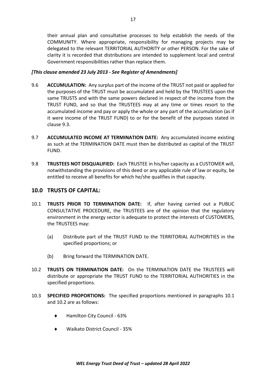their annual plan and consultative processes to help establish the needs of the COMMUNITY. Where appropriate, responsibility for managing projects may be delegated to the relevant TERRITORIAL AUTHORITY or other PERSON. For the sake of clarity it is recorded that distributions are intended to supplement local and central Government responsibilities rather than replace them.

# *[This clause amended 23 July 2013 - See Register of Amendments]*

- 9.6 **ACCUMULATION:** Any surplus part of the income of the TRUST not paid or applied for the purposes of the TRUST must be accumulated and held by the TRUSTEES upon the same TRUSTS and with the same powers declared in respect of the income from the TRUST FUND, and so that the TRUSTEES may at any time or times resort to the accumulated income and pay or apply the whole or any part of the accumulation (as if it were income of the TRUST FUND) to or for the benefit of the purposes stated in clause 9.3.
- 9.7 **ACCUMULATED INCOME AT TERMINATION DATE:** Any accumulated income existing as such at the TERMINATION DATE must then be distributed as capital of the TRUST FUND.
- 9.8 **TRUSTEES NOT DISQUALIFIED:** Each TRUSTEE in his/her capacity as a CUSTOMER will, notwithstanding the provisions of this deed or any applicable rule of law or equity, be entitled to receive all benefits for which he/she qualifies in that capacity.

# **10.0 TRUSTS OF CAPITAL:**

- 10.1 **TRUSTS PRIOR TO TERMINATION DATE:** If, after having carried out a PUBLIC CONSULTATIVE PROCEDURE, the TRUSTEES are of the opinion that the regulatory environment in the energy sector is adequate to protect the interests of CUSTOMERS, the TRUSTEES may:
	- (a) Distribute part of the TRUST FUND to the TERRITORIAL AUTHORITIES in the specified proportions; or
	- (b) Bring forward the TERMINATION DATE.
- 10.2 **TRUSTS ON TERMINATION DATE:** On the TERMINATION DATE the TRUSTEES will distribute or appropriate the TRUST FUND to the TERRITORIAL AUTHORITIES in the specified proportions.
- 10.3 **SPECIFIED PROPORTIONS:** The specified proportions mentioned in paragraphs 10.1 and 10.2 are as follows:
	- ◆ Hamilton City Council 63%
	- Waikato District Council 35%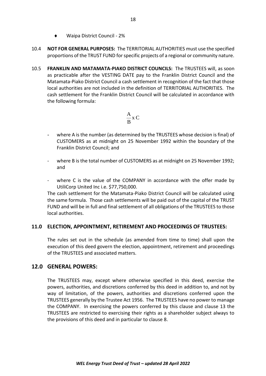- Waipa District Council 2%
- 10.4 **NOT FOR GENERAL PURPOSES:** The TERRITORIAL AUTHORITIES must use the specified proportions of the TRUST FUND for specific projects of a regional or community nature.
- 10.5 **FRANKLIN AND MATAMATA-PIAKO DISTRICT COUNCILS:** The TRUSTEES will, as soon as practicable after the VESTING DATE pay to the Franklin District Council and the Matamata-Piako District Council a cash settlement in recognition of the fact that those local authorities are not included in the definition of TERRITORIAL AUTHORITIES. The cash settlement for the Franklin District Council will be calculated in accordance with the following formula:

$$
\frac{A}{B}x C
$$

- where A is the number (as determined by the TRUSTEES whose decision is final) of CUSTOMERS as at midnight on 25 November 1992 within the boundary of the Franklin District Council; and
- where B is the total number of CUSTOMERS as at midnight on 25 November 1992; and
- where C is the value of the COMPANY in accordance with the offer made by UtiliCorp United Inc i.e. \$77,750,000.

The cash settlement for the Matamata-Piako District Council will be calculated using the same formula. Those cash settlements will be paid out of the capital of the TRUST FUND and will be in full and final settlement of all obligations of the TRUSTEES to those local authorities.

# **11.0 ELECTION, APPOINTMENT, RETIREMENT AND PROCEEDINGS OF TRUSTEES:**

The rules set out in the schedule (as amended from time to time) shall upon the execution of this deed govern the election, appointment, retirement and proceedings of the TRUSTEES and associated matters.

# **12.0 GENERAL POWERS:**

The TRUSTEES may, except where otherwise specified in this deed, exercise the powers, authorities, and discretions conferred by this deed in addition to, and not by way of limitation, of the powers, authorities and discretions conferred upon the TRUSTEES generally by the Trustee Act 1956. The TRUSTEES have no power to manage the COMPANY. In exercising the powers conferred by this clause and clause 13 the TRUSTEES are restricted to exercising their rights as a shareholder subject always to the provisions of this deed and in particular to clause 8.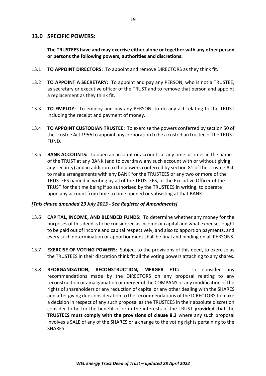# **13.0 SPECIFIC POWERS:**

**The TRUSTEES have and may exercise either alone or together with any other person or persons the following powers, authorities and discretions:**

- 13.1 **TO APPOINT DIRECTORS:** To appoint and remove DIRECTORS as they think fit.
- 13.2 **TO APPOINT A SECRETARY:** To appoint and pay any PERSON, who is not a TRUSTEE, as secretary or executive officer of the TRUST and to remove that person and appoint a replacement as they think fit.
- 13.3 **TO EMPLOY:** To employ and pay any PERSON, to do any act relating to the TRUST including the receipt and payment of money.
- 13.4 **TO APPOINT CUSTODIAN TRUSTEE:** To exercise the powers conferred by section 50 of the Trustee Act 1956 to appoint any corporation to be a custodian trustee of the TRUST FUND.
- 13.5 **BANK ACCOUNTS:** To open an account or accounts at any time or times in the name of the TRUST at any BANK (and to overdraw any such account with or without giving any security) and in addition to the powers conferred by section 81 of the Trustee Act to make arrangements with any BANK for the TRUSTEES or any two or more of the TRUSTEES named in writing by all of the TRUSTEES, or the Executive Officer of the TRUST for the time being if so authorised by the TRUSTEES in writing, to operate upon any account from time to time opened or subsisting at that BANK.

#### *[This clause amended 23 July 2013 - See Register of Amendments]*

- 13.6 **CAPITAL, INCOME, AND BLENDED FUNDS:** To determine whether any money for the purposes of this deed is to be considered as income or capital and what expenses ought to be paid out of income and capital respectively, and also to apportion payments, and every such determination or apportionment shall be final and binding on all PERSONS.
- 13.7 **EXERCISE OF VOTING POWERS:** Subject to the provisions of this deed, to exercise as the TRUSTEES in their discretion think fit all the voting powers attaching to any shares.
- 13.8 **REORGANISATION, RECONSTRUCTION, MERGER ETC:** To consider any recommendations made by the DIRECTORS on any proposal relating to any reconstruction or amalgamation or merger of the COMPANY or any modification of the rights of shareholders or any reduction of capital or any other dealing with the SHARES and after giving due consideration to the recommendations of the DIRECTORS to make a decision in respect of any such proposal as the TRUSTEES in their absolute discretion consider to be for the benefit of or in the interests of the TRUST **provided that** the **TRUSTEES must comply with the provisions of clause 8.3** where any such proposal involves a SALE of any of the SHARES or a change to the voting rights pertaining to the SHARES.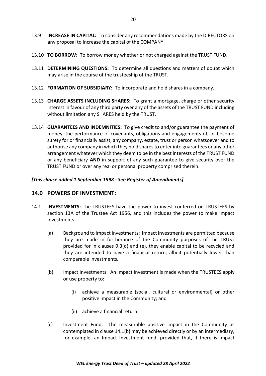- 13.9 **INCREASE IN CAPITAL:** To consider any recommendations made by the DIRECTORS on any proposal to increase the capital of the COMPANY.
- 13.10 **TO BORROW:** To borrow money whether or not charged against the TRUST FUND.
- 13.11 **DETERMINING QUESTIONS:** To determine all questions and matters of doubt which may arise in the course of the trusteeship of the TRUST.
- 13.12 **FORMATION OF SUBSIDIARY:** To incorporate and hold shares in a company.
- 13.13 **CHARGE ASSETS INCLUDING SHARES:** To grant a mortgage, charge or other security interest in favour of any third party over any of the assets of the TRUST FUND including without limitation any SHARES held by the TRUST.
- 13.14 **GUARANTEES AND INDEMNITIES:** To give credit to and/or guarantee the payment of money, the performance of covenants, obligations and engagements of, or become surety for or financially assist, any company, estate, trust or person whatsoever and to authorise any company in which they hold shares to enter into guarantees or any other arrangement whatever which they deem to be in the best interests of the TRUST FUND or any beneficiary **AND** in support of any such guarantee to give security over the TRUST FUND or over any real or personal property comprised therein.

#### *[This clause added 1 September 1998 - See Register of Amendments]*

# **14.0 POWERS OF INVESTMENT:**

- 14.1 **INVESTMENTS:** The TRUSTEES have the power to invest conferred on TRUSTEES by section 13A of the Trustee Act 1956, and this includes the power to make Impact Investments.
	- (a) Background to Impact Investments: Impact Investments are permitted because they are made in furtherance of the Community purposes of the TRUST provided for in clauses 9.3(d) and (e), they enable capital to be recycled and they are intended to have a financial return, albeit potentially lower than comparable investments.
	- (b) Impact Investments: An Impact Investment is made when the TRUSTEES apply or use property to:
		- (i) achieve a measurable (social, cultural or environmental) or other positive impact in the Community; and
		- (ii) achieve a financial return.
	- (c) Investment Fund: The measurable positive impact in the Community as contemplated in clause 14.1(b) may be achieved directly or by an intermediary, for example, an Impact Investment fund, provided that, if there is impact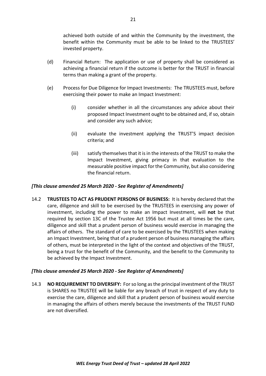achieved both outside of and within the Community by the investment, the benefit within the Community must be able to be linked to the TRUSTEES' invested property.

- (d) Financial Return: The application or use of property shall be considered as achieving a financial return if the outcome is better for the TRUST in financial terms than making a grant of the property.
- (e) Process for Due Diligence for Impact Investments: The TRUSTEES must, before exercising their power to make an Impact Investment:
	- (i) consider whether in all the circumstances any advice about their proposed Impact Investment ought to be obtained and, if so, obtain and consider any such advice;
	- (ii) evaluate the investment applying the TRUST'S impact decision criteria; and
	- (iii) satisfy themselves that it is in the interests of the TRUST to make the Impact Investment, giving primacy in that evaluation to the measurable positive impact for the Community, but also considering the financial return.

# *[This clause amended 25 March 2020 - See Register of Amendments]*

14.2 **TRUSTEES TO ACT AS PRUDENT PERSONS OF BUSINESS:** It is hereby declared that the care, diligence and skill to be exercised by the TRUSTEES in exercising any power of investment, including the power to make an Impact Investment, will **not** be that required by section 13C of the Trustee Act 1956 but must at all times be the care, diligence and skill that a prudent person of business would exercise in managing the affairs of others. The standard of care to be exercised by the TRUSTEES when making an Impact Investment, being that of a prudent person of business managing the affairs of others, must be interpreted in the light of the context and objectives of the TRUST, being a trust for the benefit of the Community, and the benefit to the Community to be achieved by the Impact Investment.

# *[This clause amended 25 March 2020 - See Register of Amendments]*

14.3 **NO REQUIREMENT TO DIVERSIFY:** For so long as the principal investment of the TRUST is SHARES no TRUSTEE will be liable for any breach of trust in respect of any duty to exercise the care, diligence and skill that a prudent person of business would exercise in managing the affairs of others merely because the investments of the TRUST FUND are not diversified.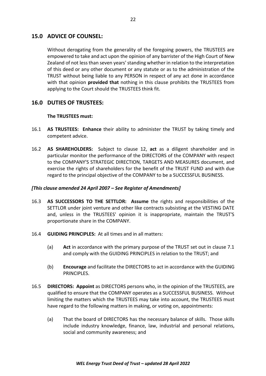# **15.0 ADVICE OF COUNSEL:**

Without derogating from the generality of the foregoing powers, the TRUSTEES are empowered to take and act upon the opinion of any barrister of the High Court of New Zealand of not less than seven years' standing whether in relation to the interpretation of this deed or any other document or any statute or as to the administration of the TRUST without being liable to any PERSON in respect of any act done in accordance with that opinion **provided that** nothing in this clause prohibits the TRUSTEES from applying to the Court should the TRUSTEES think fit.

# **16.0 DUTIES OF TRUSTEES:**

#### **The TRUSTEES must:**

- 16.1 **AS TRUSTEES: Enhance** their ability to administer the TRUST by taking timely and competent advice.
- 16.2 **AS SHAREHOLDERS:** Subject to clause 12, **act** as a diligent shareholder and in particular monitor the performance of the DIRECTORS of the COMPANY with respect to the COMPANY'S STRATEGIC DIRECTION, TARGETS AND MEASURES document, and exercise the rights of shareholders for the benefit of the TRUST FUND and with due regard to the principal objective of the COMPANY to be a SUCCESSFUL BUSINESS.

#### *[This clause amended 24 April 2007 – See Register of Amendments]*

- 16.3 **AS SUCCESSORS TO THE SETTLOR: Assume** the rights and responsibilities of the SETTLOR under joint venture and other like contracts subsisting at the VESTING DATE and, unless in the TRUSTEES' opinion it is inappropriate, maintain the TRUST'S proportionate share in the COMPANY.
- 16.4 **GUIDING PRINCIPLES:** At all times and in all matters:
	- (a) **Act** in accordance with the primary purpose of the TRUST set out in clause 7.1 and comply with the GUIDING PRINCIPLES in relation to the TRUST; and
	- (b) **Encourage** and facilitate the DIRECTORS to act in accordance with the GUIDING PRINCIPLES.
- 16.5 **DIRECTORS: Appoint** as DIRECTORS persons who, in the opinion of the TRUSTEES, are qualified to ensure that the COMPANY operates as a SUCCESSFUL BUSINESS. Without limiting the matters which the TRUSTEES may take into account, the TRUSTEES must have regard to the following matters in making, or voting on, appointments:
	- (a) That the board of DIRECTORS has the necessary balance of skills. Those skills include industry knowledge, finance, law, industrial and personal relations, social and community awareness; and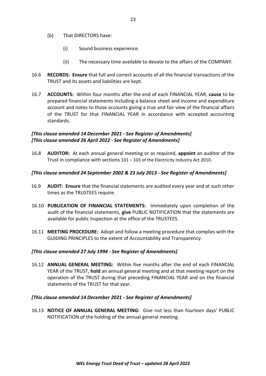- (b) That DIRECTORS have:
	- (i) Sound business experience.
	- (ii) The necessary time available to devote to the affairs of the COMPANY.
- 16.6 **RECORDS: Ensure** that full and correct accounts of all the financial transactions of the TRUST and its assets and liabilities are kept.
- 16.7 **ACCOUNTS:** Within four months after the end of each FINANCIAL YEAR, **cause** to be prepared financial statements including a balance sheet and income and expenditure account and notes to those accounts giving a true and fair view of the financial affairs of the TRUST for that FINANCIAL YEAR in accordance with accepted accounting standards.

# *[This clause amended 14 December 2021 - See Register of Amendments] [This clause amended 26 April 2022 - See Register of Amendments]*

16.8 **AUDITOR:** At each annual general meeting or as required, **appoint** an auditor of the Trust in compliance with sections 101 – 103 of the Electricity Industry Act 2010.

#### *[This clause amended 24 September 2002 & 23 July 2013 - See Register of Amendments]*

- 16.9 **AUDIT: Ensure** that the financial statements are audited every year and at such other times as the TRUSTEES require.
- 16.10 **PUBLICATION OF FINANCIAL STATEMENTS:** Immediately upon completion of the audit of the financial statements, **give** PUBLIC NOTIFICATION that the statements are available for public inspection at the office of the TRUSTEES.
- 16.11 **MEETING PROCEDURE:** Adopt and follow a meeting procedure that complies with the GUIDING PRINCIPLES to the extent of Accountability and Transparency.

#### *[This clause amended 27 July 1994 - See Register of Amendments]*

16.12 **ANNUAL GENERAL MEETING:** Within five months after the end of each FINANCIAL YEAR of the TRUST, **hold** an annual general meeting and at that meeting report on the operation of the TRUST during that preceding FINANCIAL YEAR and on the financial statements of the TRUST for that year.

#### *[This clause amended 14 December 2021 - See Register of Amendments]*

16.13 **NOTICE OF ANNUAL GENERAL MEETING:** Give not less than fourteen days' PUBLIC NOTIFICATION of the holding of the annual general meeting.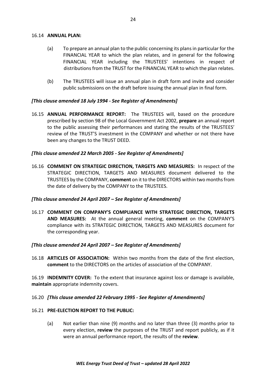#### 16.14 **ANNUAL PLAN:**

- (a) To prepare an annual plan to the public concerning its plans in particular for the FINANCIAL YEAR to which the plan relates, and in general for the following FINANCIAL YEAR including the TRUSTEES' intentions in respect of distributions from the TRUST for the FINANCIAL YEAR to which the plan relates.
- (b) The TRUSTEES will issue an annual plan in draft form and invite and consider public submissions on the draft before issuing the annual plan in final form.

# *[This clause amended 18 July 1994 - See Register of Amendments]*

16.15 **ANNUAL PERFORMANCE REPORT:** The TRUSTEES will, based on the procedure prescribed by section 98 of the Local Government Act 2002, **prepare** an annual report to the public assessing their performances and stating the results of the TRUSTEES' review of the TRUST'S investment in the COMPANY and whether or not there have been any changes to the TRUST DEED.

# *[This clause amended 22 March 2005 - See Register of Amendments]*

16.16 **COMMENT ON STRATEGIC DIRECTION, TARGETS AND MEASURES:** In respect of the STRATEGIC DIRECTION, TARGETS AND MEASURES document delivered to the TRUSTEES by the COMPANY, **comment** on it to the DIRECTORS within two months from the date of delivery by the COMPANY to the TRUSTEES.

# *[This clause amended 24 April 2007 – See Register of Amendments]*

16.17 **COMMENT ON COMPANY'S COMPLIANCE WITH STRATEGIC DIRECTION, TARGETS AND MEASURES:** At the annual general meeting, **comment** on the COMPANY'S compliance with its STRATEGIC DIRECTION, TARGETS AND MEASURES document for the corresponding year.

# *[This clause amended 24 April 2007 – See Register of Amendments]*

16.18 **ARTICLES OF ASSOCIATION:** Within two months from the date of the first election, **comment** to the DIRECTORS on the articles of association of the COMPANY.

16.19 **INDEMNITY COVER:** To the extent that insurance against loss or damage is available, **maintain** appropriate indemnity covers.

# 16.20 *[This clause amended 22 February 1995 - See Register of Amendments]*

# 16.21 **PRE-ELECTION REPORT TO THE PUBLIC:**

(a) Not earlier than nine (9) months and no later than three (3) months prior to every election, **review** the purposes of the TRUST and report publicly, as if it were an annual performance report, the results of the **review**.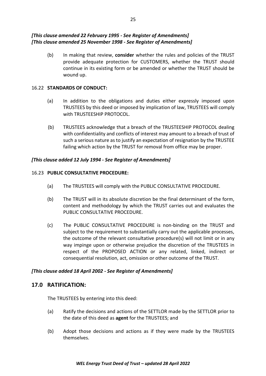# *[This clause amended 22 February 1995 - See Register of Amendments] [This clause amended 25 November 1998 - See Register of Amendments]*

(b) In making that review, **consider** whether the rules and policies of the TRUST provide adequate protection for CUSTOMERS, whether the TRUST should continue in its existing form or be amended or whether the TRUST should be wound up.

# 16.22 **STANDARDS OF CONDUCT:**

- (a) In addition to the obligations and duties either expressly imposed upon TRUSTEES by this deed or imposed by implication of law, TRUSTEES will comply with TRUSTEESHIP PROTOCOL.
- (b) TRUSTEES acknowledge that a breach of the TRUSTEESHIP PROTOCOL dealing with confidentiality and conflicts of interest may amount to a breach of trust of such a serious nature as to justify an expectation of resignation by the TRUSTEE failing which action by the TRUST for removal from office may be proper.

# *[This clause added 12 July 1994 - See Register of Amendments]*

# 16.23 **PUBLIC CONSULTATIVE PROCEDURE:**

- (a) The TRUSTEES will comply with the PUBLIC CONSULTATIVE PROCEDURE.
- (b) The TRUST will in its absolute discretion be the final determinant of the form, content and methodology by which the TRUST carries out and evaluates the PUBLIC CONSULTATIVE PROCEDURE.
- (c) The PUBLIC CONSULTATIVE PROCEDURE is non-binding on the TRUST and subject to the requirement to substantially carry out the applicable processes, the outcome of the relevant consultative procedure(s) will not limit or in any way impinge upon or otherwise prejudice the discretion of the TRUSTEES in respect of the PROPOSED ACTION or any related, linked, indirect or consequential resolution, act, omission or other outcome of the TRUST.

# *[This clause added 18 April 2002 - See Register of Amendments]*

# **17.0 RATIFICATION:**

The TRUSTEES by entering into this deed:

- (a) Ratify the decisions and actions of the SETTLOR made by the SETTLOR prior to the date of this deed as **agent** for the TRUSTEES; and
- (b) Adopt those decisions and actions as if they were made by the TRUSTEES themselves.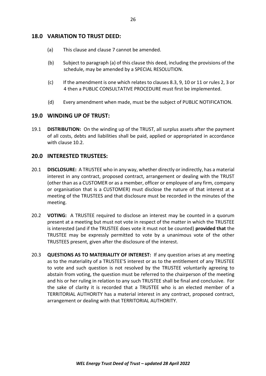# **18.0 VARIATION TO TRUST DEED:**

- (a) This clause and clause 7 cannot be amended.
- (b) Subject to paragraph (a) of this clause this deed, including the provisions of the schedule, may be amended by a SPECIAL RESOLUTION.
- (c) If the amendment is one which relates to clauses 8.3, 9, 10 or 11 or rules 2, 3 or 4 then a PUBLIC CONSULTATIVE PROCEDURE must first be implemented.
- (d) Every amendment when made, must be the subject of PUBLIC NOTIFICATION.

# **19.0 WINDING UP OF TRUST:**

19.1 **DISTRIBUTION:** On the winding up of the TRUST, all surplus assets after the payment of all costs, debts and liabilities shall be paid, applied or appropriated in accordance with clause 10.2.

# **20.0 INTERESTED TRUSTEES:**

- 20.1 **DISCLOSURE:** A TRUSTEE who in any way, whether directly or indirectly, has a material interest in any contract, proposed contract, arrangement or dealing with the TRUST (other than as a CUSTOMER or as a member, officer or employee of any firm, company or organisation that is a CUSTOMER) must disclose the nature of that interest at a meeting of the TRUSTEES and that disclosure must be recorded in the minutes of the meeting.
- 20.2 **VOTING:** A TRUSTEE required to disclose an interest may be counted in a quorum present at a meeting but must not vote in respect of the matter in which the TRUSTEE is interested (and if the TRUSTEE does vote it must not be counted) **provided that** the TRUSTEE may be expressly permitted to vote by a unanimous vote of the other TRUSTEES present, given after the disclosure of the interest.
- 20.3 **QUESTIONS AS TO MATERIALITY OF INTEREST:** If any question arises at any meeting as to the materiality of a TRUSTEE'S interest or as to the entitlement of any TRUSTEE to vote and such question is not resolved by the TRUSTEE voluntarily agreeing to abstain from voting, the question must be referred to the chairperson of the meeting and his or her ruling in relation to any such TRUSTEE shall be final and conclusive. For the sake of clarity it is recorded that a TRUSTEE who is an elected member of a TERRITORIAL AUTHORITY has a material interest in any contract, proposed contract, arrangement or dealing with that TERRITORIAL AUTHORITY.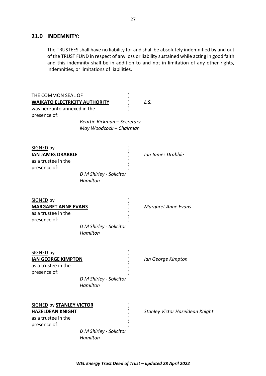# **21.0 INDEMNITY:**

The TRUSTEES shall have no liability for and shall be absolutely indemnified by and out of the TRUST FUND in respect of any loss or liability sustained while acting in good faith and this indemnity shall be in addition to and not in limitation of any other rights, indemnities, or limitations of liabilities.

| <u>THE COMMON SEAL OF</u><br><b>WAIKATO ELECTRICITY AUTHORITY</b><br>was hereunto annexed in the<br>presence of: | Beattie Rickman - Secretary<br>May Woodcock - Chairman | L.S.                            |
|------------------------------------------------------------------------------------------------------------------|--------------------------------------------------------|---------------------------------|
| SIGNED by<br><b>IAN JAMES DRABBLE</b><br>as a trustee in the<br>presence of:                                     | D M Shirley - Solicitor<br>Hamilton                    | Ian James Drabble               |
| SIGNED by<br><b>MARGARET ANNE EVANS</b><br>as a trustee in the<br>presence of:                                   | D M Shirley - Solicitor<br>Hamilton                    | <b>Margaret Anne Evans</b>      |
| SIGNED by<br><b>IAN GEORGE KIMPTON</b><br>as a trustee in the<br>presence of:                                    | D M Shirley - Solicitor<br>Hamilton                    | Ian George Kimpton              |
| <b>SIGNED by STANLEY VICTOR</b><br><b>HAZELDEAN KNIGHT</b><br>as a trustee in the<br>presence of:                | D M Shirley - Solicitor<br>Hamilton                    | Stanley Victor Hazeldean Knight |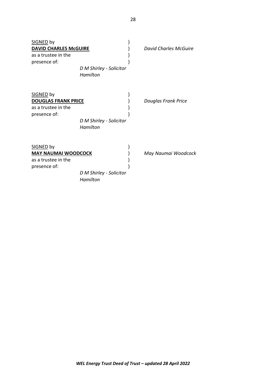| SIGNED by                    |                                     |                       |
|------------------------------|-------------------------------------|-----------------------|
| <b>DAVID CHARLES McGUIRE</b> |                                     | David Charles McGuire |
| as a trustee in the          |                                     |                       |
| presence of:                 |                                     |                       |
|                              | D M Shirley - Solicitor<br>Hamilton |                       |
| SIGNED by                    |                                     |                       |
| <b>DOUGLAS FRANK PRICE</b>   |                                     | Douglas Frank Price   |
| as a trustee in the          |                                     |                       |
| presence of:                 |                                     |                       |
|                              | D M Shirley - Solicitor<br>Hamilton |                       |
|                              |                                     |                       |
| SIGNED by                    |                                     |                       |
| <b>MAY NAUMAI WOODCOCK</b>   |                                     | May Naumai Woodcock   |
| as a trustee in the          |                                     |                       |
| presence of:                 |                                     |                       |
|                              | D M Shirley - Solicitor<br>Hamilton |                       |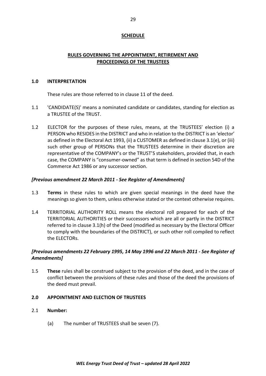# **SCHEDULE**

# **RULES GOVERNING THE APPOINTMENT, RETIREMENT AND PROCEEDINGS OF THE TRUSTEES**

#### **1.0 INTERPRETATION**

These rules are those referred to in clause 11 of the deed.

- 1.1 'CANDIDATE(S)' means a nominated candidate or candidates, standing for election as a TRUSTEE of the TRUST.
- 1.2 ELECTOR for the purposes of these rules, means, at the TRUSTEES' election (i) a PERSON who RESIDES in the DISTRICT and who in relation to the DISTRICT is an 'elector' as defined in the Electoral Act 1993, (ii) a CUSTOMER as defined in clause 3.1(e), or (iii) such other group of PERSONs that the TRUSTEES determine in their discretion are representative of the COMPANY's or the TRUST'S stakeholders, provided that, in each case, the COMPANY is "consumer-owned" as that term is defined in section 54D of the Commerce Act 1986 or any successor section.

# *[Previous amendment 22 March 2011 - See Register of Amendments]*

- 1.3 **Terms** in these rules to which are given special meanings in the deed have the meanings so given to them, unless otherwise stated or the context otherwise requires.
- 1.4 TERRITORIAL AUTHORITY ROLL means the electoral roll prepared for each of the TERRITORIAL AUTHORITIES or their successors which are all or partly in the DISTRICT referred to in clause 3.1(h) of the Deed (modified as necessary by the Electoral Officer to comply with the boundaries of the DISTRICT), or such other roll compiled to reflect the ELECTORs.

# *[Previous amendments 22 February 1995, 14 May 1996 and 22 March 2011 - See Register of Amendments]*

1.5 **These** rules shall be construed subject to the provision of the deed, and in the case of conflict between the provisions of these rules and those of the deed the provisions of the deed must prevail.

# **2.0 APPOINTMENT AND ELECTION OF TRUSTEES**

# 2.1 **Number:**

(a) The number of TRUSTEES shall be seven (7).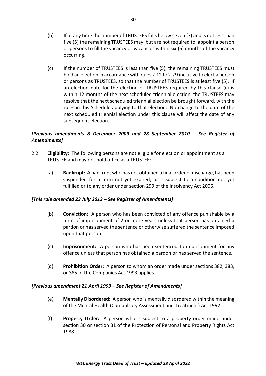- (b) If at any time the number of TRUSTEES falls below seven (7) and is not less than five (5) the remaining TRUSTEES may, but are not required to, appoint a person or persons to fill the vacancy or vacancies within six (6) months of the vacancy occurring.
- (c) If the number of TRUSTEES is less than five (5), the remaining TRUSTEES must hold an election in accordance with rules 2.12 to 2.29 inclusive to elect a person or persons as TRUSTEES, so that the number of TRUSTEES is at least five (5). If an election date for the election of TRUSTEES required by this clause (c) is within 12 months of the next scheduled triennial election, the TRUSTEES may resolve that the next scheduled triennial election be brought forward, with the rules in this Schedule applying to that election. No change to the date of the next scheduled triennial election under this clause will affect the date of any subsequent election.

# *[Previous amendments 8 December 2009 and 28 September 2010 – See Register of Amendments]*

- 2.2 **Eligibility:** The following persons are not eligible for election or appointment as a TRUSTEE and may not hold office as a TRUSTEE:
	- (a) **Bankrupt:** A bankrupt who has not obtained a final order of discharge, has been suspended for a term not yet expired, or is subject to a condition not yet fulfilled or to any order under section 299 of the Insolvency Act 2006.

# *[This rule amended 23 July 2013 – See Register of Amendments]*

- (b) **Conviction:** A person who has been convicted of any offence punishable by a term of imprisonment of 2 or more years unless that person has obtained a pardon or has served the sentence or otherwise suffered the sentence imposed upon that person.
- (c) **Imprisonment:** A person who has been sentenced to imprisonment for any offence unless that person has obtained a pardon or has served the sentence.
- (d) **Prohibition Order:** A person to whom an order made under sections 382, 383, or 385 of the Companies Act 1993 applies.

# *[Previous amendment 21 April 1999 – See Register of Amendments]*

- (e) **Mentally Disordered:** A person who is mentally disordered within the meaning of the Mental Health (Compulsory Assessment and Treatment) Act 1992.
- (f) **Property Order:** A person who is subject to a property order made under section 30 or section 31 of the Protection of Personal and Property Rights Act 1988.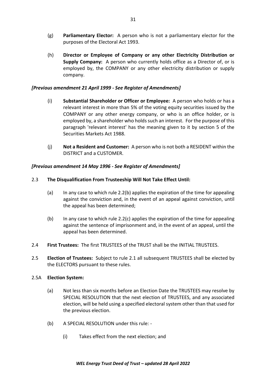- (g) **Parliamentary Elector:** A person who is not a parliamentary elector for the purposes of the Electoral Act 1993.
- (h) **Director or Employee of Company or any other Electricity Distribution or Supply Company:** A person who currently holds office as a Director of, or is employed by, the COMPANY or any other electricity distribution or supply company.

# *[Previous amendment 21 April 1999 - See Register of Amendments]*

- (i) **Substantial Shareholder or Officer or Employee:** A person who holds or has a relevant interest in more than 5% of the voting equity securities issued by the COMPANY or any other energy company, or who is an office holder, or is employed by, a shareholder who holds such an interest. For the purpose of this paragraph 'relevant interest' has the meaning given to it by section 5 of the Securities Markets Act 1988.
- (j) **Not a Resident and Customer:** A person who is not both a RESIDENT within the DISTRICT and a CUSTOMER.

# *[Previous amendment 14 May 1996 - See Register of Amendments]*

# 2.3 **The Disqualification From Trusteeship Will Not Take Effect Until:**

- (a) In any case to which rule 2.2(b) applies the expiration of the time for appealing against the conviction and, in the event of an appeal against conviction, until the appeal has been determined;
- (b) In any case to which rule 2.2(c) applies the expiration of the time for appealing against the sentence of imprisonment and, in the event of an appeal, until the appeal has been determined.
- 2.4 **First Trustees:** The first TRUSTEES of the TRUST shall be the INITIAL TRUSTEES.
- 2.5 **Election of Trustees:** Subject to rule 2.1 all subsequent TRUSTEES shall be elected by the ELECTORS pursuant to these rules.

# 2.5A **Election System:**

- (a) Not less than six months before an Election Date the TRUSTEES may resolve by SPECIAL RESOLUTION that the next election of TRUSTEES, and any associated election, will be held using a specified electoral system other than that used for the previous election.
- (b) A SPECIAL RESOLUTION under this rule:
	- (i) Takes effect from the next election; and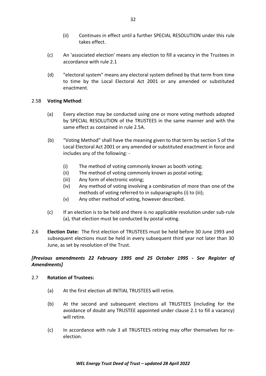- (ii) Continues in effect until a further SPECIAL RESOLUTION under this rule takes effect.
- (c) An 'associated election' means any election to fill a vacancy in the Trustees in accordance with rule 2.1
- (d) "electoral system" means any electoral system defined by that term from time to time by the Local Electoral Act 2001 or any amended or substituted enactment.

# 2.5B **Voting Method**:

- (a) Every election may be conducted using one or more voting methods adopted by SPECIAL RESOLUTION of the TRUSTEES in the same manner and with the same effect as contained in rule 2.5A.
- (b) "Voting Method" shall have the meaning given to that term by section 5 of the Local Electoral Act 2001 or any amended or substituted enactment in force and includes any of the following: -
	- (i) The method of voting commonly known as booth voting;
	- (ii) The method of voting commonly known as postal voting;
	- (iii) Any form of electronic voting;
	- (iv) Any method of voting involving a combination of more than one of the methods of voting referred to in subparagraphs (i) to (iii);
	- (v) Any other method of voting, however described.
- (c) If an election is to be held and there is no applicable resolution under sub-rule (a), that election must be conducted by postal voting.
- 2.6 **Election Date:** The first election of TRUSTEES must be held before 30 June 1993 and subsequent elections must be held in every subsequent third year not later than 30 June, as set by resolution of the Trust.

# *[Previous amendments 22 February 1995 and 25 October 1995 - See Register of Amendments]*

# 2.7 **Rotation of Trustees:**

- (a) At the first election all INITIAL TRUSTEES will retire.
- (b) At the second and subsequent elections all TRUSTEES (including for the avoidance of doubt any TRUSTEE appointed under clause 2.1 to fill a vacancy) will retire.
- (c) In accordance with rule 3 all TRUSTEES retiring may offer themselves for reelection.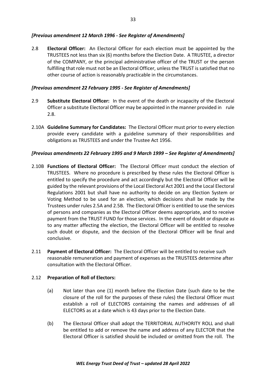# *[Previous amendment 12 March 1996 - See Register of Amendments]*

2.8 **Electoral Officer:** An Electoral Officer for each election must be appointed by the TRUSTEES not less than six (6) months before the Election Date. A TRUSTEE, a director of the COMPANY, or the principal administrative officer of the TRUST or the person fulfilling that role must not be an Electoral Officer, unless the TRUST is satisfied that no other course of action is reasonably practicable in the circumstances.

# *[Previous amendment 22 February 1995 - See Register of Amendments]*

- 2.9 **Substitute Electoral Officer:** In the event of the death or incapacity of the Electoral Officer a substitute Electoral Officer may be appointed in the manner provided in rule 2.8.
- 2.10A **Guideline Summary for Candidates:** The Electoral Officer must prior to every election provide every candidate with a guideline summary of their responsibilities and obligations as TRUSTEES and under the Trustee Act 1956.

#### *[Previous amendments 22 February 1995 and 9 March 1999 – See Register of Amendments]*

- 2.10B **Functions of Electoral Officer:** The Electoral Officer must conduct the election of TRUSTEES. Where no procedure is prescribed by these rules the Electoral Officer is entitled to specify the procedure and act accordingly but the Electoral Officer will be guided by the relevant provisions of the Local Electoral Act 2001 and the Local Electoral Regulations 2001 but shall have no authority to decide on any Election System or Voting Method to be used for an election, which decisions shall be made by the Trustees under rules 2.5A and 2.5B. The Electoral Officer is entitled to use the services of persons and companies as the Electoral Officer deems appropriate, and to receive payment from the TRUST FUND for those services. In the event of doubt or dispute as to any matter affecting the election, the Electoral Officer will be entitled to resolve such doubt or dispute, and the decision of the Electoral Officer will be final and conclusive.
- 2.11 **Payment of Electoral Officer:** The Electoral Officer will be entitled to receive such reasonable remuneration and payment of expenses as the TRUSTEES determine after consultation with the Electoral Officer.

# 2.12 **Preparation of Roll of Electors:**

- (a) Not later than one (1) month before the Election Date (such date to be the closure of the roll for the purposes of these rules) the Electoral Officer must establish a roll of ELECTORS containing the names and addresses of all ELECTORS as at a date which is 43 days prior to the Election Date.
- (b) The Electoral Officer shall adopt the TERRITORIAL AUTHORITY ROLL and shall be entitled to add or remove the name and address of any ELECTOR that the Electoral Officer is satisfied should be included or omitted from the roll. The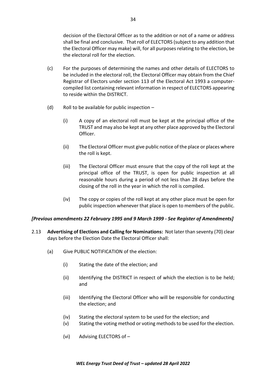decision of the Electoral Officer as to the addition or not of a name or address shall be final and conclusive. That roll of ELECTORS (subject to any addition that the Electoral Officer may make) will, for all purposes relating to the election, be the electoral roll for the election.

- (c) For the purposes of determining the names and other details of ELECTORS to be included in the electoral roll, the Electoral Officer may obtain from the Chief Registrar of Electors under section 113 of the Electoral Act 1993 a computercompiled list containing relevant information in respect of ELECTORS appearing to reside within the DISTRICT.
- (d) Roll to be available for public inspection  $-$ 
	- (i) A copy of an electoral roll must be kept at the principal office of the TRUST and may also be kept at any other place approved by the Electoral Officer.
	- (ii) The Electoral Officer must give public notice of the place or places where the roll is kept.
	- (iii) The Electoral Officer must ensure that the copy of the roll kept at the principal office of the TRUST, is open for public inspection at all reasonable hours during a period of not less than 28 days before the closing of the roll in the year in which the roll is compiled.
	- (iv) The copy or copies of the roll kept at any other place must be open for public inspection whenever that place is open to members of the public.

# *[Previous amendments 22 February 1995 and 9 March 1999 - See Register of Amendments]*

- 2.13 **Advertising of Elections and Calling for Nominations:** Not later than seventy (70) clear days before the Election Date the Electoral Officer shall:
	- (a) Give PUBLIC NOTIFICATION of the election:
		- (i) Stating the date of the election; and
		- (ii) Identifying the DISTRICT in respect of which the election is to be held; and
		- (iii) Identifying the Electoral Officer who will be responsible for conducting the election; and
		- (iv) Stating the electoral system to be used for the election; and
		- (v) Stating the voting method or voting methods to be used for the election.
		- (vi) Advising ELECTORS of –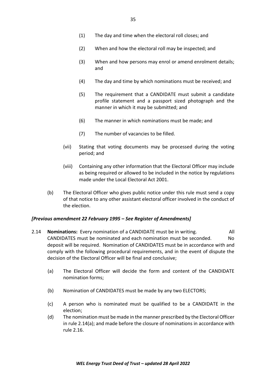- (2) When and how the electoral roll may be inspected; and
- (3) When and how persons may enrol or amend enrolment details; and
- (4) The day and time by which nominations must be received; and
- (5) The requirement that a CANDIDATE must submit a candidate profile statement and a passport sized photograph and the manner in which it may be submitted; and
- (6) The manner in which nominations must be made; and
- (7) The number of vacancies to be filled.
- (vii) Stating that voting documents may be processed during the voting period; and
- (viii) Containing any other information that the Electoral Officer may include as being required or allowed to be included in the notice by regulations made under the Local Electoral Act 2001.
- (b) The Electoral Officer who gives public notice under this rule must send a copy of that notice to any other assistant electoral officer involved in the conduct of the election.

# *[Previous amendment 22 February 1995 – See Register of Amendments]*

- 2.14 **Nominations:** Every nomination of a CANDIDATE must be in writing. All CANDIDATES must be nominated and each nomination must be seconded. No deposit will be required. Nomination of CANDIDATES must be in accordance with and comply with the following procedural requirements, and in the event of dispute the decision of the Electoral Officer will be final and conclusive;
	- (a) The Electoral Officer will decide the form and content of the CANDIDATE nomination forms;
	- (b) Nomination of CANDIDATES must be made by any two ELECTORS;
	- (c) A person who is nominated must be qualified to be a CANDIDATE in the election;
	- (d) The nomination must be made in the manner prescribed by the Electoral Officer in rule 2.14(a); and made before the closure of nominations in accordance with rule 2.16.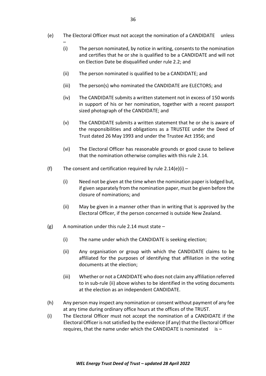- (e) The Electoral Officer must not accept the nomination of a CANDIDATE unless
	- (i) The person nominated, by notice in writing, consents to the nomination and certifies that he or she is qualified to be a CANDIDATE and will not on Election Date be disqualified under rule 2.2; and
	- (ii) The person nominated is qualified to be a CANDIDATE; and
	- (iii) The person(s) who nominated the CANDIDATE are ELECTORS; and
	- (iv) The CANDIDATE submits a written statement not in excess of 150 words in support of his or her nomination, together with a recent passport sized photograph of the CANDIDATE; and
	- (v) The CANDIDATE submits a written statement that he or she is aware of the responsibilities and obligations as a TRUSTEE under the Deed of Trust dated 26 May 1993 and under the Trustee Act 1956; and
	- (vi) The Electoral Officer has reasonable grounds or good cause to believe that the nomination otherwise complies with this rule 2.14.
- (f) The consent and certification required by rule  $2.14(e)(i)$ 
	- (i) Need not be given at the time when the nomination paper is lodged but, if given separately from the nomination paper, must be given before the closure of nominations; and
	- (ii) May be given in a manner other than in writing that is approved by the Electoral Officer, if the person concerned is outside New Zealand.
- (g) A nomination under this rule 2.14 must state  $-$ 
	- (i) The name under which the CANDIDATE is seeking election;
	- (ii) Any organisation or group with which the CANDIDATE claims to be affiliated for the purposes of identifying that affiliation in the voting documents at the election;
	- (iii) Whether or not a CANDIDATE who does not claim any affiliation referred to in sub-rule (ii) above wishes to be identified in the voting documents at the election as an independent CANDIDATE.
- (h) Any person may inspect any nomination or consent without payment of any fee at any time during ordinary office hours at the offices of the TRUST.
- (i) The Electoral Officer must not accept the nomination of a CANDIDATE if the Electoral Officer is not satisfied by the evidence (if any) that the Electoral Officer requires, that the name under which the CANDIDATE is nominated is  $-$

–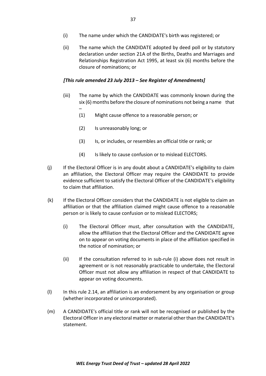- (i) The name under which the CANDIDATE's birth was registered; or
- (ii) The name which the CANDIDATE adopted by deed poll or by statutory declaration under section 21A of the Births, Deaths and Marriages and Relationships Registration Act 1995, at least six (6) months before the closure of nominations; or

# *[This rule amended 23 July 2013 – See Register of Amendments]*

- (iii) The name by which the CANDIDATE was commonly known during the six (6) months before the closure of nominations not being a name that
	- (1) Might cause offence to a reasonable person; or
	- (2) Is unreasonably long; or

–

- (3) Is, or includes, or resembles an official title or rank; or
- (4) Is likely to cause confusion or to mislead ELECTORS.
- (j) If the Electoral Officer is in any doubt about a CANDIDATE's eligibility to claim an affiliation, the Electoral Officer may require the CANDIDATE to provide evidence sufficient to satisfy the Electoral Officer of the CANDIDATE's eligibility to claim that affiliation.
- (k) If the Electoral Officer considers that the CANDIDATE is not eligible to claim an affiliation or that the affiliation claimed might cause offence to a reasonable person or is likely to cause confusion or to mislead ELECTORS;
	- (i) The Electoral Officer must, after consultation with the CANDIDATE, allow the affiliation that the Electoral Officer and the CANDIDATE agree on to appear on voting documents in place of the affiliation specified in the notice of nomination; or
	- (ii) If the consultation referred to in sub-rule (i) above does not result in agreement or is not reasonably practicable to undertake, the Electoral Officer must not allow any affiliation in respect of that CANDIDATE to appear on voting documents.
- (l) In this rule 2.14, an affiliation is an endorsement by any organisation or group (whether incorporated or unincorporated).
- (m) A CANDIDATE's official title or rank will not be recognised or published by the Electoral Officer in any electoral matter or material other than the CANDIDATE's statement.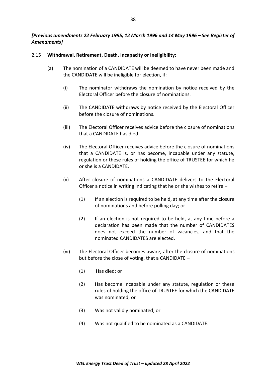# *[Previous amendments 22 February 1995, 12 March 1996 and 14 May 1996 – See Register of Amendments]*

# 2.15 **Withdrawal, Retirement, Death, Incapacity or Ineligibility:**

- (a) The nomination of a CANDIDATE will be deemed to have never been made and the CANDIDATE will be ineligible for election, if:
	- (i) The nominator withdraws the nomination by notice received by the Electoral Officer before the closure of nominations.
	- (ii) The CANDIDATE withdraws by notice received by the Electoral Officer before the closure of nominations.
	- (iii) The Electoral Officer receives advice before the closure of nominations that a CANDIDATE has died.
	- (iv) The Electoral Officer receives advice before the closure of nominations that a CANDIDATE is, or has become, incapable under any statute, regulation or these rules of holding the office of TRUSTEE for which he or she is a CANDIDATE.
	- (v) After closure of nominations a CANDIDATE delivers to the Electoral Officer a notice in writing indicating that he or she wishes to retire –
		- (1) If an election is required to be held, at any time after the closure of nominations and before polling day; or
		- (2) If an election is not required to be held, at any time before a declaration has been made that the number of CANDIDATES does not exceed the number of vacancies, and that the nominated CANDIDATES are elected.
	- (vi) The Electoral Officer becomes aware, after the closure of nominations but before the close of voting, that a CANDIDATE –
		- (1) Has died; or
		- (2) Has become incapable under any statute, regulation or these rules of holding the office of TRUSTEE for which the CANDIDATE was nominated; or
		- (3) Was not validly nominated; or
		- (4) Was not qualified to be nominated as a CANDIDATE.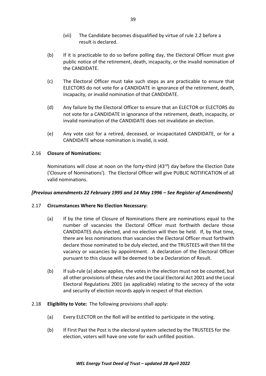- (vii) The Candidate becomes disqualified by virtue of rule 2.2 before a result is declared.
- (b) If it is practicable to do so before polling day, the Electoral Officer must give public notice of the retirement, death, incapacity, or the invalid nomination of the CANDIDATE.
- (c) The Electoral Officer must take such steps as are practicable to ensure that ELECTORS do not vote for a CANDIDATE in ignorance of the retirement, death, incapacity, or invalid nomination of that CANDIDATE.
- (d) Any failure by the Electoral Officer to ensure that an ELECTOR or ELECTORS do not vote for a CANDIDATE in ignorance of the retirement, death, incapacity, or invalid nomination of the CANDIDATE does not invalidate an election.
- (e) Any vote cast for a retired, deceased, or incapacitated CANDIDATE, or for a CANDIDATE whose nomination is invalid, is void.

# 2.16 **Closure of Nominations:**

Nominations will close at noon on the forty-third (43<sup>rd</sup>) day before the Election Date ('Closure of Nominations'). The Electoral Officer will give PUBLIC NOTIFICATION of all valid nominations.

# *[Previous amendments 22 February 1995 and 14 May 1996 – See Register of Amendments]*

# 2.17 **Circumstances Where No Election Necessary:**

- (a) If by the time of Closure of Nominations there are nominations equal to the number of vacancies the Electoral Officer must forthwith declare those CANDIDATES duly elected, and no election will then be held. If, by that time, there are less nominations than vacancies the Electoral Officer must forthwith declare those nominated to be duly elected, and the TRUSTEES will then fill the vacancy or vacancies by appointment. A declaration of the Electoral Officer pursuant to this clause will be deemed to be a Declaration of Result.
- (b) If sub-rule (a) above applies, the votes in the election must not be counted, but all other provisions of these rules and the Local Electoral Act 2001 and the Local Electoral Regulations 2001 (as applicable) relating to the secrecy of the vote and security of election records apply in respect of that election.
- 2.18 **Eligibility to Vote:** The following provisions shall apply:
	- (a) Every ELECTOR on the Roll will be entitled to participate in the voting.
	- (b) If First Past the Post is the electoral system selected by the TRUSTEES for the election, voters will have one vote for each unfilled position.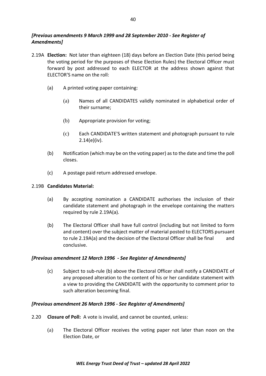# *[Previous amendments 9 March 1999 and 28 September 2010 - See Register of Amendments]*

- 2.19A **Election:** Not later than eighteen (18) days before an Election Date (this period being the voting period for the purposes of these Election Rules) the Electoral Officer must forward by post addressed to each ELECTOR at the address shown against that ELECTOR'S name on the roll:
	- (a) A printed voting paper containing:
		- (a) Names of all CANDIDATES validly nominated in alphabetical order of their surname;
		- (b) Appropriate provision for voting;
		- (c) Each CANDIDATE'S written statement and photograph pursuant to rule 2.14(e)(iv).
	- (b) Notification (which may be on the voting paper) as to the date and time the poll closes.
	- (c) A postage paid return addressed envelope.

# 2.19B **Candidates Material:**

- (a) By accepting nomination a CANDIDATE authorises the inclusion of their candidate statement and photograph in the envelope containing the matters required by rule 2.19A(a).
- (b) The Electoral Officer shall have full control (including but not limited to form and content) over the subject matter of material posted to ELECTORS pursuant to rule 2.19A(a) and the decision of the Electoral Officer shall be final and conclusive.

# *[Previous amendment 12 March 1996 - See Register of Amendments]*

(c) Subject to sub-rule (b) above the Electoral Officer shall notify a CANDIDATE of any proposed alteration to the content of his or her candidate statement with a view to providing the CANDIDATE with the opportunity to comment prior to such alteration becoming final.

# *[Previous amendment 26 March 1996 - See Register of Amendments]*

- 2.20 **Closure of Poll:** A vote is invalid, and cannot be counted, unless:
	- (a) The Electoral Officer receives the voting paper not later than noon on the Election Date, or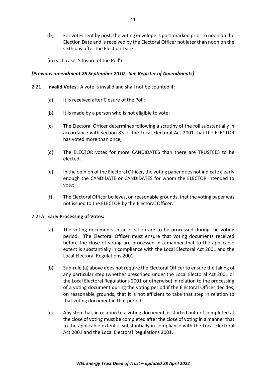(b) For votes sent by post, the voting envelope is post-marked prior to noon on the Election Date and is received by the Electoral Officer not later than noon on the sixth day after the Election Date

(in each case, 'Closure of the Poll').

# *[Previous amendment 28 September 2010 - See Register of Amendments]*

- 2.21 **Invalid Votes:** A vote is invalid and shall not be counted if:
	- (a) It is received after Closure of the Poll;
	- (b) It is made by a person who is not eligible to vote;
	- (c) The Electoral Officer determines following a scrutiny of the roll substantially in accordance with section 83 of the Local Electoral Act 2001 that the ELECTOR has voted more than once;
	- (d) The ELECTOR votes for more CANDIDATES than there are TRUSTEES to be elected;
	- (e) In the opinion of the Electoral Officer, the voting paper does not indicate clearly enough the CANDIDATE or CANDIDATES for whom the ELECTOR intended to vote;
	- (f) The Electoral Officer believes, on reasonable grounds, that the voting paper was not issued to the ELECTOR by the Electoral Officer.

# 2.21A **Early Processing of Votes:**

- (a) The voting documents in an election are to be processed during the voting period. The Electoral Officer must ensure that voting documents received before the close of voting are processed in a manner that to the applicable extent is substantially in compliance with the Local Electoral Act 2001 and the Local Electoral Regulations 2001.
- (b) Sub-rule (a) above does not require the Electoral Officer to ensure the taking of any particular step (whether prescribed under the Local Electoral Act 2001 or the Local Electoral Regulations 2001 or otherwise) in relation to the processing of a voting document during the voting period if the Electoral Officer decides, on reasonable grounds, that it is not efficient to take that step in relation to that voting document in that period.
- (c) Any step that, in relation to a voting document, is started but not completed at the close of voting must be completed after the close of voting in a manner that to the applicable extent is substantially in compliance with the Local Electoral Act 2001 and the Local Electoral Regulations 2001.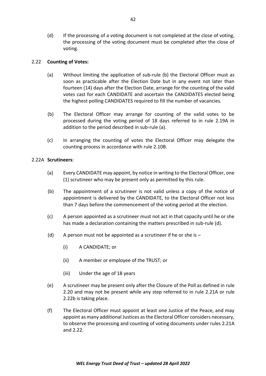(d) If the processing of a voting document is not completed at the close of voting, the processing of the voting document must be completed after the close of voting.

# 2.22 **Counting of Votes:**

- (a) Without limiting the application of sub-rule (b) the Electoral Officer must as soon as practicable after the Election Date but in any event not later than fourteen (14) days after the Election Date, arrange for the counting of the valid votes cast for each CANDIDATE and ascertain the CANDIDATES elected being the highest polling CANDIDATES required to fill the number of vacancies.
- (b) The Electoral Officer may arrange for counting of the valid votes to be processed during the voting period of 18 days referred to in rule 2.19A in addition to the period described in sub-rule (a).
- (c) In arranging the counting of votes the Electoral Officer may delegate the counting process in accordance with rule 2.10B.

# 2.22A **Scrutineers**:

- (a) Every CANDIDATE may appoint, by notice in writing to the Electoral Officer, one (1) scrutineer who may be present only as permitted by this rule.
- (b) The appointment of a scrutineer is not valid unless a copy of the notice of appointment is delivered by the CANDIDATE, to the Electoral Officer not less than 7 days before the commencement of the voting period at the election.
- (c) A person appointed as a scrutineer must not act in that capacity until he or she has made a declaration containing the matters prescribed in sub-rule (d).
- (d) A person must not be appointed as a scrutineer if he or she is  $-$ 
	- (i) A CANDIDATE; or
	- (ii) A member or employee of the TRUST; or
	- (iii) Under the age of 18 years
- (e) A scrutineer may be present only after the Closure of the Poll as defined in rule 2.20 and may not be present while any step referred to in rule 2.21A or rule 2.22b is taking place.
- (f) The Electoral Officer must appoint at least one Justice of the Peace, and may appoint as many additional Justices as the Electoral Officer considers necessary, to observe the processing and counting of voting documents under rules 2.21A and 2.22.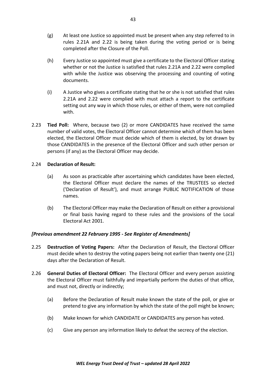- (g) At least one Justice so appointed must be present when any step referred to in rules 2.21A and 2.22 is being taken during the voting period or is being completed after the Closure of the Poll.
- (h) Every Justice so appointed must give a certificate to the Electoral Officer stating whether or not the Justice is satisfied that rules 2.21A and 2.22 were complied with while the Justice was observing the processing and counting of voting documents.
- (i) A Justice who gives a certificate stating that he or she is not satisfied that rules 2.21A and 2.22 were complied with must attach a report to the certificate setting out any way in which those rules, or either of them, were not complied with.
- 2.23 **Tied Poll:** Where, because two (2) or more CANDIDATES have received the same number of valid votes, the Electoral Officer cannot determine which of them has been elected, the Electoral Officer must decide which of them is elected, by lot drawn by those CANDIDATES in the presence of the Electoral Officer and such other person or persons (if any) as the Electoral Officer may decide.

# 2.24 **Declaration of Result:**

- (a) As soon as practicable after ascertaining which candidates have been elected, the Electoral Officer must declare the names of the TRUSTEES so elected ('Declaration of Result'), and must arrange PUBLIC NOTIFICATION of those names.
- (b) The Electoral Officer may make the Declaration of Result on either a provisional or final basis having regard to these rules and the provisions of the Local Electoral Act 2001.

# *[Previous amendment 22 February 1995 - See Register of Amendments]*

- 2.25 **Destruction of Voting Papers:** After the Declaration of Result, the Electoral Officer must decide when to destroy the voting papers being not earlier than twenty one (21) days after the Declaration of Result.
- 2.26 **General Duties of Electoral Officer:** The Electoral Officer and every person assisting the Electoral Officer must faithfully and impartially perform the duties of that office, and must not, directly or indirectly;
	- (a) Before the Declaration of Result make known the state of the poll, or give or pretend to give any information by which the state of the poll might be known;
	- (b) Make known for which CANDIDATE or CANDIDATES any person has voted.
	- (c) Give any person any information likely to defeat the secrecy of the election.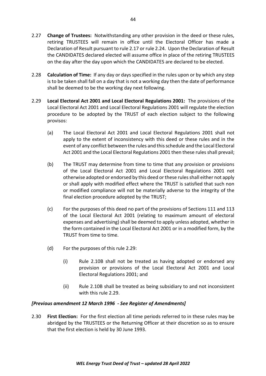- 2.27 **Change of Trustees:** Notwithstanding any other provision in the deed or these rules, retiring TRUSTEES will remain in office until the Electoral Officer has made a Declaration of Result pursuant to rule 2.17 or rule 2.24. Upon the Declaration of Result the CANDIDATES declared elected will assume office in place of the retiring TRUSTEES on the day after the day upon which the CANDIDATES are declared to be elected.
- 2.28 **Calculation of Time:** If any day or days specified in the rules upon or by which any step is to be taken shall fall on a day that is not a working day then the date of performance shall be deemed to be the working day next following.
- 2.29 **Local Electoral Act 2001 and Local Electoral Regulations 2001:** The provisions of the Local Electoral Act 2001 and Local Electoral Regulations 2001 will regulate the election procedure to be adopted by the TRUST of each election subject to the following provisos:
	- (a) The Local Electoral Act 2001 and Local Electoral Regulations 2001 shall not apply to the extent of inconsistency with this deed or these rules and in the event of any conflict between the rules and this schedule and the Local Electoral Act 2001 and the Local Electoral Regulations 2001 then these rules shall prevail;
	- (b) The TRUST may determine from time to time that any provision or provisions of the Local Electoral Act 2001 and Local Electoral Regulations 2001 not otherwise adopted or endorsed by this deed or these rules shall either not apply or shall apply with modified effect where the TRUST is satisfied that such non or modified compliance will not be materially adverse to the integrity of the final election procedure adopted by the TRUST;
	- (c) For the purposes of this deed no part of the provisions of Sections 111 and 113 of the Local Electoral Act 2001 (relating to maximum amount of electoral expenses and advertising) shall be deemed to apply unless adopted, whether in the form contained in the Local Electoral Act 2001 or in a modified form, by the TRUST from time to time.
	- (d) For the purposes of this rule 2.29:
		- (i) Rule 2.10B shall not be treated as having adopted or endorsed any provision or provisions of the Local Electoral Act 2001 and Local Electoral Regulations 2001; and
		- (ii) Rule 2.10B shall be treated as being subsidiary to and not inconsistent with this rule 2.29.

# *[Previous amendment 12 March 1996 - See Register of Amendments]*

2.30 **First Election:** For the first election all time periods referred to in these rules may be abridged by the TRUSTEES or the Returning Officer at their discretion so as to ensure that the first election is held by 30 June 1993.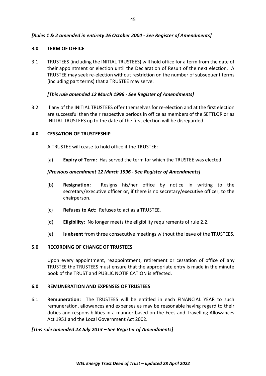# *[Rules 1 & 2 amended in entirety 26 October 2004 - See Register of Amendments]*

# **3.0 TERM OF OFFICE**

3.1 TRUSTEES (including the INITIAL TRUSTEES) will hold office for a term from the date of their appointment or election until the Declaration of Result of the next election. A TRUSTEE may seek re-election without restriction on the number of subsequent terms (including part terms) that a TRUSTEE may serve.

# *[This rule amended 12 March 1996 - See Register of Amendments]*

3.2 If any of the INITIAL TRUSTEES offer themselves for re-election and at the first election are successful then their respective periods in office as members of the SETTLOR or as INITIAL TRUSTEES up to the date of the first election will be disregarded.

# **4.0 CESSATION OF TRUSTEESHIP**

A TRUSTEE will cease to hold office if the TRUSTEE:

(a) **Expiry of Term:** Has served the term for which the TRUSTEE was elected.

# *[Previous amendment 12 March 1996 - See Register of Amendments]*

- (b) **Resignation:** Resigns his/her office by notice in writing to the secretary/executive officer or, if there is no secretary/executive officer, to the chairperson.
- (c) **Refuses to Act:** Refuses to act as a TRUSTEE.
- (d) **Eligibility:** No longer meets the eligibility requirements of rule 2.2.
- (e) **Is absent** from three consecutive meetings without the leave of the TRUSTEES.

# **5.0 RECORDING OF CHANGE OF TRUSTEES**

Upon every appointment, reappointment, retirement or cessation of office of any TRUSTEE the TRUSTEES must ensure that the appropriate entry is made in the minute book of the TRUST and PUBLIC NOTIFICATION is effected.

# **6.0 REMUNERATION AND EXPENSES OF TRUSTEES**

6.1 **Remuneration:** The TRUSTEES will be entitled in each FINANCIAL YEAR to such remuneration, allowances and expenses as may be reasonable having regard to their duties and responsibilities in a manner based on the Fees and Travelling Allowances Act 1951 and the Local Government Act 2002.

# *[This rule amended 23 July 2013 – See Register of Amendments]*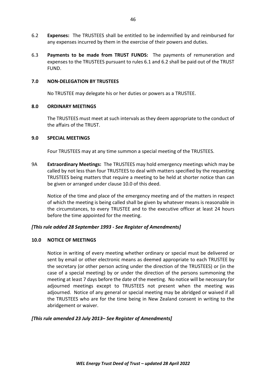- 6.2 **Expenses:** The TRUSTEES shall be entitled to be indemnified by and reimbursed for any expenses incurred by them in the exercise of their powers and duties.
- 6.3 **Payments to be made from TRUST FUNDS:** The payments of remuneration and expenses to the TRUSTEES pursuant to rules 6.1 and 6.2 shall be paid out of the TRUST FUND.

#### **7.0 NON-DELEGATION BY TRUSTEES**

No TRUSTEE may delegate his or her duties or powers as a TRUSTEE.

#### **8.0 ORDINARY MEETINGS**

The TRUSTEES must meet at such intervals as they deem appropriate to the conduct of the affairs of the TRUST.

#### **9.0 SPECIAL MEETINGS**

Four TRUSTEES may at any time summon a special meeting of the TRUSTEES.

9A **Extraordinary Meetings:** The TRUSTEES may hold emergency meetings which may be called by not less than four TRUSTEES to deal with matters specified by the requesting TRUSTEES being matters that require a meeting to be held at shorter notice than can be given or arranged under clause 10.0 of this deed.

Notice of the time and place of the emergency meeting and of the matters in respect of which the meeting is being called shall be given by whatever means is reasonable in the circumstances, to every TRUSTEE and to the executive officer at least 24 hours before the time appointed for the meeting.

# *[This rule added 28 September 1993 - See Register of Amendments]*

# **10.0 NOTICE OF MEETINGS**

Notice in writing of every meeting whether ordinary or special must be delivered or sent by email or other electronic means as deemed appropriate to each TRUSTEE by the secretary (or other person acting under the direction of the TRUSTEES) or (in the case of a special meeting) by or under the direction of the persons summoning the meeting at least 7 days before the date of the meeting. No notice will be necessary for adjourned meetings except to TRUSTEES not present when the meeting was adjourned. Notice of any general or special meeting may be abridged or waived if all the TRUSTEES who are for the time being in New Zealand consent in writing to the abridgement or waiver.

# *[This rule amended 23 July 2013– See Register of Amendments]*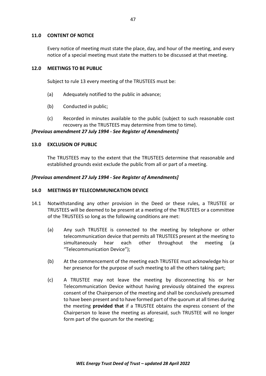# **11.0 CONTENT OF NOTICE**

Every notice of meeting must state the place, day, and hour of the meeting, and every notice of a special meeting must state the matters to be discussed at that meeting.

#### **12.0 MEETINGS TO BE PUBLIC**

Subject to rule 13 every meeting of the TRUSTEES must be:

- (a) Adequately notified to the public in advance;
- (b) Conducted in public;
- (c) Recorded in minutes available to the public (subject to such reasonable cost recovery as the TRUSTEES may determine from time to time).

# *[Previous amendment 27 July 1994 - See Register of Amendments]*

# **13.0 EXCLUSION OF PUBLIC**

The TRUSTEES may to the extent that the TRUSTEES determine that reasonable and established grounds exist exclude the public from all or part of a meeting.

#### *[Previous amendment 27 July 1994 - See Register of Amendments]*

#### **14.0 MEETINGS BY TELECOMMUNICATION DEVICE**

- 14.1 Notwithstanding any other provision in the Deed or these rules, a TRUSTEE or TRUSTEES will be deemed to be present at a meeting of the TRUSTEES or a committee of the TRUSTEES so long as the following conditions are met:
	- (a) Any such TRUSTEE is connected to the meeting by telephone or other telecommunication device that permits all TRUSTEES present at the meeting to simultaneously hear each other throughout the meeting (a "Telecommunication Device");
	- (b) At the commencement of the meeting each TRUSTEE must acknowledge his or her presence for the purpose of such meeting to all the others taking part;
	- (c) A TRUSTEE may not leave the meeting by disconnecting his or her Telecommunication Device without having previously obtained the express consent of the Chairperson of the meeting and shall be conclusively presumed to have been present and to have formed part of the quorum at all times during the meeting **provided that** if a TRUSTEE obtains the express consent of the Chairperson to leave the meeting as aforesaid, such TRUSTEE will no longer form part of the quorum for the meeting;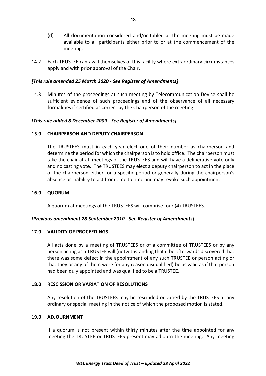- (d) All documentation considered and/or tabled at the meeting must be made available to all participants either prior to or at the commencement of the meeting.
- 14.2 Each TRUSTEE can avail themselves of this facility where extraordinary circumstances apply and with prior approval of the Chair.

#### *[This rule amended 25 March 2020 - See Register of Amendments]*

14.3 Minutes of the proceedings at such meeting by Telecommunication Device shall be sufficient evidence of such proceedings and of the observance of all necessary formalities if certified as correct by the Chairperson of the meeting.

#### *[This rule added 8 December 2009 - See Register of Amendments]*

#### **15.0 CHAIRPERSON AND DEPUTY CHAIRPERSON**

The TRUSTEES must in each year elect one of their number as chairperson and determine the period for which the chairperson is to hold office. The chairperson must take the chair at all meetings of the TRUSTEES and will have a deliberative vote only and no casting vote. The TRUSTEES may elect a deputy chairperson to act in the place of the chairperson either for a specific period or generally during the chairperson's absence or inability to act from time to time and may revoke such appointment.

#### **16.0 QUORUM**

A quorum at meetings of the TRUSTEES will comprise four (4) TRUSTEES.

# *[Previous amendment 28 September 2010 - See Register of Amendments]*

#### **17.0 VALIDITY OF PROCEEDINGS**

All acts done by a meeting of TRUSTEES or of a committee of TRUSTEES or by any person acting as a TRUSTEE will (notwithstanding that it be afterwards discovered that there was some defect in the appointment of any such TRUSTEE or person acting or that they or any of them were for any reason disqualified) be as valid as if that person had been duly appointed and was qualified to be a TRUSTEE.

#### **18.0 RESCISSION OR VARIATION OF RESOLUTIONS**

Any resolution of the TRUSTEES may be rescinded or varied by the TRUSTEES at any ordinary or special meeting in the notice of which the proposed motion is stated.

#### **19.0 ADJOURNMENT**

If a quorum is not present within thirty minutes after the time appointed for any meeting the TRUSTEE or TRUSTEES present may adjourn the meeting. Any meeting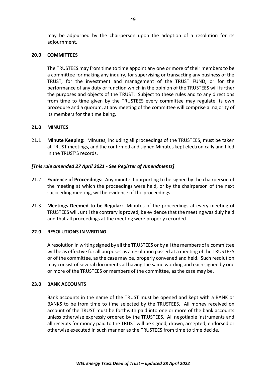may be adjourned by the chairperson upon the adoption of a resolution for its adjournment.

#### **20.0 COMMITTEES**

The TRUSTEES may from time to time appoint any one or more of their members to be a committee for making any inquiry, for supervising or transacting any business of the TRUST, for the investment and management of the TRUST FUND, or for the performance of any duty or function which in the opinion of the TRUSTEES will further the purposes and objects of the TRUST. Subject to these rules and to any directions from time to time given by the TRUSTEES every committee may regulate its own procedure and a quorum, at any meeting of the committee will comprise a majority of its members for the time being.

#### **21.0 MINUTES**

21.1 **Minute Keeping:** Minutes, including all proceedings of the TRUSTEES, must be taken at TRUST meetings, and the confirmed and signed Minutes kept electronically and filed in the TRUST'S records.

# *[This rule amended 27 April 2021 - See Register of Amendments]*

- 21.2 **Evidence of Proceedings:** Any minute if purporting to be signed by the chairperson of the meeting at which the proceedings were held, or by the chairperson of the next succeeding meeting, will be evidence of the proceedings.
- 21.3 **Meetings Deemed to be Regular:** Minutes of the proceedings at every meeting of TRUSTEES will, until the contrary is proved, be evidence that the meeting was duly held and that all proceedings at the meeting were properly recorded.

# **22.0 RESOLUTIONS IN WRITING**

A resolution in writing signed by all the TRUSTEES or by all the members of a committee will be as effective for all purposes as a resolution passed at a meeting of the TRUSTEES or of the committee, as the case may be, properly convened and held. Such resolution may consist of several documents all having the same wording and each signed by one or more of the TRUSTEES or members of the committee, as the case may be.

#### **23.0 BANK ACCOUNTS**

Bank accounts in the name of the TRUST must be opened and kept with a BANK or BANKS to be from time to time selected by the TRUSTEES. All money received on account of the TRUST must be forthwith paid into one or more of the bank accounts unless otherwise expressly ordered by the TRUSTEES. All negotiable instruments and all receipts for money paid to the TRUST will be signed, drawn, accepted, endorsed or otherwise executed in such manner as the TRUSTEES from time to time decide.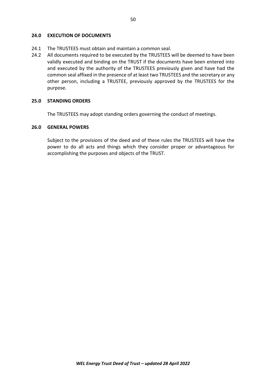#### **24.0 EXECUTION OF DOCUMENTS**

- 24.1 The TRUSTEES must obtain and maintain a common seal.
- 24.2 All documents required to be executed by the TRUSTEES will be deemed to have been validly executed and binding on the TRUST if the documents have been entered into and executed by the authority of the TRUSTEES previously given and have had the common seal affixed in the presence of at least two TRUSTEES and the secretary or any other person, including a TRUSTEE, previously approved by the TRUSTEES for the purpose.

#### **25.0 STANDING ORDERS**

The TRUSTEES may adopt standing orders governing the conduct of meetings.

#### **26.0 GENERAL POWERS**

Subject to the provisions of the deed and of these rules the TRUSTEES will have the power to do all acts and things which they consider proper or advantageous for accomplishing the purposes and objects of the TRUST.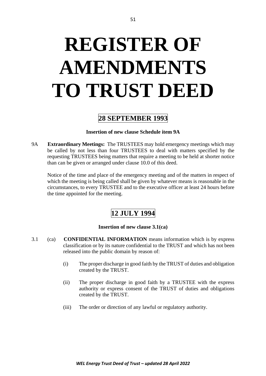# **REGISTER OF AMENDMENTS TO TRUST DEED**

# **28 SEPTEMBER 1993**

# **Insertion of new clause Schedule item 9A**

9A **Extraordinary Meetings:** The TRUSTEES may hold emergency meetings which may be called by not less than four TRUSTEES to deal with matters specified by the requesting TRUSTEES being matters that require a meeting to be held at shorter notice than can be given or arranged under clause 10.0 of this deed.

Notice of the time and place of the emergency meeting and of the matters in respect of which the meeting is being called shall be given by whatever means is reasonable in the circumstances, to every TRUSTEE and to the executive officer at least 24 hours before the time appointed for the meeting.

# **12 JULY 1994**

# **Insertion of new clause 3.1(ca)**

- 3.1 (ca) **CONFIDENTIAL INFORMATION** means information which is by express classification or by its nature confidential to the TRUST and which has not been released into the public domain by reason of:
	- (i) The proper discharge in good faith by the TRUST of duties and obligation created by the TRUST.
	- (ii) The proper discharge in good faith by a TRUSTEE with the express authority or express consent of the TRUST of duties and obligations created by the TRUST.
	- (iii) The order or direction of any lawful or regulatory authority.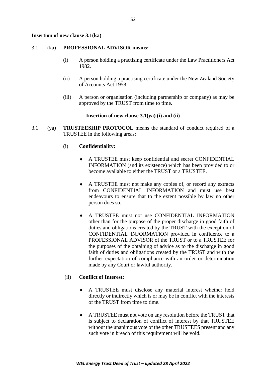#### **Insertion of new clause 3.1(ka)**

#### 3.1 (ka) **PROFESSIONAL ADVISOR means:**

- (i) A person holding a practising certificate under the Law Practitioners Act 1982.
- (ii) A person holding a practising certificate under the New Zealand Society of Accounts Act 1958.
- (iii) A person or organisation (including partnership or company) as may be approved by the TRUST from time to time.

#### **Insertion of new clause 3.1(ya) (i) and (ii)**

3.1 (ya) **TRUSTEESHIP PROTOCOL** means the standard of conduct required of a TRUSTEE in the following areas:

# (i) **Confidentiality:**

- A TRUSTEE must keep confidential and secret CONFIDENTIAL INFORMATION (and its existence) which has been provided to or become available to either the TRUST or a TRUSTEE.
- A TRUSTEE must not make any copies of, or record any extracts from CONFIDENTIAL INFORMATION and must use best endeavours to ensure that to the extent possible by law no other person does so.
- A TRUSTEE must not use CONFIDENTIAL INFORMATION other than for the purpose of the proper discharge in good faith of duties and obligations created by the TRUST with the exception of CONFIDENTIAL INFORMATION provided in confidence to a PROFESSIONAL ADVISOR of the TRUST or to a TRUSTEE for the purposes of the obtaining of advice as to the discharge in good faith of duties and obligations created by the TRUST and with the further expectation of compliance with an order or determination made by any Court or lawful authority.

# (ii) **Conflict of Interest:**

- A TRUSTEE must disclose any material interest whether held directly or indirectly which is or may be in conflict with the interests of the TRUST from time to time.
- A TRUSTEE must not vote on any resolution before the TRUST that is subject to declaration of conflict of interest by that TRUSTEE without the unanimous vote of the other TRUSTEES present and any such vote in breach of this requirement will be void.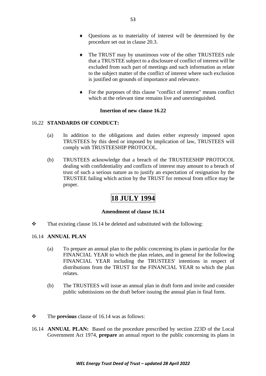- Questions as to materiality of interest will be determined by the procedure set out in clause 20.3.
- The TRUST may by unanimous vote of the other TRUSTEES rule that a TRUSTEE subject to a disclosure of conflict of interest will be excluded from such part of meetings and such information as relate to the subject matter of the conflict of interest where such exclusion is justified on grounds of importance and relevance.
- For the purposes of this clause "conflict of interest" means conflict which at the relevant time remains live and unextinguished.

# **Insertion of new clause 16.22**

#### 16.22 **STANDARDS OF CONDUCT:**

- (a) In addition to the obligations and duties either expressly imposed upon TRUSTEES by this deed or imposed by implication of law, TRUSTEES will comply with TRUSTEESHIP PROTOCOL.
- (b) TRUSTEES acknowledge that a breach of the TRUSTEESHIP PROTOCOL dealing with confidentiality and conflicts of interest may amount to a breach of trust of such a serious nature as to justify an expectation of resignation by the TRUSTEE failing which action by the TRUST for removal from office may be proper.

# **18 JULY 1994**

# **Amendment of clause 16.14**

 $\div$  That existing clause 16.14 be deleted and substituted with the following:

# 16.14 **ANNUAL PLAN**

- (a) To prepare an annual plan to the public concerning its plans in particular for the FINANCIAL YEAR to which the plan relates, and in general for the following FINANCIAL YEAR including the TRUSTEES' intentions in respect of distributions from the TRUST for the FINANCIAL YEAR to which the plan relates.
- (b) The TRUSTEES will issue an annual plan in draft form and invite and consider public submissions on the draft before issuing the annual plan in final form.
- ❖ The **previous** clause of 16.14 was as follows:
- 16.14 **ANNUAL PLAN:** Based on the procedure prescribed by section 223D of the Local Government Act 1974, **prepare** an annual report to the public concerning its plans in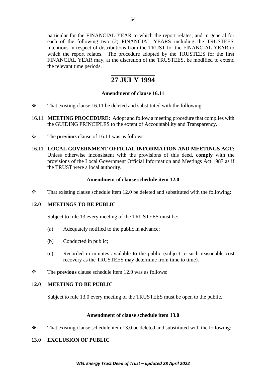particular for the FINANCIAL YEAR to which the report relates, and in general for each of the following two (2) FINANCIAL YEARS including the TRUSTEES' intentions in respect of distributions from the TRUST for the FINANCIAL YEAR to which the report relates. The procedure adopted by the TRUSTEES for the first FINANCIAL YEAR may, at the discretion of the TRUSTEES, be modified to extend the relevant time periods.

# **27 JULY 1994**

# **Amendment of clause 16.11**

- $\mathbf{\hat{F}}$  That existing clause 16.11 be deleted and substituted with the following:
- 16.11 **MEETING PROCEDURE:** Adopt and follow a meeting procedure that complies with the GUIDING PRINCIPLES to the extent of Accountability and Transparency.
- ❖ The **previous** clause of 16.11 was as follows:
- 16.11 **LOCAL GOVERNMENT OFFICIAL INFORMATION AND MEETINGS ACT:** Unless otherwise inconsistent with the provisions of this deed, **comply** with the provisions of the Local Government Official Information and Meetings Act 1987 as if the TRUST were a local authority.

# **Amendment of clause schedule item 12.0**

❖ That existing clause schedule item 12.0 be deleted and substituted with the following:

# **12.0 MEETINGS TO BE PUBLIC**

Subject to rule 13 every meeting of the TRUSTEES must be:

- (a) Adequately notified to the public in advance;
- (b) Conducted in public;
- (c) Recorded in minutes available to the public (subject to such reasonable cost recovery as the TRUSTEES may determine from time to time).
- ❖ The **previous** clause schedule item 12.0 was as follows:

# **12.0 MEETING TO BE PUBLIC**

Subject to rule 13.0 every meeting of the TRUSTEES must be open to the public.

# **Amendment of clause schedule item 13.0**

❖ That existing clause schedule item 13.0 be deleted and substituted with the following:

# **13.0 EXCLUSION OF PUBLIC**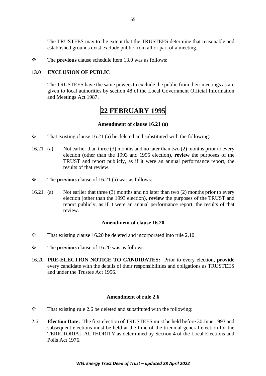The TRUSTEES may to the extent that the TRUSTEES determine that reasonable and established grounds exist exclude public from all or part of a meeting.

❖ The **previous** clause schedule item 13.0 was as follows:

# **13.0 EXCLUSION OF PUBLIC**

The TRUSTEES have the same powers to exclude the public from their meetings as are given to local authorities by section 48 of the Local Government Official Information and Meetings Act 1987.

# **22 FEBRUARY 1995**

#### **Amendment of clause 16.21 (a)**

- $\mathbf{\hat{P}}$  That existing clause 16.21 (a) be deleted and substituted with the following:
- 16.21 (a) Not earlier than three (3) months and no later than two (2) months prior to every election (other than the 1993 and 1995 election), **review** the purposes of the TRUST and report publicly, as if it were an annual performance report, the results of that review.
- ❖ The **previous** clause of 16.21 (a) was as follows:
- 16.21 (a) Not earlier that three (3) months and no later than two (2) months prior to every election (other than the 1993 election), **review** the purposes of the TRUST and report publicly, as if it were an annual performance report, the results of that review.

#### **Amendment of clause 16.20**

- ❖ That existing clause 16.20 be deleted and incorporated into rule 2.10.
- ❖ The **previous** clause of 16.20 was as follows:
- 16.20 **PRE-ELECTION NOTICE TO CANDIDATES:** Prior to every election, **provide** every candidate with the details of their responsibilities and obligations as TRUSTEES and under the Trustee Act 1956.

# **Amendment of rule 2.6**

- ❖ That existing rule 2.6 be deleted and substituted with the following:
- 2.6 **Election Date:** The first election of TRUSTEES must be held before 30 June 1993 and subsequent elections must be held at the time of the triennial general election for the TERRITORIAL AUTHORITY as determined by Section 4 of the Local Elections and Polls Act 1976.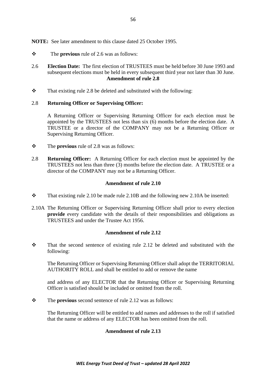**NOTE:** See later amendment to this clause dated 25 October 1995.

- ❖ The **previous** rule of 2.6 was as follows:
- 2.6 **Election Date:** The first election of TRUSTEES must be held before 30 June 1993 and subsequent elections must be held in every subsequent third year not later than 30 June. **Amendment of rule 2.8**
- ❖ That existing rule 2.8 be deleted and substituted with the following:

#### 2.8 **Returning Officer or Supervising Officer:**

A Returning Officer or Supervising Returning Officer for each election must be appointed by the TRUSTEES not less than six (6) months before the election date. A TRUSTEE or a director of the COMPANY may not be a Returning Officer or Supervising Returning Officer.

- ❖ The **previous** rule of 2.8 was as follows:
- 2.8 **Returning Officer:** A Returning Officer for each election must be appointed by the TRUSTEES not less than three (3) months before the election date. A TRUSTEE or a director of the COMPANY may not be a Returning Officer.

#### **Amendment of rule 2.10**

- $\div$  That existing rule 2.10 be made rule 2.10B and the following new 2.10A be inserted:
- 2.10A The Returning Officer or Supervising Returning Officer shall prior to every election **provide** every candidate with the details of their responsibilities and obligations as TRUSTEES and under the Trustee Act 1956.

#### **Amendment of rule 2.12**

❖ That the second sentence of existing rule 2.12 be deleted and substituted with the following:

The Returning Officer or Supervising Returning Officer shall adopt the TERRITORIAL AUTHORITY ROLL and shall be entitled to add or remove the name

and address of any ELECTOR that the Returning Officer or Supervising Returning Officer is satisfied should be included or omitted from the roll.

❖ The **previous** second sentence of rule 2.12 was as follows:

The Returning Officer will be entitled to add names and addresses to the roll if satisfied that the name or address of any ELECTOR has been omitted from the roll.

#### **Amendment of rule 2.13**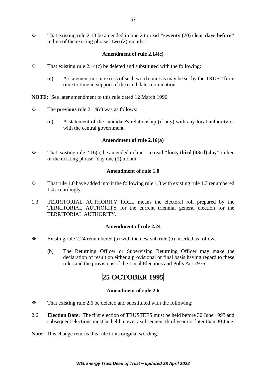❖ That existing rule 2.13 be amended in line 2 to read **"seventy (70) clear days before"** in lieu of the existing phrase "two (2) months".

# **Amendment of rule 2.14(c)**

- $\mathbf{\hat{F}}$  That existing rule 2.14(c) be deleted and substituted with the following:
	- (c) A statement not in excess of such word count as may be set by the TRUST from time to time in support of the candidates nomination.

**NOTE:** See later amendment to this rule dated 12 March 1996.

- ❖ The **previous** rule 2.14(c) was as follows:
	- (c) A statement of the candidate's relationship (if any) with any local authority or with the central government.

# **Amendment of rule 2.16(a)**

❖ That existing rule 2.16(a) be amended in line 1 to read **"forty third (43rd) day"** in lieu of the existing phrase "day one (1) month".

# **Amendment of rule 1.0**

- ❖ That rule 1.0 have added into it the following rule 1.3 with existing rule 1.3 renumbered 1.4 accordingly:
- 1.3 TERRITORIAL AUTHORITY ROLL means the electoral roll prepared by the TERRITORIAL AUTHORITY for the current triennial general election for the TERRITORIAL AUTHORITY.

# **Amendment of rule 2.24**

- ❖ Existing rule 2.24 renumbered (a) with the new sub rule (b) inserted as follows:
	- (b) The Returning Officer or Supervising Returning Officer may make the declaration of result on either a provisional or final basis having regard to these rules and the provisions of the Local Elections and Polls Act 1976.

# **25 OCTOBER 1995**

# **Amendment of rule 2.6**

- ❖ That existing rule 2.6 be deleted and substituted with the following:
- 2.6 **Election Date:** The first election of TRUSTEES must be held before 30 June 1993 and subsequent elections must be held in every subsequent third year not later than 30 June.

**Note:** This change returns this rule to its original wording.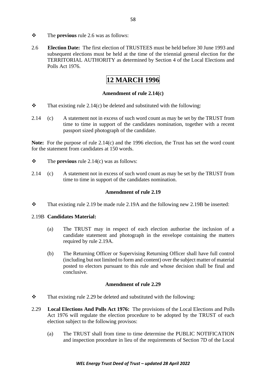- ❖ The **previous** rule 2.6 was as follows:
- 2.6 **Election Date:** The first election of TRUSTEES must be held before 30 June 1993 and subsequent elections must be held at the time of the triennial general election for the TERRITORIAL AUTHORITY as determined by Section 4 of the Local Elections and Polls Act 1976.

# **12 MARCH 1996**

# **Amendment of rule 2.14(c)**

- $\cdot \cdot$  That existing rule 2.14(c) be deleted and substituted with the following:
- 2.14 (c) A statement not in excess of such word count as may be set by the TRUST from time to time in support of the candidates nomination, together with a recent passport sized photograph of the candidate.

**Note:** For the purpose of rule 2.14(c) and the 1996 election, the Trust has set the word count for the statement from candidates at 150 words.

- ❖ The **previous** rule 2.14(c) was as follows:
- 2.14 (c) A statement not in excess of such word count as may be set by the TRUST from time to time in support of the candidates nomination.

# **Amendment of rule 2.19**

 $\div$  That existing rule 2.19 be made rule 2.19A and the following new 2.19B be inserted:

# 2.19B **Candidates Material:**

- (a) The TRUST may in respect of each election authorise the inclusion of a candidate statement and photograph in the envelope containing the matters required by rule 2.19A.
- (b) The Returning Officer or Supervising Returning Officer shall have full control (including but not limited to form and content) over the subject matter of material posted to electors pursuant to this rule and whose decision shall be final and conclusive.

# **Amendment of rule 2.29**

- ❖ That existing rule 2.29 be deleted and substituted with the following:
- 2.29 **Local Elections And Polls Act 1976:** The provisions of the Local Elections and Polls Act 1976 will regulate the election procedure to be adopted by the TRUST of each election subject to the following provisos:
	- (a) The TRUST shall from time to time determine the PUBLIC NOTIFICATION and inspection procedure in lieu of the requirements of Section 7D of the Local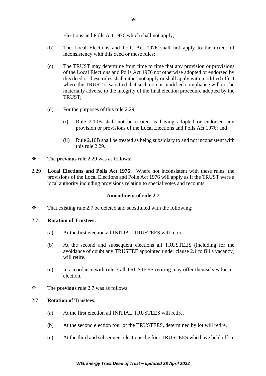Elections and Polls Act 1976 which shall not apply;

- (b) The Local Elections and Polls Act 1976 shall not apply to the extent of inconsistency with this deed or these rules;
- (c) The TRUST may determine from time to time that any provision or provisions of the Local Elections and Polls Act 1976 not otherwise adopted or endorsed by this deed or these rules shall either not apply or shall apply with modified effect where the TRUST is satisfied that such non or modified compliance will not be materially adverse to the integrity of the final election procedure adopted by the TRUST;
- (d) For the purposes of this rule 2.29;
	- (i) Rule 2.10B shall not be treated as having adopted or endorsed any provision or provisions of the Local Elections and Polls Act 1976; and
	- (ii) Rule 2.10B shall be treated as being subsidiary to and not inconsistent with this rule 2.29.
- ❖ The **previous** rule 2.29 was as follows:
- 2.29 **Local Elections and Polls Act 1976:** Where not inconsistent with these rules, the provisions of the Local Elections and Polls Act 1976 will apply as if the TRUST were a local authority including provisions relating to special votes and recounts.

#### **Amendment of rule 2.7**

 $\mathbf{\hat{P}}$  That existing rule 2.7 be deleted and substituted with the following:

#### 2.7 **Rotation of Trustees:**

- (a) At the first election all INITIAL TRUSTEES will retire.
- (b) At the second and subsequent elections all TRUSTEES (including for the avoidance of doubt any TRUSTEE appointed under clause 2.1 to fill a vacancy) will retire.
- (c) In accordance with rule 3 all TRUSTEES retiring may offer themselves for reelection.
- ❖ The **previous** rule 2.7 was as follows:

# 2.7 **Rotation of Trustees:**

- (a) At the first election all INITIAL TRUSTEES will retire.
- (b) At the second election four of the TRUSTEES, determined by lot will retire.
- (c) At the third and subsequent elections the four TRUSTEES who have held office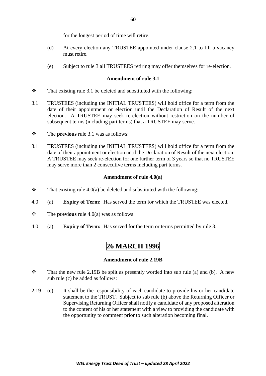for the longest period of time will retire.

- (d) At every election any TRUSTEE appointed under clause 2.1 to fill a vacancy must retire.
- (e) Subject to rule 3 all TRUSTEES retiring may offer themselves for re-election.

#### **Amendment of rule 3.1**

- $\mathbf{\hat{P}}$  That existing rule 3.1 be deleted and substituted with the following:
- 3.1 TRUSTEES (including the INITIAL TRUSTEES) will hold office for a term from the date of their appointment or election until the Declaration of Result of the next election. A TRUSTEE may seek re-election without restriction on the number of subsequent terms (including part terms) that a TRUSTEE may serve.
- ❖ The **previous** rule 3.1 was as follows:
- 3.1 TRUSTEES (including the INITIAL TRUSTEES) will hold office for a term from the date of their appointment or election until the Declaration of Result of the next election. A TRUSTEE may seek re-election for one further term of 3 years so that no TRUSTEE may serve more than 2 consecutive terms including part terms.

#### **Amendment of rule 4.0(a)**

- $\triangle$  That existing rule 4.0(a) be deleted and substituted with the following:
- 4.0 (a) **Expiry of Term:** Has served the term for which the TRUSTEE was elected.
- ❖ The **previous** rule 4.0(a) was as follows:
- 4.0 (a) **Expiry of Term:** Has served for the term or terms permitted by rule 3.

# **26 MARCH 1996**

#### **Amendment of rule 2.19B**

- $\mathbf{\hat{P}}$  That the new rule 2.19B be split as presently worded into sub rule (a) and (b). A new sub rule (c) be added as follows:
- 2.19 (c) It shall be the responsibility of each candidate to provide his or her candidate statement to the TRUST. Subject to sub rule (b) above the Returning Officer or Supervising Returning Officer shall notify a candidate of any proposed alteration to the content of his or her statement with a view to providing the candidate with the opportunity to comment prior to such alteration becoming final.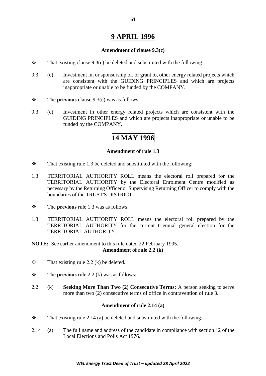# **9 APRIL 1996**

# **Amendment of clause 9.3(c)**

- $\triangle$  That existing clause 9.3(c) be deleted and substituted with the following:
- 9.3 (c) Investment in, or sponsorship of, or grant to, other energy related projects which are consistent with the GUIDING PRINCIPLES and which are projects inappropriate or unable to be funded by the COMPANY.
- ❖ The **previous** clause 9.3(c) was as follows:
- 9.3 (c) Investment in other energy related projects which are consistent with the GUIDING PRINCIPLES and which are projects inappropriate or unable to be funded by the COMPANY.

# **14 MAY 1996**

# **Amendment of rule 1.3**

- $\mathbf{\hat{P}}$  That existing rule 1.3 be deleted and substituted with the following:
- 1.3 TERRITORIAL AUTHORITY ROLL means the electoral roll prepared for the TERRITORIAL AUTHORITY by the Electoral Enrolment Centre modified as necessary by the Returning Officer or Supervising Returning Officer to comply with the boundaries of the TRUST'S DISTRICT.
- ❖ The **previous** rule 1.3 was as follows:
- 1.3 TERRITORIAL AUTHORITY ROLL means the electoral roll prepared by the TERRITORIAL AUTHORITY for the current triennial general election for the TERRITORIAL AUTHORITY.

# **NOTE:** See earlier amendment to this rule dated 22 February 1995. **Amendment of rule 2.2 (k)**

- $\div$  That existing rule 2.2 (k) be deleted.
- ❖ The **previous** rule 2.2 (k) was as follows:
- 2.2 (k) **Seeking More Than Two (2) Consecutive Terms:** A person seeking to serve more than two (2) consecutive terms of office in contravention of rule 3.

# **Amendment of rule 2.14 (a)**

- $\cdot \cdot$  That existing rule 2.14 (a) be deleted and substituted with the following:
- 2.14 (a) The full name and address of the candidate in compliance with section 12 of the Local Elections and Polls Act 1976.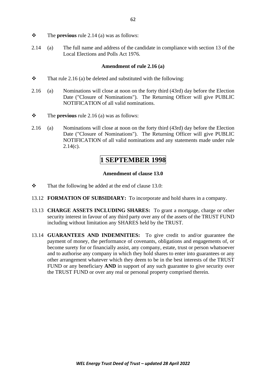- ❖ The **previous** rule 2.14 (a) was as follows:
- 2.14 (a) The full name and address of the candidate in compliance with section 13 of the Local Elections and Polls Act 1976.

#### **Amendment of rule 2.16 (a)**

- $\cdot \cdot$  That rule 2.16 (a) be deleted and substituted with the following:
- 2.16 (a) Nominations will close at noon on the forty third (43rd) day before the Election Date ("Closure of Nominations"). The Returning Officer will give PUBLIC NOTIFICATION of all valid nominations.
- ❖ The **previous** rule 2.16 (a) was as follows:
- 2.16 (a) Nominations will close at noon on the forty third (43rd) day before the Election Date ("Closure of Nominations"). The Returning Officer will give PUBLIC NOTIFICATION of all valid nominations and any statements made under rule  $2.14(c)$ .

# **1 SEPTEMBER 1998**

# **Amendment of clause 13.0**

- ❖ That the following be added at the end of clause 13.0:
- 13.12 **FORMATION OF SUBSIDIARY:** To incorporate and hold shares in a company.
- 13.13 **CHARGE ASSETS INCLUDING SHARES:** To grant a mortgage, charge or other security interest in favour of any third party over any of the assets of the TRUST FUND including without limitation any SHARES held by the TRUST.
- 13.14 **GUARANTEES AND INDEMNITIES:** To give credit to and/or guarantee the payment of money, the performance of covenants, obligations and engagements of, or become surety for or financially assist, any company, estate, trust or person whatsoever and to authorise any company in which they hold shares to enter into guarantees or any other arrangement whatever which they deem to be in the best interests of the TRUST FUND or any beneficiary **AND** in support of any such guarantee to give security over the TRUST FUND or over any real or personal property comprised therein.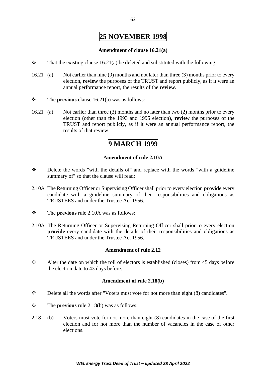# **25 NOVEMBER 1998**

# **Amendment of clause 16.21(a)**

- $\triangle$  That the existing clause 16.21(a) be deleted and substituted with the following:
- 16.21 (a) Not earlier than nine (9) months and not later than three (3) months prior to every election, **review** the purposes of the TRUST and report publicly, as if it were an annual performance report, the results of the **review**.
- ❖ The **previous** clause 16.21(a) was as follows:
- 16.21 (a) Not earlier than three (3) months and no later than two (2) months prior to every election (other than the 1993 and 1995 election), **review** the purposes of the TRUST and report publicly, as if it were an annual performance report, the results of that review.

# **9 MARCH 1999**

# **Amendment of rule 2.10A**

- ❖ Delete the words "with the details of" and replace with the words "with a guideline summary of" so that the clause will read:
- 2.10A The Returning Officer or Supervising Officer shall prior to every election **provide** every candidate with a guideline summary of their responsibilities and obligations as TRUSTEES and under the Trustee Act 1956.
- ❖ The **previous** rule 2.10A was as follows:
- 2.10A The Returning Officer or Supervising Returning Officer shall prior to every election **provide** every candidate with the details of their responsibilities and obligations as TRUSTEES and under the Trustee Act 1956.

# **Amendment of rule 2.12**

❖ Alter the date on which the roll of electors is established (closes) from 45 days before the election date to 43 days before.

# **Amendment of rule 2.18(b)**

- ❖ Delete all the words after "Voters must vote for not more than eight (8) candidates".
- ❖ The **previous** rule 2.18(b) was as follows:
- 2.18 (b) Voters must vote for not more than eight (8) candidates in the case of the first election and for not more than the number of vacancies in the case of other elections.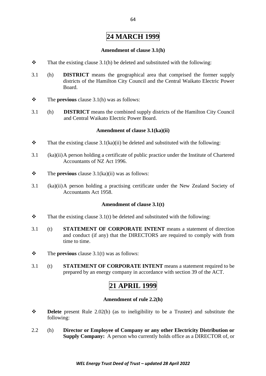# **24 MARCH 1999**

# **Amendment of clause 3.1(h)**

- $\triangle$  That the existing clause 3.1(h) be deleted and substituted with the following:
- 3.1 (h) **DISTRICT** means the geographical area that comprised the former supply districts of the Hamilton City Council and the Central Waikato Electric Power Board.
- ❖ The **previous** clause 3.1(h) was as follows:
- 3.1 (h) **DISTRICT** means the combined supply districts of the Hamilton City Council and Central Waikato Electric Power Board.

# **Amendment of clause 3.1(ka)(ii)**

- $\triangle$  That the existing clause 3.1(ka)(ii) be deleted and substituted with the following:
- 3.1 (ka)(ii)A person holding a certificate of public practice under the Institute of Chartered Accountants of NZ Act 1996.
- ❖ The **previous** clause 3.1(ka)(ii) was as follows:
- 3.1 (ka)(ii)A person holding a practising certificate under the New Zealand Society of Accountants Act 1958.

# **Amendment of clause 3.1(t)**

- $\cdot \cdot$  That the existing clause 3.1(t) be deleted and substituted with the following:
- 3.1 (t) **STATEMENT OF CORPORATE INTENT** means a statement of direction and conduct (if any) that the DIRECTORS are required to comply with from time to time.
- ❖ The **previous** clause 3.1(t) was as follows:
- 3.1 (t) **STATEMENT OF CORPORATE INTENT** means a statement required to be prepared by an energy company in accordance with section 39 of the ACT.

# **21 APRIL 1999**

# **Amendment of rule 2.2(h)**

- ❖ **Delete** present Rule 2.02(h) (as to ineligibility to be a Trustee) and substitute the following:
- 2.2 (h) **Director or Employee of Company or any other Electricity Distribution or Supply Company:** A person who currently holds office as a DIRECTOR of, or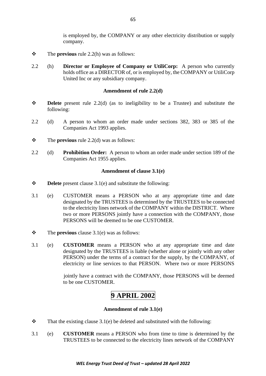is employed by, the COMPANY or any other electricity distribution or supply company.

- ❖ The **previous** rule 2.2(h) was as follows:
- 2.2 (h) **Director or Employee of Company or UtiliCorp:** A person who currently holds office as a DIRECTOR of, or is employed by, the COMPANY or UtiliCorp United Inc or any subsidiary company.

#### **Amendment of rule 2.2(d)**

- ❖ **Delete** present rule 2.2(d) (as to ineligibility to be a Trustee) and substitute the following:
- 2.2 (d) A person to whom an order made under sections 382, 383 or 385 of the Companies Act 1993 applies.
- ❖ The **previous** rule 2.2(d) was as follows:
- 2.2 (d) **Prohibition Order:** A person to whom an order made under section 189 of the Companies Act 1955 applies.

#### **Amendment of clause 3.1(e)**

- ❖ **Delete** present clause 3.1(e) and substitute the following:
- 3.1 (e) CUSTOMER means a PERSON who at any appropriate time and date designated by the TRUSTEES is determined by the TRUSTEES to be connected to the electricity lines network of the COMPANY within the DISTRICT. Where two or more PERSONS jointly have a connection with the COMPANY, those PERSONS will be deemed to be one CUSTOMER.
- ❖ The **previous** clause 3.1(e) was as follows:
- 3.1 (e) **CUSTOMER** means a PERSON who at any appropriate time and date designated by the TRUSTEES is liable (whether alone or jointly with any other PERSON) under the terms of a contract for the supply, by the COMPANY, of electricity or line services to that PERSON. Where two or more PERSONS

jointly have a contract with the COMPANY, those PERSONS will be deemed to be one CUSTOMER.

# **9 APRIL 2002**

# **Amendment of rule 3.1(e)**

- $\triangle$  That the existing clause 3.1(e) be deleted and substituted with the following:
- 3.1 (e) **CUSTOMER** means a PERSON who from time to time is determined by the TRUSTEES to be connected to the electricity lines network of the COMPANY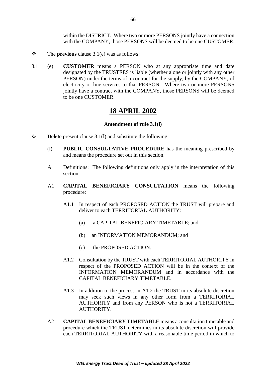within the DISTRICT. Where two or more PERSONS jointly have a connection with the COMPANY, those PERSONS will be deemed to be one CUSTOMER.

- ❖ The **previous** clause 3.1(e) was as follows:
- 3.1 (e) **CUSTOMER** means a PERSON who at any appropriate time and date designated by the TRUSTEES is liable (whether alone or jointly with any other PERSON) under the terms of a contract for the supply, by the COMPANY, of electricity or line services to that PERSON. Where two or more PERSONS jointly have a contract with the COMPANY, those PERSONS will be deemed to be one CUSTOMER.

# **18 APRIL 2002**

#### **Amendment of rule 3.1(l)**

- ❖ **Delete** present clause 3.1(l) and substitute the following:
	- (l) **PUBLIC CONSULTATIVE PROCEDURE** has the meaning prescribed by and means the procedure set out in this section.
	- A Definitions: The following definitions only apply in the interpretation of this section:
	- A1 **CAPITAL BENEFICIARY CONSULTATION** means the following procedure:
		- A1.1 In respect of each PROPOSED ACTION the TRUST will prepare and deliver to each TERRITORIAL AUTHORITY:
			- (a) a CAPITAL BENEFICIARY TIMETABLE; and
			- (b) an INFORMATION MEMORANDUM; and
			- (c) the PROPOSED ACTION.
		- A1.2 Consultation by the TRUST with each TERRITORIAL AUTHORITY in respect of the PROPOSED ACTION will be in the context of the INFORMATION MEMORANDUM and in accordance with the CAPITAL BENEFICIARY TIMETABLE.
		- A1.3 In addition to the process in A1.2 the TRUST in its absolute discretion may seek such views in any other form from a TERRITORIAL AUTHORITY and from any PERSON who is not a TERRITORIAL AUTHORITY.
	- A2 **CAPITAL BENEFICIARY TIMETABLE** means a consultation timetable and procedure which the TRUST determines in its absolute discretion will provide each TERRITORIAL AUTHORITY with a reasonable time period in which to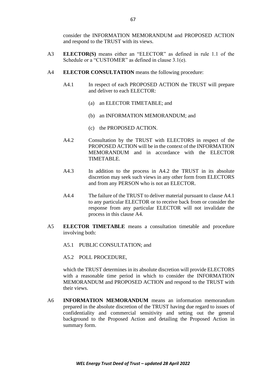consider the INFORMATION MEMORANDUM and PROPOSED ACTION and respond to the TRUST with its views.

- A3 **ELECTOR(S)** means either an "ELECTOR" as defined in rule 1.1 of the Schedule or a "CUSTOMER" as defined in clause 3.1(e).
- A4 **ELECTOR CONSULTATION** means the following procedure:
	- A4.1 In respect of each PROPOSED ACTION the TRUST will prepare and deliver to each ELECTOR:
		- (a) an ELECTOR TIMETABLE; and
		- (b) an INFORMATION MEMORANDUM; and
		- (c) the PROPOSED ACTION.
	- A4.2 Consultation by the TRUST with ELECTORS in respect of the PROPOSED ACTION will be in the context of the INFORMATION MEMORANDUM and in accordance with the ELECTOR TIMETABLE.
	- A4.3 In addition to the process in A4.2 the TRUST in its absolute discretion may seek such views in any other form from ELECTORS and from any PERSON who is not an ELECTOR.
	- A4.4 The failure of the TRUST to deliver material pursuant to clause A4.1 to any particular ELECTOR or to receive back from or consider the response from any particular ELECTOR will not invalidate the process in this clause A4.
- A5 **ELECTOR TIMETABLE** means a consultation timetable and procedure involving both:
	- A5.1 PUBLIC CONSULTATION; and
	- A5.2 POLL PROCEDURE,

which the TRUST determines in its absolute discretion will provide ELECTORS with a reasonable time period in which to consider the INFORMATION MEMORANDUM and PROPOSED ACTION and respond to the TRUST with their views.

A6 **INFORMATION MEMORANDUM** means an information memorandum prepared in the absolute discretion of the TRUST having due regard to issues of confidentiality and commercial sensitivity and setting out the general background to the Proposed Action and detailing the Proposed Action in summary form.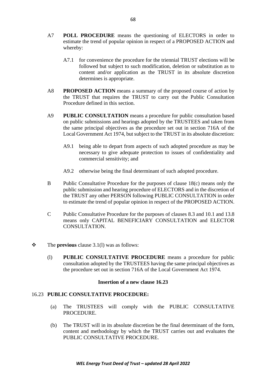- A7 **POLL PROCEDURE** means the questioning of ELECTORS in order to estimate the trend of popular opinion in respect of a PROPOSED ACTION and whereby:
	- A7.1 for convenience the procedure for the triennial TRUST elections will be followed but subject to such modification, deletion or substitution as to content and/or application as the TRUST in its absolute discretion determines is appropriate.
- A8 **PROPOSED ACTION** means a summary of the proposed course of action by the TRUST that requires the TRUST to carry out the Public Consultation Procedure defined in this section.
- A9 **PUBLIC CONSULTATION** means a procedure for public consultation based on public submissions and hearings adopted by the TRUSTEES and taken from the same principal objectives as the procedure set out in section 716A of the Local Government Act 1974, but subject to the TRUST in its absolute discretion:
	- A9.1 being able to depart from aspects of such adopted procedure as may be necessary to give adequate protection to issues of confidentiality and commercial sensitivity; and
	- A9.2 otherwise being the final determinant of such adopted procedure.
- B Public Consultative Procedure for the purposes of clause 18(c) means only the public submission and hearing procedure of ELECTORS and in the discretion of the TRUST any other PERSON following PUBLIC CONSULTATION in order to estimate the trend of popular opinion in respect of the PROPOSED ACTION.
- C Public Consultative Procedure for the purposes of clauses 8.3 and 10.1 and 13.8 means only CAPITAL BENEFICIARY CONSULTATION and ELECTOR CONSULTATION.
- ❖ The **previous** clause 3.1(l) was as follows:
	- (l) **PUBLIC CONSULTATIVE PROCEDURE** means a procedure for public consultation adopted by the TRUSTEES having the same principal objectives as the procedure set out in section 716A of the Local Government Act 1974.

# **Insertion of a new clause 16.23**

# 16.23 **PUBLIC CONSULTATIVE PROCEDURE:**

- (a) The TRUSTEES will comply with the PUBLIC CONSULTATIVE PROCEDURE.
- (b) The TRUST will in its absolute discretion be the final determinant of the form, content and methodology by which the TRUST carries out and evaluates the PUBLIC CONSULTATIVE PROCEDURE.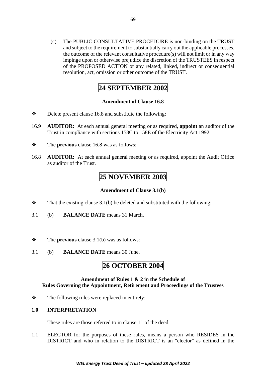(c) The PUBLIC CONSULTATIVE PROCEDURE is non-binding on the TRUST and subject to the requirement to substantially carry out the applicable processes, the outcome of the relevant consultative procedure(s) will not limit or in any way impinge upon or otherwise prejudice the discretion of the TRUSTEES in respect of the PROPOSED ACTION or any related, linked, indirect or consequential resolution, act, omission or other outcome of the TRUST.

# **24 SEPTEMBER 2002**

# **Amendment of Clause 16.8**

- ❖ Delete present clause 16.8 and substitute the following:
- 16.9 **AUDITOR:** At each annual general meeting or as required, **appoint** an auditor of the Trust in compliance with sections 158C to 158E of the Electricity Act 1992.
- ❖ The **previous** clause 16.8 was as follows:
- 16.8 **AUDITOR:** At each annual general meeting or as required, appoint the Audit Office as auditor of the Trust.

# **25 NOVEMBER 2003**

# **Amendment of Clause 3.1(b)**

- $\triangle$  That the existing clause 3.1(b) be deleted and substituted with the following:
- 3.1 (b) **BALANCE DATE** means 31 March.
- ❖ The **previous** clause 3.1(b) was as follows:
- 3.1 (b) **BALANCE DATE** means 30 June.

# **26 OCTOBER 2004**

# **Amendment of Rules 1 & 2 in the Schedule of Rules Governing the Appointment, Retirement and Proceedings of the Trustees**

❖ The following rules were replaced in entirety:

# **1.0 INTERPRETATION**

These rules are those referred to in clause 11 of the deed.

1.1 ELECTOR for the purposes of these rules, means a person who RESIDES in the DISTRICT and who in relation to the DISTRICT is an "elector" as defined in the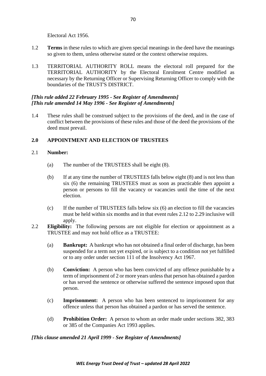Electoral Act 1956.

- 1.2 **Terms** in these rules to which are given special meanings in the deed have the meanings so given to them, unless otherwise stated or the context otherwise requires.
- 1.3 TERRITORIAL AUTHORITY ROLL means the electoral roll prepared for the TERRITORIAL AUTHORITY by the Electoral Enrolment Centre modified as necessary by the Returning Officer or Supervising Returning Officer to comply with the boundaries of the TRUST'S DISTRICT.

# *[This rule added 22 February 1995 - See Register of Amendments] [This rule amended 14 May 1996 - See Register of Amendments]*

1.4 These rules shall be construed subject to the provisions of the deed, and in the case of conflict between the provisions of these rules and those of the deed the provisions of the deed must prevail.

# **2.0 APPOINTMENT AND ELECTION OF TRUSTEES**

# 2.1 **Number:**

- (a) The number of the TRUSTEES shall be eight (8).
- (b) If at any time the number of TRUSTEES falls below eight (8) and is not less than six (6) the remaining TRUSTEES must as soon as practicable then appoint a person or persons to fill the vacancy or vacancies until the time of the next election.
- $(c)$  If the number of TRUSTEES falls below six  $(6)$  an election to fill the vacancies must be held within six months and in that event rules 2.12 to 2.29 inclusive will apply.
- 2.2 **Eligibility:** The following persons are not eligible for election or appointment as a TRUSTEE and may not hold office as a TRUSTEE:
	- (a) **Bankrupt:** A bankrupt who has not obtained a final order of discharge, has been suspended for a term not yet expired, or is subject to a condition not yet fulfilled or to any order under section 111 of the Insolvency Act 1967.
	- (b) **Conviction:** A person who has been convicted of any offence punishable by a term of imprisonment of 2 or more years unless that person has obtained a pardon or has served the sentence or otherwise suffered the sentence imposed upon that person.
	- (c) **Imprisonment:** A person who has been sentenced to imprisonment for any offence unless that person has obtained a pardon or has served the sentence.
	- (d) **Prohibition Order:** A person to whom an order made under sections 382, 383 or 385 of the Companies Act 1993 applies.

# *[This clause amended 21 April 1999 - See Register of Amendments]*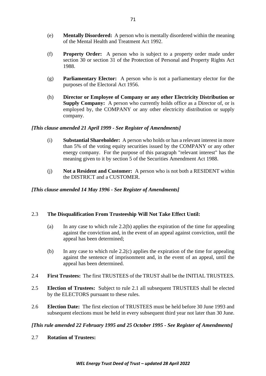- (e) **Mentally Disordered:** A person who is mentally disordered within the meaning of the Mental Health and Treatment Act 1992.
- (f) **Property Order:** A person who is subject to a property order made under section 30 or section 31 of the Protection of Personal and Property Rights Act 1988.
- (g) **Parliamentary Elector:** A person who is not a parliamentary elector for the purposes of the Electoral Act 1956.
- (h) **Director or Employee of Company or any other Electricity Distribution or Supply Company:** A person who currently holds office as a Director of, or is employed by, the COMPANY or any other electricity distribution or supply company.

#### *[This clause amended 21 April 1999 - See Register of Amendments]*

- (i) **Substantial Shareholder:** A person who holds or has a relevant interest in more than 5% of the voting equity securities issued by the COMPANY or any other energy company. For the purpose of this paragraph "relevant interest" has the meaning given to it by section 5 of the Securities Amendment Act 1988.
- (j) **Not a Resident and Customer:** A person who is not both a RESIDENT within the DISTRICT and a CUSTOMER.

#### *[This clause amended 14 May 1996 - See Register of Amendments]*

# 2.3 **The Disqualification From Trusteeship Will Not Take Effect Until:**

- (a) In any case to which rule 2.2(b) applies the expiration of the time for appealing against the conviction and, in the event of an appeal against conviction, until the appeal has been determined;
- (b) In any case to which rule 2.2(c) applies the expiration of the time for appealing against the sentence of imprisonment and, in the event of an appeal, until the appeal has been determined.
- 2.4 **First Trustees:** The first TRUSTEES of the TRUST shall be the INITIAL TRUSTEES.
- 2.5 **Election of Trustees:** Subject to rule 2.1 all subsequent TRUSTEES shall be elected by the ELECTORS pursuant to these rules.
- 2.6 **Election Date:** The first election of TRUSTEES must be held before 30 June 1993 and subsequent elections must be held in every subsequent third year not later than 30 June.

#### *[This rule amended 22 February 1995 and 25 October 1995 - See Register of Amendments]*

2.7 **Rotation of Trustees:**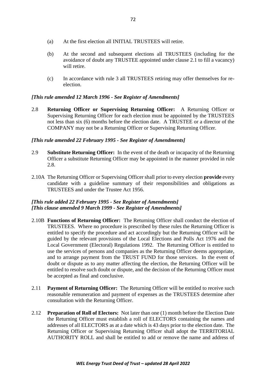- (a) At the first election all INITIAL TRUSTEES will retire.
- (b) At the second and subsequent elections all TRUSTEES (including for the avoidance of doubt any TRUSTEE appointed under clause 2.1 to fill a vacancy) will retire.
- (c) In accordance with rule 3 all TRUSTEES retiring may offer themselves for reelection.

# *[This rule amended 12 March 1996 - See Register of Amendments]*

2.8 **Returning Officer or Supervising Returning Officer:** A Returning Officer or Supervising Returning Officer for each election must be appointed by the TRUSTEES not less than six (6) months before the election date. A TRUSTEE or a director of the COMPANY may not be a Returning Officer or Supervising Returning Officer.

# *[This rule amended 22 February 1995 - See Register of Amendments]*

- 2.9 **Substitute Returning Officer:** In the event of the death or incapacity of the Returning Officer a substitute Returning Officer may be appointed in the manner provided in rule 2.8.
- 2.10A The Returning Officer or Supervising Officer shall prior to every election **provide** every candidate with a guideline summary of their responsibilities and obligations as TRUSTEES and under the Trustee Act 1956.

# *[This rule added 22 February 1995 - See Register of Amendments] [This clause amended 9 March 1999 - See Register of Amendments]*

- 2.10B **Functions of Returning Officer:** The Returning Officer shall conduct the election of TRUSTEES. Where no procedure is prescribed by these rules the Returning Officer is entitled to specify the procedure and act accordingly but the Returning Officer will be guided by the relevant provisions of the Local Elections and Polls Act 1976 and the Local Government (Electoral) Regulations 1992. The Returning Officer is entitled to use the services of persons and companies as the Returning Officer deems appropriate, and to arrange payment from the TRUST FUND for those services. In the event of doubt or dispute as to any matter affecting the election, the Returning Officer will be entitled to resolve such doubt or dispute, and the decision of the Returning Officer must be accepted as final and conclusive.
- 2.11 **Payment of Returning Officer:** The Returning Officer will be entitled to receive such reasonable remuneration and payment of expenses as the TRUSTEES determine after consultation with the Returning Officer.
- 2.12 **Preparation of Roll of Electors:** Not later than one (1) month before the Election Date the Returning Officer must establish a roll of ELECTORS containing the names and addresses of all ELECTORS as at a date which is 43 days prior to the election date. The Returning Officer or Supervising Returning Officer shall adopt the TERRITORIAL AUTHORITY ROLL and shall be entitled to add or remove the name and address of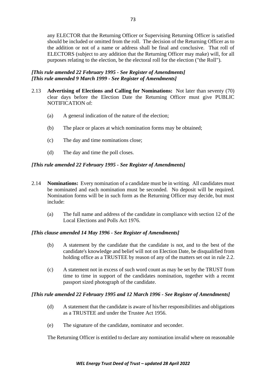any ELECTOR that the Returning Officer or Supervising Returning Officer is satisfied should be included or omitted from the roll. The decision of the Returning Officer as to the addition or not of a name or address shall be final and conclusive. That roll of ELECTORS (subject to any addition that the Returning Officer may make) will, for all purposes relating to the election, be the electoral roll for the election ("the Roll").

# *[This rule amended 22 February 1995 - See Register of Amendments] [This rule amended 9 March 1999 - See Register of Amendments]*

- 2.13 **Advertising of Elections and Calling for Nominations:** Not later than seventy (70) clear days before the Election Date the Returning Officer must give PUBLIC NOTIFICATION of:
	- (a) A general indication of the nature of the election;
	- (b) The place or places at which nomination forms may be obtained;
	- (c) The day and time nominations close;
	- (d) The day and time the poll closes.

## *[This rule amended 22 February 1995 - See Register of Amendments]*

- 2.14 **Nominations:** Every nomination of a candidate must be in writing. All candidates must be nominated and each nomination must be seconded. No deposit will be required. Nomination forms will be in such form as the Returning Officer may decide, but must include:
	- (a) The full name and address of the candidate in compliance with section 12 of the Local Elections and Polls Act 1976.

#### *[This clause amended 14 May 1996 - See Register of Amendments]*

- (b) A statement by the candidate that the candidate is not, and to the best of the candidate's knowledge and belief will not on Election Date, be disqualified from holding office as a TRUSTEE by reason of any of the matters set out in rule 2.2.
- (c) A statement not in excess of such word count as may be set by the TRUST from time to time in support of the candidates nomination, together with a recent passport sized photograph of the candidate.

#### *[This rule amended 22 February 1995 and 12 March 1996 - See Register of Amendments]*

- (d) A statement that the candidate is aware of his/her responsibilities and obligations as a TRUSTEE and under the Trustee Act 1956.
- (e) The signature of the candidate, nominator and seconder.

The Returning Officer is entitled to declare any nomination invalid where on reasonable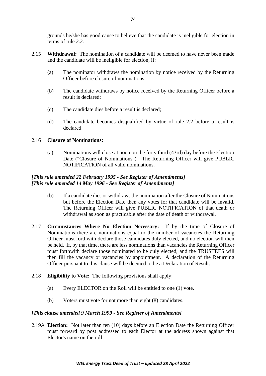grounds he/she has good cause to believe that the candidate is ineligible for election in terms of rule 2.2.

- 2.15 **Withdrawal:** The nomination of a candidate will be deemed to have never been made and the candidate will be ineligible for election, if:
	- (a) The nominator withdraws the nomination by notice received by the Returning Officer before closure of nominations;
	- (b) The candidate withdraws by notice received by the Returning Officer before a result is declared;
	- (c) The candidate dies before a result is declared;
	- (d) The candidate becomes disqualified by virtue of rule 2.2 before a result is declared.

#### 2.16 **Closure of Nominations:**

(a) Nominations will close at noon on the forty third (43rd) day before the Election Date ("Closure of Nominations"). The Returning Officer will give PUBLIC NOTIFICATION of all valid nominations.

## *[This rule amended 22 February 1995 - See Register of Amendments] [This rule amended 14 May 1996 - See Register of Amendments]*

- (b) If a candidate dies or withdraws the nomination after the Closure of Nominations but before the Election Date then any votes for that candidate will be invalid. The Returning Officer will give PUBLIC NOTIFICATION of that death or withdrawal as soon as practicable after the date of death or withdrawal.
- 2.17 **Circumstances Where No Election Necessary:** If by the time of Closure of Nominations there are nominations equal to the number of vacancies the Returning Officer must forthwith declare those candidates duly elected, and no election will then be held. If, by that time, there are less nominations than vacancies the Returning Officer must forthwith declare those nominated to be duly elected, and the TRUSTEES will then fill the vacancy or vacancies by appointment. A declaration of the Returning Officer pursuant to this clause will be deemed to be a Declaration of Result.
- 2.18 **Eligibility to Vote:** The following provisions shall apply:
	- (a) Every ELECTOR on the Roll will be entitled to one (1) vote.
	- (b) Voters must vote for not more than eight (8) candidates.

## *[This clause amended 9 March 1999 - See Register of Amendments]*

2.19A **Election:** Not later than ten (10) days before an Election Date the Returning Officer must forward by post addressed to each Elector at the address shown against that Elector's name on the roll: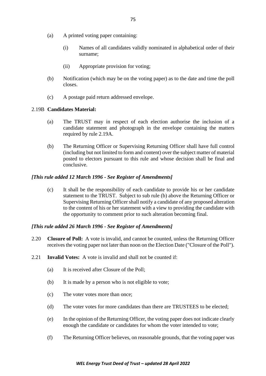- (a) A printed voting paper containing:
	- (i) Names of all candidates validly nominated in alphabetical order of their surname;
	- (ii) Appropriate provision for voting;
- (b) Notification (which may be on the voting paper) as to the date and time the poll closes.
- (c) A postage paid return addressed envelope.

## 2.19B **Candidates Material:**

- (a) The TRUST may in respect of each election authorise the inclusion of a candidate statement and photograph in the envelope containing the matters required by rule 2.19A.
- (b) The Returning Officer or Supervising Returning Officer shall have full control (including but not limited to form and content) over the subject matter of material posted to electors pursuant to this rule and whose decision shall be final and conclusive.

## *[This rule added 12 March 1996 - See Register of Amendments]*

(c) It shall be the responsibility of each candidate to provide his or her candidate statement to the TRUST. Subject to sub rule (b) above the Returning Officer or Supervising Returning Officer shall notify a candidate of any proposed alteration to the content of his or her statement with a view to providing the candidate with the opportunity to comment prior to such alteration becoming final.

#### *[This rule added 26 March 1996 - See Register of Amendments]*

- 2.20 **Closure of Poll:** A vote is invalid, and cannot be counted, unless the Returning Officer receives the voting paper not later than noon on the Election Date ("Closure of the Poll").
- 2.21 **Invalid Votes:** A vote is invalid and shall not be counted if:
	- (a) It is received after Closure of the Poll;
	- (b) It is made by a person who is not eligible to vote;
	- (c) The voter votes more than once;
	- (d) The voter votes for more candidates than there are TRUSTEES to be elected;
	- (e) In the opinion of the Returning Officer, the voting paper does not indicate clearly enough the candidate or candidates for whom the voter intended to vote;
	- (f) The Returning Officer believes, on reasonable grounds, that the voting paper was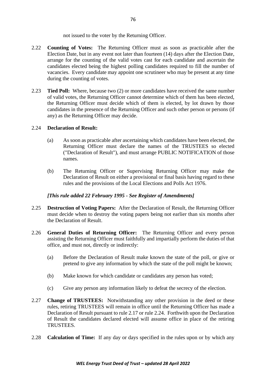#### not issued to the voter by the Returning Officer.

- 2.22 **Counting of Votes:** The Returning Officer must as soon as practicable after the Election Date, but in any event not later than fourteen (14) days after the Election Date, arrange for the counting of the valid votes cast for each candidate and ascertain the candidates elected being the highest polling candidates required to fill the number of vacancies. Every candidate may appoint one scrutineer who may be present at any time during the counting of votes.
- 2.23 **Tied Poll:** Where, because two (2) or more candidates have received the same number of valid votes, the Returning Officer cannot determine which of them has been elected, the Returning Officer must decide which of them is elected, by lot drawn by those candidates in the presence of the Returning Officer and such other person or persons (if any) as the Returning Officer may decide.

#### 2.24 **Declaration of Result:**

- (a) As soon as practicable after ascertaining which candidates have been elected, the Returning Officer must declare the names of the TRUSTEES so elected ("Declaration of Result"), and must arrange PUBLIC NOTIFICATION of those names.
- (b) The Returning Officer or Supervising Returning Officer may make the Declaration of Result on either a provisional or final basis having regard to these rules and the provisions of the Local Elections and Polls Act 1976.

#### *[This rule added 22 February 1995 - See Register of Amendments]*

- 2.25 **Destruction of Voting Papers:** After the Declaration of Result, the Returning Officer must decide when to destroy the voting papers being not earlier than six months after the Declaration of Result.
- 2.26 **General Duties of Returning Officer:** The Returning Officer and every person assisting the Returning Officer must faithfully and impartially perform the duties of that office, and must not, directly or indirectly:
	- (a) Before the Declaration of Result make known the state of the poll, or give or pretend to give any information by which the state of the poll might be known;
	- (b) Make known for which candidate or candidates any person has voted;
	- (c) Give any person any information likely to defeat the secrecy of the election.
- 2.27 **Change of TRUSTEES:** Notwithstanding any other provision in the deed or these rules, retiring TRUSTEES will remain in office until the Returning Officer has made a Declaration of Result pursuant to rule 2.17 or rule 2.24. Forthwith upon the Declaration of Result the candidates declared elected will assume office in place of the retiring TRUSTEES.
- 2.28 **Calculation of Time:** If any day or days specified in the rules upon or by which any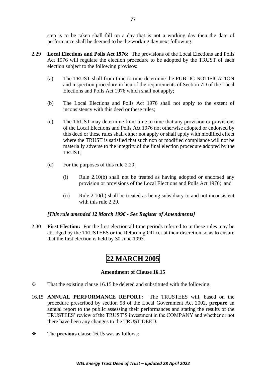step is to be taken shall fall on a day that is not a working day then the date of performance shall be deemed to be the working day next following.

- 2.29 **Local Elections and Polls Act 1976:** The provisions of the Local Elections and Polls Act 1976 will regulate the election procedure to be adopted by the TRUST of each election subject to the following provisos:
	- (a) The TRUST shall from time to time determine the PUBLIC NOTIFICATION and inspection procedure in lieu of the requirements of Section 7D of the Local Elections and Polls Act 1976 which shall not apply;
	- (b) The Local Elections and Polls Act 1976 shall not apply to the extent of inconsistency with this deed or these rules;
	- (c) The TRUST may determine from time to time that any provision or provisions of the Local Elections and Polls Act 1976 not otherwise adopted or endorsed by this deed or these rules shall either not apply or shall apply with modified effect where the TRUST is satisfied that such non or modified compliance will not be materially adverse to the integrity of the final election procedure adopted by the TRUST;
	- (d) For the purposes of this rule 2.29;
		- (i) Rule 2.10(b) shall not be treated as having adopted or endorsed any provision or provisions of the Local Elections and Polls Act 1976; and
		- (ii) Rule 2.10(b) shall be treated as being subsidiary to and not inconsistent with this rule 2.29.

#### *[This rule amended 12 March 1996 - See Register of Amendments]*

2.30 **First Election:** For the first election all time periods referred to in these rules may be abridged by the TRUSTEES or the Returning Officer at their discretion so as to ensure that the first election is held by 30 June 1993.

# **22 MARCH 2005**

#### **Amendment of Clause 16.15**

- $\cdot \cdot$  That the existing clause 16.15 be deleted and substituted with the following:
- 16.15 **ANNUAL PERFORMANCE REPORT:** The TRUSTEES will, based on the procedure prescribed by section 98 of the Local Government Act 2002, **prepare** an annual report to the public assessing their performances and stating the results of the TRUSTEES' review of the TRUST'S investment in the COMPANY and whether or not there have been any changes to the TRUST DEED.
- ❖ The **previous** clause 16.15 was as follows: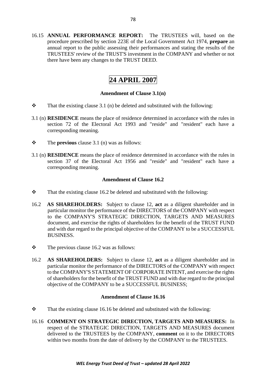16.15 **ANNUAL PERFORMANCE REPORT:** The TRUSTEES will, based on the procedure prescribed by section 223E of the Local Government Act 1974, **prepare** an annual report to the public assessing their performances and stating the results of the TRUSTEES' review of the TRUST'S investment in the COMPANY and whether or not there have been any changes to the TRUST DEED.

# **24 APRIL 2007**

# **Amendment of Clause 3.1(n)**

- $\triangle$  That the existing clause 3.1 (n) be deleted and substituted with the following:
- 3.1 (n) **RESIDENCE** means the place of residence determined in accordance with the rules in section 72 of the Electoral Act 1993 and "reside" and "resident" each have a corresponding meaning.
- ❖ The **previous** clause 3.1 (n) was as follows:
- 3.1 (n) **RESIDENCE** means the place of residence determined in accordance with the rules in section 37 of the Electoral Act 1956 and "reside" and "resident" each have a corresponding meaning.

# **Amendment of Clause 16.2**

- $\cdot \cdot$  That the existing clause 16.2 be deleted and substituted with the following:
- 16.2 **AS SHAREHOLDERS:** Subject to clause 12, **act** as a diligent shareholder and in particular monitor the performance of the DIRECTORS of the COMPANY with respect to the COMPANY'S STRATEGIC DIRECTION, TARGETS AND MEASURES document, and exercise the rights of shareholders for the benefit of the TRUST FUND and with due regard to the principal objective of the COMPANY to be a SUCCESSFUL BUSINESS.
- $\div$  The previous clause 16.2 was as follows:
- 16.2 **AS SHAREHOLDERS:** Subject to clause 12, **act** as a diligent shareholder and in particular monitor the performance of the DIRECTORS of the COMPANY with respect to the COMPANY'S STATEMENT OF CORPORATE INTENT, and exercise the rights of shareholders for the benefit of the TRUST FUND and with due regard to the principal objective of the COMPANY to be a SUCCESSFUL BUSINESS;

# **Amendment of Clause 16.16**

- $\cdot \cdot$  That the existing clause 16.16 be deleted and substituted with the following:
- 16.16 **COMMENT ON STRATEGIC DIRECTION, TARGETS AND MEASURES:** In respect of the STRATEGIC DIRECTION, TARGETS AND MEASURES document delivered to the TRUSTEES by the COMPANY, **comment** on it to the DIRECTORS within two months from the date of delivery by the COMPANY to the TRUSTEES.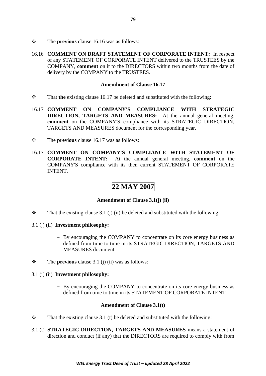- ❖ The **previous** clause 16.16 was as follows:
- 16.16 **COMMENT ON DRAFT STATEMENT OF CORPORATE INTENT:** In respect of any STATEMENT OF CORPORATE INTENT delivered to the TRUSTEES by the COMPANY, **comment** on it to the DIRECTORS within two months from the date of delivery by the COMPANY to the TRUSTEES.

#### **Amendment of Clause 16.17**

- ❖ That **the** existing clause 16.17 be deleted and substituted with the following:
- 16.17 **COMMENT ON COMPANY'S COMPLIANCE WITH STRATEGIC DIRECTION, TARGETS AND MEASURES:** At the annual general meeting, **comment** on the COMPANY'S compliance with its STRATEGIC DIRECTION, TARGETS AND MEASURES document for the corresponding year.
- ❖ The **previous** clause 16.17 was as follows:
- 16.17 **COMMENT ON COMPANY'S COMPLIANCE WITH STATEMENT OF CORPORATE INTENT:** At the annual general meeting, **comment** on the COMPANY'S compliance with its then current STATEMENT OF CORPORATE INTENT.

# **22 MAY 2007**

#### **Amendment of Clause 3.1(j) (ii)**

- $\mathbf{\hat{P}}$  That the existing clause 3.1 (j) (ii) be deleted and substituted with the following:
- 3.1 (j) (ii) **Investment philosophy:**
	- By encouraging the COMPANY to concentrate on its core energy business as defined from time to time in its STRATEGIC DIRECTION, TARGETS AND MEASURES document.
- ❖ The **previous** clause 3.1 (j) (ii) was as follows:

#### 3.1 (j) (ii) **Investment philosophy:**

- By encouraging the COMPANY to concentrate on its core energy business as defined from time to time in its STATEMENT OF CORPORATE INTENT.

#### **Amendment of Clause 3.1(t)**

- $\cdot \cdot$  That the existing clause 3.1 (t) be deleted and substituted with the following:
- 3.1 (t) **STRATEGIC DIRECTION, TARGETS AND MEASURES** means a statement of direction and conduct (if any) that the DIRECTORS are required to comply with from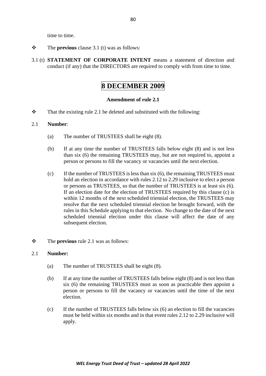time to time.

- ❖ The **previous** clause 3.1 (t) was as follows:
- 3.1 (t) **STATEMENT OF CORPORATE INTENT** means a statement of direction and conduct (if any) that the DIRECTORS are required to comply with from time to time.

# **8 DECEMBER 2009**

#### **Amendment of rule 2.1**

 $\mathbf{\hat{P}}$  That the existing rule 2.1 be deleted and substituted with the following:

#### 2.1 **Number**:

- (a) The number of TRUSTEES shall be eight (8).
- (b) If at any time the number of TRUSTEES falls below eight (8) and is not less than six (6) the remaining TRUSTEES may, but are not required to, appoint a person or persons to fill the vacancy or vacancies until the next election.
- (c) If the number of TRUSTEES is less than six (6), the remaining TRUSTEES must hold an election in accordance with rules 2.12 to 2.29 inclusive to elect a person or persons as TRUSTEES, so that the number of TRUSTEES is at least six (6). If an election date for the election of TRUSTEES required by this clause (c) is within 12 months of the next scheduled triennial election, the TRUSTEES may resolve that the next scheduled triennial election be brought forward, with the rules in this Schedule applying to that election. No change to the date of the next scheduled triennial election under this clause will affect the date of any subsequent election.
- ❖ The **previous** rule 2.1 was as follows:

#### 2.1 **Number:**

- (a) The number of TRUSTEES shall be eight (8).
- (b) If at any time the number of TRUSTEES falls below eight (8) and is not less than six (6) the remaining TRUSTEES must as soon as practicable then appoint a person or persons to fill the vacancy or vacancies until the time of the next election.
- (c) If the number of TRUSTEES falls below six (6) an election to fill the vacancies must be held within six months and in that event rules 2.12 to 2.29 inclusive will apply.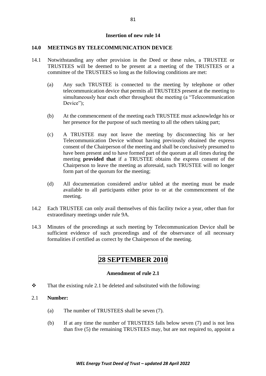#### **Insertion of new rule 14**

#### **14.0 MEETINGS BY TELECOMMUNICATION DEVICE**

- 14.1 Notwithstanding any other provision in the Deed or these rules, a TRUSTEE or TRUSTEES will be deemed to be present at a meeting of the TRUSTEES or a committee of the TRUSTEES so long as the following conditions are met:
	- (a) Any such TRUSTEE is connected to the meeting by telephone or other telecommunication device that permits all TRUSTEES present at the meeting to simultaneously hear each other throughout the meeting (a "Telecommunication Device");
	- (b) At the commencement of the meeting each TRUSTEE must acknowledge his or her presence for the purpose of such meeting to all the others taking part;
	- (c) A TRUSTEE may not leave the meeting by disconnecting his or her Telecommunication Device without having previously obtained the express consent of the Chairperson of the meeting and shall be conclusively presumed to have been present and to have formed part of the quorum at all times during the meeting **provided that** if a TRUSTEE obtains the express consent of the Chairperson to leave the meeting as aforesaid, such TRUSTEE will no longer form part of the quorum for the meeting;
	- (d) All documentation considered and/or tabled at the meeting must be made available to all participants either prior to or at the commencement of the meeting.
- 14.2 Each TRUSTEE can only avail themselves of this facility twice a year, other than for extraordinary meetings under rule 9A.
- 14.3 Minutes of the proceedings at such meeting by Telecommunication Device shall be sufficient evidence of such proceedings and of the observance of all necessary formalities if certified as correct by the Chairperson of the meeting.

# **28 SEPTEMBER 2010**

#### **Amendment of rule 2.1**

 $\cdot \cdot$  That the existing rule 2.1 be deleted and substituted with the following:

#### 2.1 **Number:**

- (a) The number of TRUSTEES shall be seven (7).
- (b) If at any time the number of TRUSTEES falls below seven (7) and is not less than five (5) the remaining TRUSTEES may, but are not required to, appoint a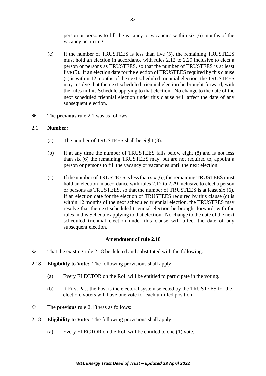person or persons to fill the vacancy or vacancies within six (6) months of the vacancy occurring.

- (c) If the number of TRUSTEES is less than five (5), the remaining TRUSTEES must hold an election in accordance with rules 2.12 to 2.29 inclusive to elect a person or persons as TRUSTEES, so that the number of TRUSTEES is at least five (5). If an election date for the election of TRUSTEES required by this clause (c) is within 12 months of the next scheduled triennial election, the TRUSTEES may resolve that the next scheduled triennial election be brought forward, with the rules in this Schedule applying to that election. No change to the date of the next scheduled triennial election under this clause will affect the date of any subsequent election.
- ❖ The **previous** rule 2.1 was as follows:

#### 2.1 **Number:**

- (a) The number of TRUSTEES shall be eight (8).
- (b) If at any time the number of TRUSTEES falls below eight (8) and is not less than six (6) the remaining TRUSTEES may, but are not required to, appoint a person or persons to fill the vacancy or vacancies until the next election.
- (c) If the number of TRUSTEES is less than six (6), the remaining TRUSTEES must hold an election in accordance with rules 2.12 to 2.29 inclusive to elect a person or persons as TRUSTEES, so that the number of TRUSTEES is at least six (6). If an election date for the election of TRUSTEES required by this clause (c) is within 12 months of the next scheduled triennial election, the TRUSTEES may resolve that the next scheduled triennial election be brought forward, with the rules in this Schedule applying to that election. No change to the date of the next scheduled triennial election under this clause will affect the date of any subsequent election.

#### **Amendment of rule 2.18**

- $\div$  That the existing rule 2.18 be deleted and substituted with the following:
- 2.18 **Eligibility to Vote:** The following provisions shall apply:
	- (a) Every ELECTOR on the Roll will be entitled to participate in the voting.
	- (b) If First Past the Post is the electoral system selected by the TRUSTEES for the election, voters will have one vote for each unfilled position.
- ❖ The **previous** rule 2.18 was as follows:
- 2.18 **Eligibility to Vote:** The following provisions shall apply:
	- (a) Every ELECTOR on the Roll will be entitled to one (1) vote.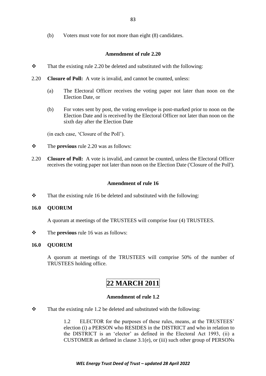(b) Voters must vote for not more than eight (8) candidates.

#### **Amendment of rule 2.20**

- $\cdot \cdot$  That the existing rule 2.20 be deleted and substituted with the following:
- 2.20 **Closure of Poll:** A vote is invalid, and cannot be counted, unless:
	- (a) The Electoral Officer receives the voting paper not later than noon on the Election Date, or
	- (b) For votes sent by post, the voting envelope is post-marked prior to noon on the Election Date and is received by the Electoral Officer not later than noon on the sixth day after the Election Date

(in each case, 'Closure of the Poll').

- ❖ The **previous** rule 2.20 was as follows:
- 2.20 **Closure of Poll:** A vote is invalid, and cannot be counted, unless the Electoral Officer receives the voting paper not later than noon on the Election Date ('Closure of the Poll').

#### **Amendment of rule 16**

❖ That the existing rule 16 be deleted and substituted with the following:

#### **16.0 QUORUM**

A quorum at meetings of the TRUSTEES will comprise four (4) TRUSTEES.

❖ The **previous** rule 16 was as follows:

#### **16.0 QUORUM**

A quorum at meetings of the TRUSTEES will comprise 50% of the number of TRUSTEES holding office.

# **22 MARCH 2011**

#### **Amendment of rule 1.2**

 $\cdot \cdot$  That the existing rule 1.2 be deleted and substituted with the following:

1.2 ELECTOR for the purposes of these rules, means, at the TRUSTEES' election (i) a PERSON who RESIDES in the DISTRICT and who in relation to the DISTRICT is an 'elector' as defined in the Electoral Act 1993, (ii) a CUSTOMER as defined in clause 3.1(e), or (iii) such other group of PERSONs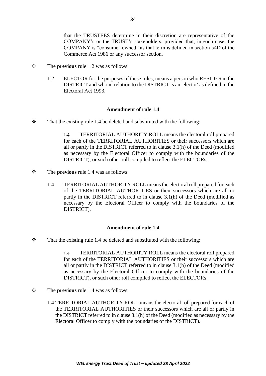that the TRUSTEES determine in their discretion are representative of the COMPANY's or the TRUST's stakeholders, provided that, in each case, the COMPANY is "consumer-owned" as that term is defined in section 54D of the Commerce Act 1986 or any successor section.

- ❖ The **previous** rule 1.2 was as follows:
	- 1.2 ELECTOR for the purposes of these rules, means a person who RESIDES in the DISTRICT and who in relation to the DISTRICT is an 'elector' as defined in the Electoral Act 1993.

#### **Amendment of rule 1.4**

❖ That the existing rule 1.4 be deleted and substituted with the following:

1.4 TERRITORIAL AUTHORITY ROLL means the electoral roll prepared for each of the TERRITORIAL AUTHORITIES or their successors which are all or partly in the DISTRICT referred to in clause 3.1(h) of the Deed (modified as necessary by the Electoral Officer to comply with the boundaries of the DISTRICT), or such other roll compiled to reflect the ELECTORs.

- ❖ The **previous** rule 1.4 was as follows:
	- 1.4 TERRITORIAL AUTHORITY ROLL means the electoral roll prepared for each of the TERRITORIAL AUTHORITIES or their successors which are all or partly in the DISTRICT referred to in clause 3.1(h) of the Deed (modified as necessary by the Electoral Officer to comply with the boundaries of the DISTRICT).

#### **Amendment of rule 1.4**

❖ That the existing rule 1.4 be deleted and substituted with the following:

1.4 TERRITORIAL AUTHORITY ROLL means the electoral roll prepared for each of the TERRITORIAL AUTHORITIES or their successors which are all or partly in the DISTRICT referred to in clause 3.1(h) of the Deed (modified as necessary by the Electoral Officer to comply with the boundaries of the DISTRICT), or such other roll compiled to reflect the ELECTORs.

- ❖ The **previous** rule 1.4 was as follows:
	- 1.4 TERRITORIAL AUTHORITY ROLL means the electoral roll prepared for each of the TERRITORIAL AUTHORITIES or their successors which are all or partly in the DISTRICT referred to in clause 3.1(h) of the Deed (modified as necessary by the Electoral Officer to comply with the boundaries of the DISTRICT).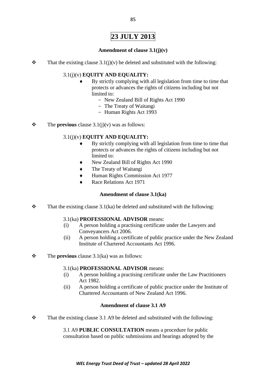# **23 JULY 2013**

## **Amendment of clause 3.1(j)(v)**

❖ That the existing clause 3.1(j)(v) be deleted and substituted with the following:

## 3.1(j)(v) **EQUITY AND EQUALITY:**

- By strictly complying with all legislation from time to time that protects or advances the rights of citizens including but not limited to:
	- New Zealand Bill of Rights Act 1990
	- The Treaty of Waitangi
	- Human Rights Act 1993
- $\triangle$  The **previous** clause 3.1(j)(v) was as follows:

#### 3.1(j)(v) **EQUITY AND EQUALITY:**

- By strictly complying with all legislation from time to time that protects or advances the rights of citizens including but not limited to:
- New Zealand Bill of Rights Act 1990
- The Treaty of Waitangi
- Human Rights Commission Act 1977
- Race Relations Act 1971

#### **Amendment of clause 3.1(ka)**

 $\cdot \cdot$  That the existing clause 3.1(ka) be deleted and substituted with the following:

#### 3.1(ka) **PROFESSIONAL ADVISOR** means:

- (i) A person holding a practising certificate under the Lawyers and Conveyancers Act 2006.
- (ii) A person holding a certificate of public practice under the New Zealand Institute of Chartered Accountants Act 1996.
- ❖ The **previous** clause 3.1(ka) was as follows:

#### 3.1(ka) **PROFESSIONAL ADVISOR** means:

- (i) A person holding a practising certificate under the Law Practitioners Act 1982.
- (ii) A person holding a certificate of public practice under the Institute of Chartered Accountants of New Zealand Act 1996.

#### **Amendment of clause 3.1 A9**

 $\div$  That the existing clause 3.1 A9 be deleted and substituted with the following:

3.1 A9 **PUBLIC CONSULTATION** means a procedure for public consultation based on public submissions and hearings adopted by the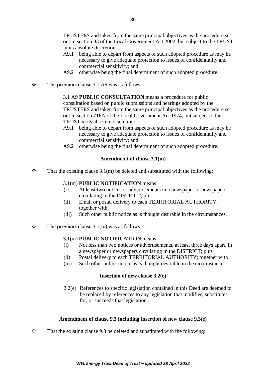TRUSTEES and taken from the same principal objectives as the procedure set out in section 83 of the Local Government Act 2002, but subject to the TRUST in its absolute discretion:

- A9.1 being able to depart from aspects of such adopted procedure as may be necessary to give adequate protection to issues of confidentiality and commercial sensitivity; and
- A9.2 otherwise being the final determinant of such adopted procedure.
- ❖ The **previous** clause 3.1 A9 was as follows:

3.1 A9 **PUBLIC CONSULTATION** means a procedure for public consultation based on public submissions and hearings adopted by the TRUSTEES and taken from the same principal objectives as the procedure set out in section 716A of the Local Government Act 1974, but subject to the TRUST in its absolute discretion:

- A9.1 being able to depart from aspects of such adopted procedure as may be necessary to give adequate protection to issues of confidentiality and commercial sensitivity; and
- A9.2 otherwise being the final determinant of such adopted procedure.

## **Amendment of clause 3.1(m)**

 $\mathbf{\hat{F}}$  That the existing clause 3.1(m) be deleted and substituted with the following:

#### 3.1(m) **PUBLIC NOTIFICATION** means:

- (i) At least two notices or advertisements in a newspaper or newspapers circulating in the DISTRICT; plus
- (ii) Email or postal delivery to each TERRITORIAL AUTHORITY; together with
- (iii) Such other public notice as is thought desirable in the circumstances.
- ❖ The **previous** clause 3.1(m) was as follows:

#### 3.1(m) **PUBLIC NOTIFICATION** means:

- (i) Not less than two notices or advertisements, at least three days apart, in a newspaper or newspapers circulating in the DISTRICT; plus
- (ii) Postal delivery to each TERRITORIAL AUTHORITY; together with
- (iii) Such other public notice as is thought desirable in the circumstances.

#### **Insertion of new clause 3.2(e)**

3.2(e) References to specific legislation contained in this Deed are deemed to be replaced by references to any legislation that modifies, substitutes for, or succeeds that legislation.

#### **Amendment of clause 9.3 including insertion of new clause 9.3(e)**

❖ That the existing clause 9.3 be deleted and substituted with the following: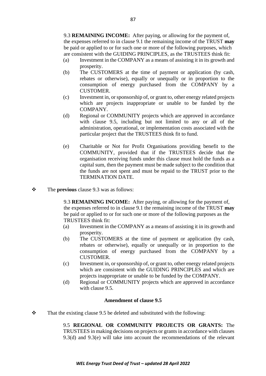9.3 **REMAINING INCOME:** After paying, or allowing for the payment of, the expenses referred to in clause 9.1 the remaining income of the TRUST **may** be paid or applied to or for such one or more of the following purposes, which are consistent with the GUIDING PRINCIPLES, as the TRUSTEES think fit:

- (a) Investment in the COMPANY as a means of assisting it in its growth and prosperity.
- (b) The CUSTOMERS at the time of payment or application (by cash, rebates or otherwise), equally or unequally or in proportion to the consumption of energy purchased from the COMPANY by a CUSTOMER.
- (c) Investment in, or sponsorship of, or grant to, other energy related projects which are projects inappropriate or unable to be funded by the COMPANY.
- (d) Regional or COMMUNITY projects which are approved in accordance with clause 9.5, including but not limited to any or all of the administration, operational, or implementation costs associated with the particular project that the TRUSTEES think fit to fund.
- (e) Charitable or Not for Profit Organisations providing benefit to the COMMUNITY, provided that if the TRUSTEES decide that the organisation receiving funds under this clause must hold the funds as a capital sum, then the payment must be made subject to the condition that the funds are not spent and must be repaid to the TRUST prior to the TERMINATION DATE.
- ❖ The **previous** clause 9.3 was as follows:

9.3 **REMAINING INCOME:** After paying, or allowing for the payment of, the expenses referred to in clause 9.1 the remaining income of the TRUST **may** be paid or applied to or for such one or more of the following purposes as the TRUSTEES think fit:

- (a) Investment in the COMPANY as a means of assisting it in its growth and prosperity.
- (b) The CUSTOMERS at the time of payment or application (by cash, rebates or otherwise), equally or unequally or in proportion to the consumption of energy purchased from the COMPANY by a CUSTOMER.
- (c) Investment in, or sponsorship of, or grant to, other energy related projects which are consistent with the GUIDING PRINCIPLES and which are projects inappropriate or unable to be funded by the COMPANY.
- (d) Regional or COMMUNITY projects which are approved in accordance with clause 9.5.

# **Amendment of clause 9.5**

 $\cdot \cdot$  That the existing clause 9.5 be deleted and substituted with the following:

9.5 **REGIONAL OR COMMUNITY PROJECTS OR GRANTS:** The TRUSTEES in making decisions on projects or grants in accordance with clauses 9.3(d) and 9.3(e) will take into account the recommendations of the relevant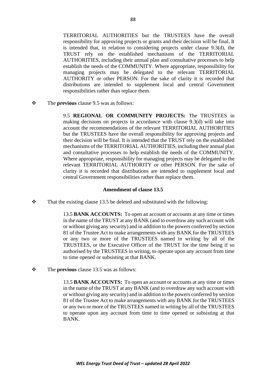TERRITORIAL AUTHORITIES but the TRUSTEES have the overall responsibility for approving projects or grants and their decision will be final. It is intended that, in relation to considering projects under clause 9.3(d), the TRUST rely on the established mechanisms of the TERRITORIAL AUTHORITIES, including their annual plan and consultative processes to help establish the needs of the COMMUNITY. Where appropriate, responsibility for managing projects may be delegated to the relevant TERRITORIAL AUTHORITY or other PERSON. For the sake of clarity it is recorded that distributions are intended to supplement local and central Government responsibilities rather than replace them.

❖ The **previous** clause 9.5 was as follows:

9.5 **REGIONAL OR COMMUNITY PROJECTS:** The TRUSTEES in making decisions on projects in accordance with clause 9.3(d) will take into account the recommendations of the relevant TERRITORIAL AUTHORITIES but the TRUSTEES have the overall responsibility for approving projects and their decision will be final. It is intended that the TRUST rely on the established mechanisms of the TERRITORIAL AUTHORITIES, including their annual plan and consultative processes to help establish the needs of the COMMUNITY. Where appropriate, responsibility for managing projects may be delegated to the relevant TERRITORIAL AUTHORITY or other PERSON. For the sake of clarity it is recorded that distributions are intended to supplement local and central Government responsibilities rather than replace them.

#### **Amendment of clause 13.5**

 $\cdot \cdot$  That the existing clause 13.5 be deleted and substituted with the following:

13.5 **BANK ACCOUNTS:** To open an account or accounts at any time or times in the name of the TRUST at any BANK (and to overdraw any such account with or without giving any security) and in addition to the powers conferred by section 81 of the Trustee Act to make arrangements with any BANK for the TRUSTEES or any two or more of the TRUSTEES named in writing by all of the TRUSTEES, or the Executive Officer of the TRUST for the time being if so authorised by the TRUSTEES in writing, to operate upon any account from time to time opened or subsisting at that BANK.

❖ The **previous** clause 13.5 was as follows:

13.5 **BANK ACCOUNTS:** To open an account or accounts at any time or times in the name of the TRUST at any BANK (and to overdraw any such account with or without giving any security) and in addition to the powers conferred by section 81 of the Trustee Act to make arrangements with any BANK for the TRUSTEES or any two or more of the TRUSTEES named in writing by all of the TRUSTEES to operate upon any account from time to time opened or subsisting at that BANK.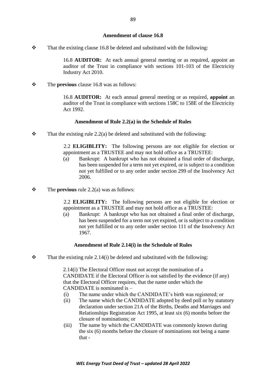#### **Amendment of clause 16.8**

 $\div$  That the existing clause 16.8 be deleted and substituted with the following:

16.8 **AUDITOR:** At each annual general meeting or as required, appoint an auditor of the Trust in compliance with sections 101-103 of the Electricity Industry Act 2010.

❖ The **previous** clause 16.8 was as follows:

16.8 **AUDITOR:** At each annual general meeting or as required, **appoint** an auditor of the Trust in compliance with sections 158C to 158E of the Electricity Act 1992.

# **Amendment of Rule 2.2(a) in the Schedule of Rules**

 $\cdot \cdot$  That the existing rule 2.2(a) be deleted and substituted with the following:

2.2 **ELIGIBLITY:** The following persons are not eligible for election or appointment as a TRUSTEE and may not hold office as a TRUSTEE:

- (a) Bankrupt: A bankrupt who has not obtained a final order of discharge, has been suspended for a term not yet expired, or is subject to a condition not yet fulfilled or to any order under section 299 of the Insolvency Act 2006.
- ❖ The **previous** rule 2.2(a) was as follows:

2.2 **ELIGIBLITY:** The following persons are not eligible for election or appointment as a TRUSTEE and may not hold office as a TRUSTEE:

(a) Bankrupt: A bankrupt who has not obtained a final order of discharge, has been suspended for a term not yet expired, or is subject to a condition not yet fulfilled or to any order under section 111 of the Insolvency Act 1967.

# **Amendment of Rule 2.14(i) in the Schedule of Rules**

 $\cdot \cdot$  That the existing rule 2.14(i) be deleted and substituted with the following:

2.14(i) The Electoral Officer must not accept the nomination of a CANDIDATE if the Electoral Officer is not satisfied by the evidence (if any) that the Electoral Officer requires, that the name under which the CANDIDATE is nominated is –

- (i) The name under which the CANDIDATE's birth was registered; or
- (ii) The name which the CANDIDATE adopted by deed poll or by statutory declaration under section 21A of the Births, Deaths and Marriages and Relationships Registration Act 1995, at least six (6) months before the closure of nominations; or
- (iii) The name by which the CANDIDATE was commonly known during the six (6) months before the closure of nominations not being a name that -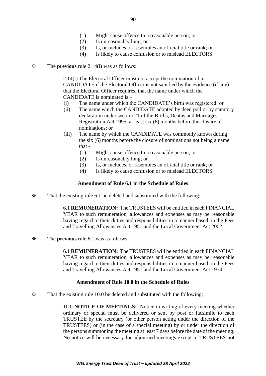- (1) Might cause offence to a reasonable person; or
- (2) Is unreasonably long; or
- (3) Is, or includes, or resembles an official title or rank; or
- (4) Is likely to cause confusion or to mislead ELECTORS.
- ❖ The **previous** rule 2.14(i) was as follows:

2.14(i) The Electoral Officer must not accept the nomination of a CANDIDATE if the Electoral Officer is not satisfied by the evidence (if any) that the Electoral Officer requires, that the name under which the CANDIDATE is nominated is –

- (i) The name under which the CANDIDATE's birth was registered; or
- (ii) The name which the CANDIDATE adopted by deed poll or by statutory declaration under section 21 of the Births, Deaths and Marriages Registration Act 1995, at least six (6) months before the closure of nominations; or
- (iii) The name by which the CANDIDATE was commonly known during the six (6) months before the closure of nominations not being a name that -
	- (1) Might cause offence to a reasonable person; or
	- (2) Is unreasonably long; or
	- (3) Is, or includes, or resembles an official title or rank; or
	- (4) Is likely to cause confusion or to mislead ELECTORS.

## **Amendment of Rule 6.1 in the Schedule of Rules**

❖ That the existing rule 6.1 be deleted and substituted with the following:

6.1 **REMUNERATION:** The TRUSTEES will be entitled in each FINANCIAL YEAR to such remuneration, allowances and expenses as may be reasonable having regard to their duties and responsibilities in a manner based on the Fees and Travelling Allowances Act 1951 and the Local Government Act 2002.

❖ The **previous** rule 6.1 was as follows:

6.1 **REMUNERATION:** The TRUSTEES will be entitled in each FINANCIAL YEAR to such remuneration, allowances and expenses as may be reasonable having regard to their duties and responsibilities in a manner based on the Fees and Travelling Allowances Act 1951 and the Local Government Act 1974.

#### **Amendment of Rule 10.0 in the Schedule of Rules**

 $\div$  That the existing rule 10.0 be deleted and substituted with the following:

10.0 **NOTICE OF MEETINGS:** Notice in writing of every meeting whether ordinary or special must be delivered or sent by post or facsimile to each TRUSTEE by the secretary (or other person acting under the direction of the TRUSTEES) or (in the case of a special meeting) by or under the direction of the persons summoning the meeting at least 7 days before the date of the meeting. No notice will be necessary for adjourned meetings except to TRUSTEES not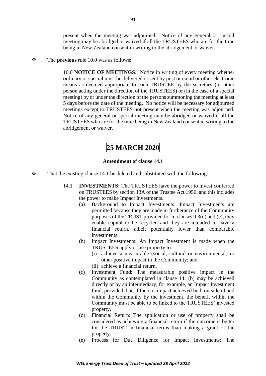present when the meeting was adjourned. Notice of any general or special meeting may be abridged or waived if all the TRUSTEES who are for the time being in New Zealand consent in writing to the abridgement or waiver.

❖ The **previous** rule 10.0 was as follows:

10.0 **NOTICE OF MEETINGS:** Notice in writing of every meeting whether ordinary or special must be delivered or sent by post or email or other electronic means as deemed appropriate to each TRUSTEE by the secretary (or other person acting under the direction of the TRUSTEES) or (in the case of a special meeting) by or under the direction of the persons summoning the meeting at least 5 days before the date of the meeting. No notice will be necessary for adjourned meetings except to TRUSTEES not present when the meeting was adjourned. Notice of any general or special meeting may be abridged or waived if all the TRUSTEES who are for the time being in New Zealand consent in writing to the abridgement or waiver.

# **25 MARCH 2020**

#### **Amendment of clause 14.1**

- $\mathbf{\hat{F}}$  That the existing clause 14.1 be deleted and substituted with the following:
	- 14.1 **INVESTMENTS:** The TRUSTEES have the power to invest conferred on TRUSTEES by section 13A of the Trustee Act 1956, and this includes the power to make Impact Investments.
		- (a) Background to Impact Investments: Impact Investments are permitted because they are made in furtherance of the Community purposes of the TRUST provided for in clauses 9.3(d) and (e), they enable capital to be recycled and they are intended to have a financial return, albeit potentially lower than comparable investments.
		- (b) Impact Investments: An Impact Investment is made when the TRUSTEES apply or use property to:
			- (i) achieve a measurable (social, cultural or environmental) or other positive impact in the Community; and
			- (ii) achieve a financial return.
		- (c) Investment Fund: The measurable positive impact in the Community as contemplated in clause 14.1(b) may be achieved directly or by an intermediary, for example, an Impact Investment fund, provided that, if there is impact achieved both outside of and within the Community by the investment, the benefit within the Community must be able to be linked to the TRUSTEES' invested property.
		- (d) Financial Return: The application or use of property shall be considered as achieving a financial return if the outcome is better for the TRUST in financial terms than making a grant of the property.
		- (e) Process for Due Diligence for Impact Investments: The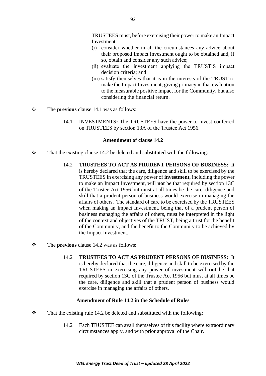- (i) consider whether in all the circumstances any advice about their proposed Impact Investment ought to be obtained and, if so, obtain and consider any such advice;
- (ii) evaluate the investment applying the TRUST'S impact decision criteria; and
- (iii) satisfy themselves that it is in the interests of the TRUST to make the Impact Investment, giving primacy in that evaluation to the measurable positive impact for the Community, but also considering the financial return.
- ❖ The **previous** clause 14.1 was as follows:
	- 14.1 INVESTMENTS**:** The TRUSTEES have the power to invest conferred on TRUSTEES by section 13A of the Trustee Act 1956.

## **Amendment of clause 14.2**

- $\cdot \cdot$  That the existing clause 14.2 be deleted and substituted with the following:
	- 14.2 **TRUSTEES TO ACT AS PRUDENT PERSONS OF BUSINESS:** It is hereby declared that the care, diligence and skill to be exercised by the TRUSTEES in exercising any power of **investment**, including the power to make an Impact Investment, will **not** be that required by section 13C of the Trustee Act 1956 but must at all times be the care, diligence and skill that a prudent person of business would exercise in managing the affairs of others. The standard of care to be exercised by the TRUSTEES when making an Impact Investment, being that of a prudent person of business managing the affairs of others, must be interpreted in the light of the context and objectives of the TRUST, being a trust for the benefit of the Community, and the benefit to the Community to be achieved by the Impact Investment.
- ❖ The **previous** clause 14.2 was as follows:
	- 14.2 **TRUSTEES TO ACT AS PRUDENT PERSONS OF BUSINESS:** It is hereby declared that the care, diligence and skill to be exercised by the TRUSTEES in exercising any power of investment will **not** be that required by section 13C of the Trustee Act 1956 but must at all times be the care, diligence and skill that a prudent person of business would exercise in managing the affairs of others.

#### **Amendment of Rule 14.2 in the Schedule of Rules**

- $\cdot \cdot$  That the existing rule 14.2 be deleted and substituted with the following:
	- 14.2 Each TRUSTEE can avail themselves of this facility where extraordinary circumstances apply, and with prior approval of the Chair.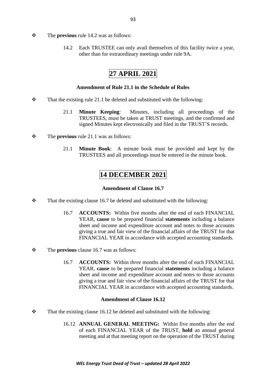- ❖ The **previous** rule 14.2 was as follows:
	- 14.2 Each TRUSTEE can only avail themselves of this facility twice a year, other than for extraordinary meetings under rule 9A.

# **27 APRIL 2021**

#### **Amendment of Rule 21.1 in the Schedule of Rules**

- $\cdot \cdot$  That the existing rule 21.1 be deleted and substituted with the following:
	- 21.1 **Minute Keeping**: Minutes, including all proceedings of the TRUSTEES, must be taken at TRUST meetings, and the confirmed and signed Minutes kept electronically and filed in the TRUST'S records.
- ❖ The **previous** rule 21.1 was as follows:
	- 21.1 **Minute Book**: A minute book must be provided and kept by the TRUSTEES and all proceedings must be entered in the minute book.

# **14 DECEMBER 2021**

#### **Amendment of Clause 16.7**

- $\cdot \cdot$  That the existing clause 16.7 be deleted and substituted with the following:
	- 16.7 **ACCOUNTS:** Within five months after the end of each FINANCIAL YEAR, **cause** to be prepared financial **statements** including a balance sheet and income and expenditure account and notes to those accounts giving a true and fair view of the financial affairs of the TRUST for that FINANCIAL YEAR in accordance with accepted accounting standards.
- ❖ The **previous** clause 16.7 was as follows:
	- 16.7 **ACCOUNTS:** Within *three* months after the end of each FINANCIAL YEAR, **cause** to be prepared financial **statements** including a balance sheet and income and expenditure account and notes to those accounts giving a true and fair view of the financial affairs of the TRUST for that FINANCIAL YEAR in accordance with accepted accounting standards.

#### **Amendment of Clause 16.12**

- $\mathbf{\hat{F}}$  That the existing clause 16.12 be deleted and substituted with the following:
	- 16.12 **ANNUAL GENERAL MEETING:** Within five months after the end of each FINANCIAL YEAR of the TRUST, **hold** an annual general meeting and at that meeting report on the operation of the TRUST during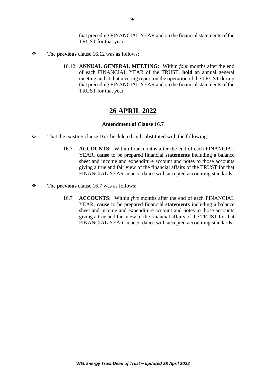that preceding FINANCIAL YEAR and on the financial statements of the TRUST for that year.

- ❖ The **previous** clause 16.12 was as follows:
	- 16.12 **ANNUAL GENERAL MEETING:** Within *four* months after the end of each FINANCIAL YEAR of the TRUST, **hold** an annual general meeting and at that meeting report on the operation of the TRUST during that preceding FINANCIAL YEAR and on the financial statements of the TRUST for that year.

# **26 APRIL 2022**

#### **Amendment of Clause 16.7**

- $\cdot \cdot$  That the existing clause 16.7 be deleted and substituted with the following:
	- 16.7 **ACCOUNTS:** Within four months after the end of each FINANCIAL YEAR, **cause** to be prepared financial **statements** including a balance sheet and income and expenditure account and notes to those accounts giving a true and fair view of the financial affairs of the TRUST for that FINANCIAL YEAR in accordance with accepted accounting standards.
- ❖ The **previous** clause 16.7 was as follows:
	- 16.7 **ACCOUNTS:** Within *five* months after the end of each FINANCIAL YEAR, **cause** to be prepared financial **statements** including a balance sheet and income and expenditure account and notes to those accounts giving a true and fair view of the financial affairs of the TRUST for that FINANCIAL YEAR in accordance with accepted accounting standards.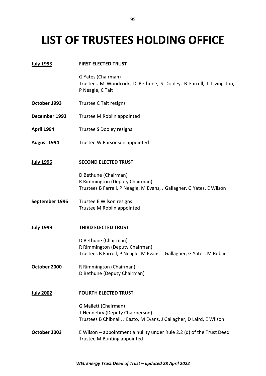# **LIST OF TRUSTEES HOLDING OFFICE**

| <b>July 1993</b>  | <b>FIRST ELECTED TRUST</b>                                                                                                       |
|-------------------|----------------------------------------------------------------------------------------------------------------------------------|
|                   | G Yates (Chairman)<br>Trustees M Woodcock, D Bethune, S Dooley, B Farrell, L Livingston,<br>P Neagle, C Tait                     |
| October 1993      | <b>Trustee C Tait resigns</b>                                                                                                    |
| December 1993     | Trustee M Roblin appointed                                                                                                       |
| <b>April 1994</b> | Trustee S Dooley resigns                                                                                                         |
| August 1994       | Trustee W Parsonson appointed                                                                                                    |
| <b>July 1996</b>  | <b>SECOND ELECTED TRUST</b>                                                                                                      |
|                   | D Bethune (Chairman)<br>R Rimmington (Deputy Chairman)<br>Trustees B Farrell, P Neagle, M Evans, J Gallagher, G Yates, E Wilson  |
| September 1996    | Trustee E Wilson resigns<br>Trustee M Roblin appointed                                                                           |
| <b>July 1999</b>  | THIRD ELECTED TRUST                                                                                                              |
|                   | D Bethune (Chairman)<br>R Rimmington (Deputy Chairman)<br>Trustees B Farrell, P Neagle, M Evans, J Gallagher, G Yates, M Roblin  |
| October 2000      | R Rimmington (Chairman)<br>D Bethune (Deputy Chairman)                                                                           |
| <b>July 2002</b>  | <b>FOURTH ELECTED TRUST</b>                                                                                                      |
|                   | G Mallett (Chairman)<br>T Hennebry (Deputy Chairperson)<br>Trustees B Chibnall, J Easto, M Evans, J Gallagher, D Laird, E Wilson |
| October 2003      | E Wilson – appointment a nullity under Rule 2.2 (d) of the Trust Deed<br>Trustee M Bunting appointed                             |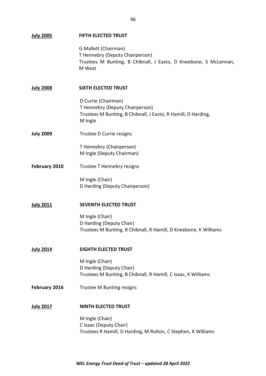| <b>July 2005</b> | <b>FIFTH ELECTED TRUST</b>                                                                                                            |
|------------------|---------------------------------------------------------------------------------------------------------------------------------------|
|                  | G Mallett (Chairman)<br>T Hennebry (Deputy Chairperson)<br>Trustees M Bunting, B Chibnall, J Easto, D Kneebone, S McLennan,<br>M West |
| <b>July 2008</b> | <b>SIXTH ELECTED TRUST</b>                                                                                                            |
|                  | D Currie (Chairman)<br>T Hennebry (Deputy Chairperson)<br>Trustees M Bunting, B Chibnall, J Easto, R Hamill, D Harding,<br>M Ingle    |
| <b>July 2009</b> | Trustee D Currie resigns                                                                                                              |
|                  | T Hennebry (Chairperson)<br>M Ingle (Deputy Chairman)                                                                                 |
| February 2010    | Trustee T Hennebry resigns                                                                                                            |
|                  | M Ingle (Chair)<br>D Harding (Deputy Chairperson)                                                                                     |
| <b>July 2011</b> | <b>SEVENTH ELECTED TRUST</b>                                                                                                          |
|                  | M Ingle (Chair)<br>D Harding (Deputy Chair)<br>Trustees M Bunting, B Chibnall, R Hamill, D Kneebone, K Williams                       |
| <b>July 2014</b> | <b>EIGHTH ELECTED TRUST</b>                                                                                                           |
|                  | M Ingle (Chair)<br>D Harding (Deputy Chair)<br>Trustees M Bunting, B Chibnall, R Hamill, C Isaac, K Williams                          |
| February 2016    | <b>Trustee M Bunting resigns</b>                                                                                                      |
| <b>July 2017</b> | <b>NINTH ELECTED TRUST</b>                                                                                                            |
|                  | M Ingle (Chair)<br>C Isaac (Deputy Chair)<br>Trustees R Hamill, D Harding, M Rolton, C Stephen, K Williams                            |